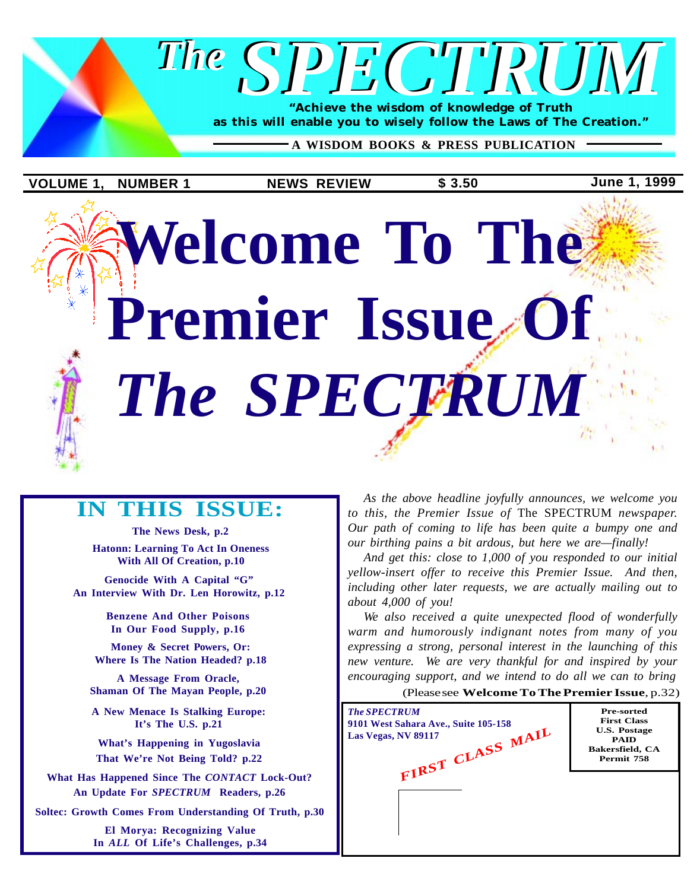#### **"Achieve the wisdom of knowledge of Truth as this will enable you to wisely follow the Laws of The Creation."**

*The SPECTRUM SPECTRUM*

**A WISDOM BOOKS & PRESS PUBLICATION**

#### **VOLUME 1, NUMBER 1 NEWS REVIEW \$ 3.50 June 1, 1999**

# **Welcome To The** Premier Issue Of *The SPECTRUM*

### **IN THIS ISSUE:**

**[The News Desk, p.2](#page-1-0) [Hatonn: Learning To Act In Oneness](#page-9-0) With All Of Creation, p.10**

**Genocide With A Capital "G" [An Interview With Dr. Len Horowitz, p.12](#page-11-0)**

> **[Benzene And Other Poisons](#page-15-0) In Our Food Supply, p.16**

**Money & Secret Powers, Or: [Where Is The Nation Headed? p.18](#page-17-0)**

**A Message From Oracle, [Shaman Of The Mayan People, p.20](#page-19-0)**

**[A New Menace Is Stalking Europe:](#page-20-0) It's The U.S. p.21**

**What's Happening in Yugoslavia [That We're Not Being Told? p.22](#page-21-0)**

**[What Has Happened Since The](#page-25-0)** *CONTACT* **Lock-Out? An Update For** *SPECTRUM* **Readers, p.26**

**[Soltec: Growth Comes From Understanding Of Truth, p.30](#page-29-0)**

**[El Morya: Recognizing Value](#page-33-0) In** *ALL* **Of Life's Challenges, p.34**

*As the above headline joyfully announces, we welcome you to this, the Premier Issue of* The SPECTRUM *newspaper. Our path of coming to life has been quite a bumpy one and our birthing pains a bit ardous, but here we are—finally!*

*And get this: close to 1,000 of you responded to our initial yellow-insert offer to receive this Premier Issue. And then, including other later requests, we are actually mailing out to about 4,000 of you!*

*We also received a quite unexpected flood of wonderfully warm and humorously indignant notes from many of you expressing a strong, personal interest in the launching of this new venture. We are very thankful for and inspired by your encouraging support, and we intend to do all we can to bring*

(Please see **[Welcome To The Premier Issue](#page-31-0)**, p.32)

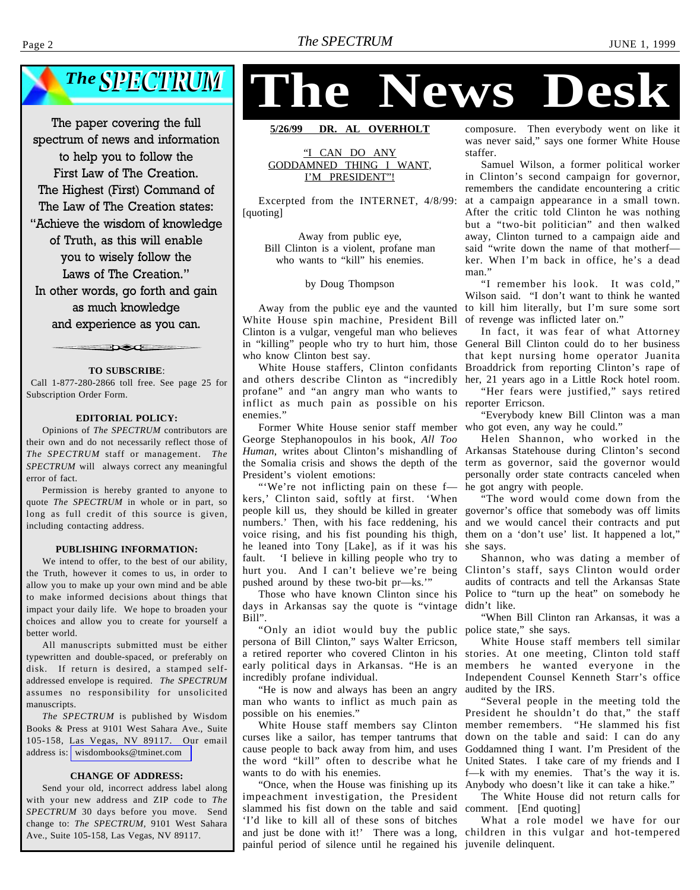<span id="page-1-0"></span>*<i>The SPECTRUM* 

The paper covering the full spectrum of news and information to help you to follow the First Law of The Creation. The Highest (First) Command of The Law of The Creation states: Achieve the wisdom of knowledge of Truth, as this will enable you to wisely follow the Laws of The Creation." In other words, go forth and gain

as much knowledge and experience as you can.

**TO SUBSCRIBE**:

 Call 1-877-280-2866 toll free. See page 25 for Subscription Order Form.

 $\longrightarrow$ 

#### **EDITORIAL POLICY:**

Opinions of *The SPECTRUM* contributors are their own and do not necessarily reflect those of *The SPECTRUM* staff or management. *The SPECTRUM* will always correct any meaningful error of fact.

Permission is hereby granted to anyone to quote *The SPECTRUM* in whole or in part, so long as full credit of this source is given, including contacting address.

#### **PUBLISHING INFORMATION:**

We intend to offer, to the best of our ability, the Truth, however it comes to us, in order to allow you to make up your own mind and be able to make informed decisions about things that impact your daily life. We hope to broaden your choices and allow you to create for yourself a better world.

All manuscripts submitted must be either typewritten and double-spaced, or preferably on disk. If return is desired, a stamped selfaddressed envelope is required. *The SPECTRUM* assumes no responsibility for unsolicited manuscripts.

*The SPECTRUM* is published by Wisdom Books & Press at 9101 West Sahara Ave., Suite 105-158, Las Vegas, NV 89117. Our email address is: [wisdombooks@tminet.com](mailto:wisdombooks@tminet.com)

#### **CHANGE OF ADDRESS:**

Send your old, incorrect address label along with your new address and ZIP code to *The SPECTRUM* 30 days before you move. Send change to: *The SPECTRUM*, 9101 West Sahara Ave., Suite 105-158, Las Vegas, NV 89117.

### he News Des

#### **5/26/99 DR. AL OVERHOLT**

"I CAN DO ANY GODDAMNED THING I WANT, I'M PRESIDENT"!

Excerpted from the INTERNET, 4/8/99: [quoting]

Away from public eye, Bill Clinton is a violent, profane man who wants to "kill" his enemies.

by Doug Thompson

Away from the public eye and the vaunted White House spin machine, President Bill Clinton is a vulgar, vengeful man who believes in "killing" people who try to hurt him, those who know Clinton best say.

White House staffers, Clinton confidants and others describe Clinton as "incredibly profane" and "an angry man who wants to inflict as much pain as possible on his reporter Erricson. enemies.'

Former White House senior staff member George Stephanopoulos in his book, *All Too* Human, writes about Clinton's mishandling of Arkansas Statehouse during Clinton's second the Somalia crisis and shows the depth of the President's violent emotions:

"'We're not inflicting pain on these fkers,' Clinton said, softly at first. 'When people kill us, they should be killed in greater numbers.' Then, with his face reddening, his and we would cancel their contracts and put voice rising, and his fist pounding his thigh, he leaned into Tony [Lake], as if it was his fault. 'I believe in killing people who try to hurt you. And I can't believe we're being pushed around by these two-bit pr—ks."

Those who have known Clinton since his days in Arkansas say the quote is "vintage Bill".

"Only an idiot would buy the public police state," she says. persona of Bill Clinton," says Walter Erricson, a retired reporter who covered Clinton in his stories. At one meeting, Clinton told staff early political days in Arkansas. "He is an members he wanted everyone in the incredibly profane individual.

"He is now and always has been an angry man who wants to inflict as much pain as possible on his enemies."

White House staff members say Clinton curses like a sailor, has temper tantrums that cause people to back away from him, and uses the word "kill" often to describe what he United States. I take care of my friends and I wants to do with his enemies.

impeachment investigation, the President slammed his fist down on the table and said comment. [End quoting] 'I'd like to kill all of these sons of bitches and just be done with it!' There was a long, children in this vulgar and hot-tempered painful period of silence until he regained his juvenile delinquent.

composure. Then everybody went on like it was never said," says one former White House staffer.

Samuel Wilson, a former political worker in Clinton's second campaign for governor, remembers the candidate encountering a critic at a campaign appearance in a small town. After the critic told Clinton he was nothing but a "two-bit politician" and then walked away, Clinton turned to a campaign aide and said "write down the name of that motherf ker. When I'm back in office, he's a dead man."

"I remember his look. It was cold," Wilson said. "I don't want to think he wanted to kill him literally, but I'm sure some sort of revenge was inflicted later on."

In fact, it was fear of what Attorney General Bill Clinton could do to her business that kept nursing home operator Juanita Broaddrick from reporting Clinton's rape of her, 21 years ago in a Little Rock hotel room. "Her fears were justified," says retired

"Everybody knew Bill Clinton was a man

who got even, any way he could."

Helen Shannon, who worked in the term as governor, said the governor would personally order state contracts canceled when he got angry with people.

"The word would come down from the governor's office that somebody was off limits them on a 'don't use' list. It happened a lot," she says.

Shannon, who was dating a member of Clinton's staff, says Clinton would order audits of contracts and tell the Arkansas State Police to "turn up the heat" on somebody he didn't like.

"When Bill Clinton ran Arkansas, it was a

White House staff members tell similar Independent Counsel Kenneth Starr's office audited by the IRS.

"Once, when the House was finishing up its Anybody who doesn't like it can take a hike." "Several people in the meeting told the President he shouldn't do that," the staff member remembers. "He slammed his fist down on the table and said: I can do any Goddamned thing I want. I'm President of the f—k with my enemies. That's the way it is.

The White House did not return calls for

What a role model we have for our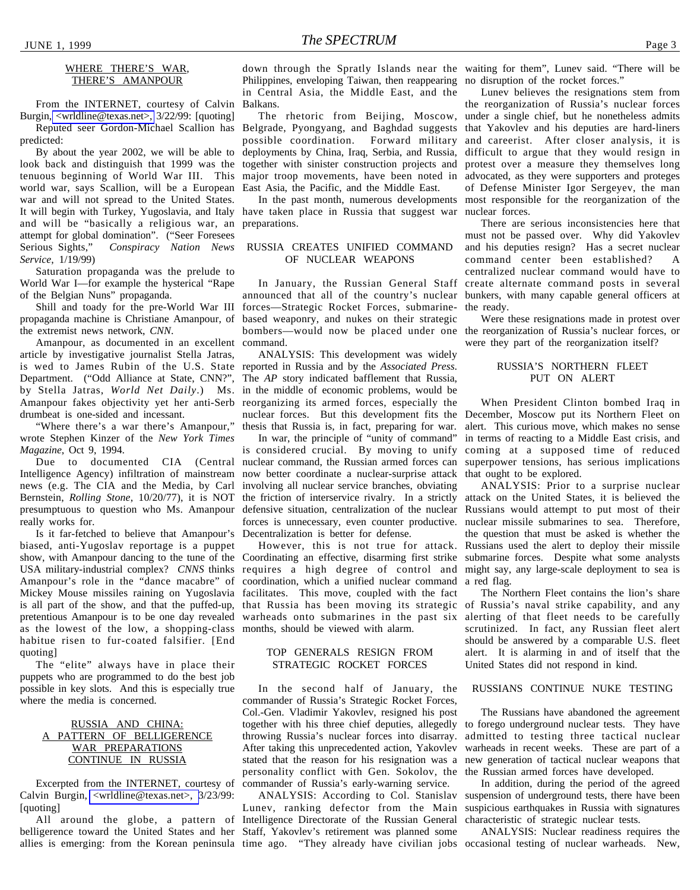#### WHERE THERE'S WAR, THERE'S AMANPOUR

From the INTERNET, courtesy of Calvin Burgin, [<wrldline@texas.net>,](mailto:wrldline@texas.net) 3/22/99: [quoting]

predicted: By about the year 2002, we will be able to

look back and distinguish that 1999 was the together with sinister construction projects and tenuous beginning of World War III. This world war, says Scallion, will be a European East Asia, the Pacific, and the Middle East. war and will not spread to the United States. It will begin with Turkey, Yugoslavia, and Italy have taken place in Russia that suggest war and will be "basically a religious war, an attempt for global domination". ("Seer Foresees Serious Sights," *Conspiracy Nation News Service*, 1/19/99)

Saturation propaganda was the prelude to World War I—for example the hysterical "Rape of the Belgian Nuns" propaganda.

Shill and toady for the pre-World War III propaganda machine is Christiane Amanpour, of the extremist news network, *CNN*.

Amanpour, as documented in an excellent article by investigative journalist Stella Jatras, is wed to James Rubin of the U.S. State reported in Russia and by the *Associated Press*. Department. ("Odd Alliance at State, CNN?", by Stella Jatras, *World Net Daily*.) Ms. Amanpour fakes objectivity yet her anti-Serb drumbeat is one-sided and incessant.

"Where there's a war there's Amanpour," wrote Stephen Kinzer of the *New York Times Magazine*, Oct 9, 1994.

Due to documented CIA (Central Intelligence Agency) infiltration of mainstream news (e.g. The CIA and the Media, by Carl Bernstein, *Rolling Stone*, 10/20/77), it is NOT presumptuous to question who Ms. Amanpour really works for.

Is it far-fetched to believe that Amanpour's biased, anti-Yugoslav reportage is a puppet show, with Amanpour dancing to the tune of the USA military-industrial complex? *CNNS* thinks Amanpour's role in the "dance macabre" of Mickey Mouse missiles raining on Yugoslavia facilitates. This move, coupled with the fact is all part of the show, and that the puffed-up, that Russia has been moving its strategic of Russia's naval strike capability, and any pretentious Amanpour is to be one day revealed warheads onto submarines in the past six as the lowest of the low, a shopping-class months, should be viewed with alarm. habitue risen to fur-coated falsifier. [End quoting]

The "elite" always have in place their puppets who are programmed to do the best job possible in key slots. And this is especially true where the media is concerned.

#### RUSSIA AND CHINA: A PATTERN OF BELLIGERENCE WAR PREPARATIONS CONTINUE IN RUSSIA

Excerpted from the INTERNET, courtesy of Calvin Burgin, [<wrldline@texas.net>, 3](mailto:wrldline@texas.net)/23/99: [quoting]

belligerence toward the United States and her Staff, Yakovlev's retirement was planned some

down through the Spratly Islands near the waiting for them", Lunev said. "There will be Philippines, enveloping Taiwan, then reappearing no disruption of the rocket forces." in Central Asia, the Middle East, and the Balkans.

Reputed seer Gordon-Michael Scallion has Belgrade, Pyongyang, and Baghdad suggests The rhetoric from Beijing, Moscow, possible coordination. Forward military deployments by China, Iraq, Serbia, and Russia,

In the past month, numerous developments preparations.

#### RUSSIA CREATES UNIFIED COMMAND OF NUCLEAR WEAPONS

In January, the Russian General Staff announced that all of the country's nuclear forces—Strategic Rocket Forces, submarinebased weaponry, and nukes on their strategic bombers—would now be placed under one the reorganization of Russia's nuclear forces, or command.

ANALYSIS: This development was widely The *AP* story indicated bafflement that Russia, in the middle of economic problems, would be reorganizing its armed forces, especially the nuclear forces. But this development fits the thesis that Russia is, in fact, preparing for war.

In war, the principle of "unity of command" is considered crucial. By moving to unify nuclear command, the Russian armed forces can now better coordinate a nuclear-surprise attack involving all nuclear service branches, obviating the friction of interservice rivalry. In a strictly defensive situation, centralization of the nuclear forces is unnecessary, even counter productive. Decentralization is better for defense.

However, this is not true for attack. Coordinating an effective, disarming first strike requires a high degree of control and coordination, which a unified nuclear command

#### TOP GENERALS RESIGN FROM STRATEGIC ROCKET FORCES

In the second half of January, the commander of Russia's Strategic Rocket Forces, Col.-Gen. Vladimir Yakovlev, resigned his post together with his three chief deputies, allegedly throwing Russia's nuclear forces into disarray. After taking this unprecedented action, Yakovlev personality conflict with Gen. Sokolov, the commander of Russia's early-warning service.

All around the globe, a pattern of Intelligence Directorate of the Russian General allies is emerging: from the Korean peninsula time ago. "They already have civilian jobs occasional testing of nuclear warheads. New,

major troop movements, have been noted in advocated, as they were supporters and proteges Lunev believes the resignations stem from the reorganization of Russia's nuclear forces under a single chief, but he nonetheless admits that Yakovlev and his deputies are hard-liners and careerist. After closer analysis, it is difficult to argue that they would resign in protest over a measure they themselves long of Defense Minister Igor Sergeyev, the man most responsible for the reorganization of the nuclear forces.

> There are serious inconsistencies here that must not be passed over. Why did Yakovlev and his deputies resign? Has a secret nuclear command center been established? A centralized nuclear command would have to create alternate command posts in several bunkers, with many capable general officers at the ready.

> Were these resignations made in protest over were they part of the reorganization itself?

#### RUSSIA'S NORTHERN FLEET PUT ON ALERT

When President Clinton bombed Iraq in December, Moscow put its Northern Fleet on alert. This curious move, which makes no sense in terms of reacting to a Middle East crisis, and coming at a supposed time of reduced superpower tensions, has serious implications that ought to be explored.

ANALYSIS: Prior to a surprise nuclear attack on the United States, it is believed the Russians would attempt to put most of their nuclear missile submarines to sea. Therefore, the question that must be asked is whether the Russians used the alert to deploy their missile submarine forces. Despite what some analysts might say, any large-scale deployment to sea is a red flag.

The Northern Fleet contains the lion's share alerting of that fleet needs to be carefully scrutinized. In fact, any Russian fleet alert should be answered by a comparable U.S. fleet alert. It is alarming in and of itself that the United States did not respond in kind.

#### RUSSIANS CONTINUE NUKE TESTING

stated that the reason for his resignation was a new generation of tactical nuclear weapons that The Russians have abandoned the agreement to forego underground nuclear tests. They have admitted to testing three tactical nuclear warheads in recent weeks. These are part of a the Russian armed forces have developed.

ANALYSIS: According to Col. Stanislav suspension of underground tests, there have been Lunev, ranking defector from the Main suspicious earthquakes in Russia with signatures In addition, during the period of the agreed characteristic of strategic nuclear tests.

ANALYSIS: Nuclear readiness requires the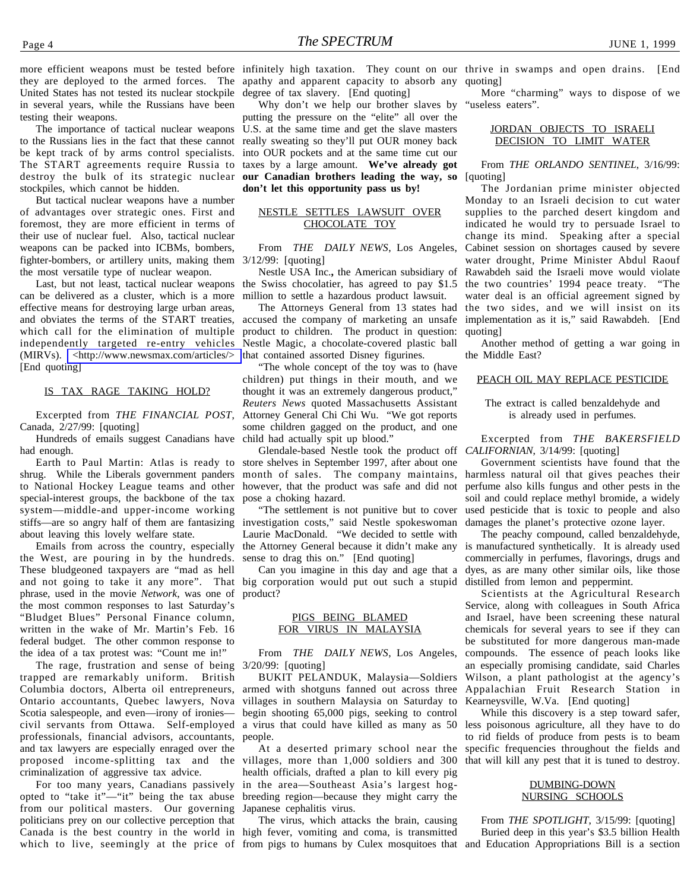they are deployed to the armed forces. The apathy and apparent capacity to absorb any quoting] United States has not tested its nuclear stockpile degree of tax slavery. [End quoting] in several years, while the Russians have been testing their weapons.

The importance of tactical nuclear weapons to the Russians lies in the fact that these cannot really sweating so they'll put OUR money back be kept track of by arms control specialists. The START agreements require Russia to taxes by a large amount. **We've already got** destroy the bulk of its strategic nuclear **our Canadian brothers leading the way, so** stockpiles, which cannot be hidden.

But tactical nuclear weapons have a number of advantages over strategic ones. First and foremost, they are more efficient in terms of their use of nuclear fuel. Also, tactical nuclear weapons can be packed into ICBMs, bombers, fighter-bombers, or artillery units, making them 3/12/99: [quoting] the most versatile type of nuclear weapon.

Last, but not least, tactical nuclear weapons can be delivered as a cluster, which is a more effective means for destroying large urban areas, and obviates the terms of the START treaties, which call for the elimination of multiple independently targeted re-entry vehicles (MIRVs). [<http://www.newsmax.com/articles/>](http://www.newsmax.com/articles/) [End quoting]

#### IS TAX RAGE TAKING HOLD?

Excerpted from *THE FINANCIAL POST*, Canada, 2/27/99: [quoting]

Hundreds of emails suggest Canadians have had enough.

Earth to Paul Martin: Atlas is ready to shrug. While the Liberals government panders to National Hockey League teams and other special-interest groups, the backbone of the tax system—middle-and upper-income working stiffs—are so angry half of them are fantasizing about leaving this lovely welfare state.

Emails from across the country, especially the West, are pouring in by the hundreds. These bludgeoned taxpayers are "mad as hell and not going to take it any more". That big corporation would put out such a stupid phrase, used in the movie *Network*, was one of the most common responses to last Saturday's "Bludget Blues" Personal Finance column, written in the wake of Mr. Martin's Feb. 16 federal budget. The other common response to the idea of a tax protest was: "Count me in!"

The rage, frustration and sense of being trapped are remarkably uniform. British Columbia doctors, Alberta oil entrepreneurs, armed with shotguns fanned out across three Ontario accountants, Quebec lawyers, Nova villages in southern Malaysia on Saturday to Scotia salespeople, and even—irony of ironies civil servants from Ottawa. Self-employed a virus that could have killed as many as 50 professionals, financial advisors, accountants, people. and tax lawyers are especially enraged over the proposed income-splitting tax and the villages, more than 1,000 soldiers and 300 criminalization of aggressive tax advice.

opted to "take it"—"it" being the tax abuse breeding region—because they might carry the from our political masters. Our governing politicians prey on our collective perception that Canada is the best country in the world in high fever, vomiting and coma, is transmitted which to live, seemingly at the price of from pigs to humans by Culex mosquitoes that and Education Appropriations Bill is a section

Why don't we help our brother slaves by putting the pressure on the "elite" all over the U.S. at the same time and get the slave masters into OUR pockets and at the same time cut our **don't let this opportunity pass us by!**

#### NESTLE SETTLES LAWSUIT OVER CHOCOLATE TOY

From *THE DAILY NEWS*, Los Angeles,

Nestle USA Inc.**,** the American subsidiary of the Swiss chocolatier, has agreed to pay \$1.5 million to settle a hazardous product lawsuit.

The Attorneys General from 13 states had accused the company of marketing an unsafe product to children. The product in question: Nestle Magic, a chocolate-covered plastic ball that contained assorted Disney figurines.

"The whole concept of the toy was to (have children) put things in their mouth, and we thought it was an extremely dangerous product," *Reuters News* quoted Massachusetts Assistant Attorney General Chi Chi Wu. "We got reports some children gagged on the product, and one child had actually spit up blood."

Glendale-based Nestle took the product off store shelves in September 1997, after about one month of sales. The company maintains, however, that the product was safe and did not pose a choking hazard.

"The settlement is not punitive but to cover investigation costs," said Nestle spokeswoman Laurie MacDonald. "We decided to settle with the Attorney General because it didn't make any sense to drag this on." [End quoting]

Can you imagine in this day and age that a product?

#### PIGS BEING BLAMED FOR VIRUS IN MALAYSIA

From *THE DAILY NEWS*, Los Angeles, 3/20/99: [quoting]

BUKIT PELANDUK, Malaysia—Soldiers begin shooting 65,000 pigs, seeking to control

For too many years, Canadians passively in the area—Southeast Asia's largest hog-At a deserted primary school near the health officials, drafted a plan to kill every pig Japanese cephalitis virus.

The virus, which attacks the brain, causing

more efficient weapons must be tested before infinitely high taxation. They count on our thrive in swamps and open drains. [End

More "charming" ways to dispose of we "useless eaters".

#### JORDAN OBJECTS TO ISRAELI DECISION TO LIMIT WATER

From *THE ORLANDO SENTINEL*, 3/16/99: [quoting]

The Jordanian prime minister objected Monday to an Israeli decision to cut water supplies to the parched desert kingdom and indicated he would try to persuade Israel to change its mind. Speaking after a special Cabinet session on shortages caused by severe water drought, Prime Minister Abdul Raouf Rawabdeh said the Israeli move would violate the two countries' 1994 peace treaty. "The water deal is an official agreement signed by the two sides, and we will insist on its implementation as it is," said Rawabdeh. [End quoting]

Another method of getting a war going in the Middle East?

#### PEACH OIL MAY REPLACE PESTICIDE

The extract is called benzaldehyde and is already used in perfumes.

Excerpted from *THE BAKERSFIELD CALIFORNIAN*, 3/14/99: [quoting]

Government scientists have found that the harmless natural oil that gives peaches their perfume also kills fungus and other pests in the soil and could replace methyl bromide, a widely used pesticide that is toxic to people and also damages the planet's protective ozone layer.

The peachy compound, called benzaldehyde, is manufactured synthetically. It is already used commercially in perfumes, flavorings, drugs and dyes, as are many other similar oils, like those distilled from lemon and peppermint.

Scientists at the Agricultural Research Service, along with colleagues in South Africa and Israel, have been screening these natural chemicals for several years to see if they can be substituted for more dangerous man-made compounds. The essence of peach looks like an especially promising candidate, said Charles Wilson, a plant pathologist at the agency's Appalachian Fruit Research Station in Kearneysville, W.Va. [End quoting]

While this discovery is a step toward safer, less poisonous agriculture, all they have to do to rid fields of produce from pests is to beam specific frequencies throughout the fields and that will kill any pest that it is tuned to destroy.

#### DUMBING-DOWN NURSING SCHOOLS

From *THE SPOTLIGHT*, 3/15/99: [quoting] Buried deep in this year's \$3.5 billion Health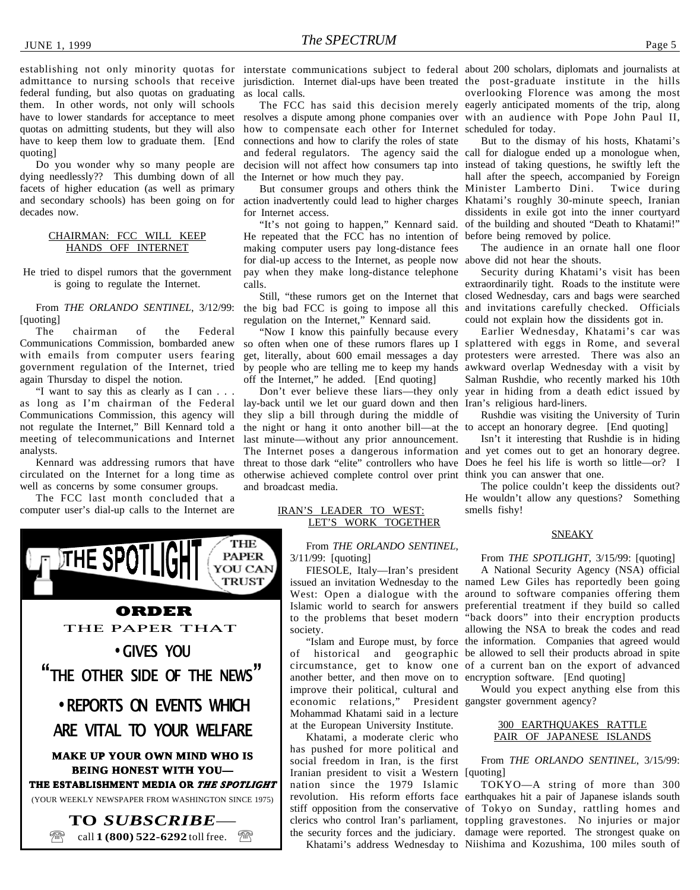admittance to nursing schools that receive jurisdiction. Internet dial-ups have been treated the post-graduate institute in the hills federal funding, but also quotas on graduating as local calls. them. In other words, not only will schools have to lower standards for acceptance to meet quotas on admitting students, but they will also have to keep them low to graduate them. [End quoting]

Do you wonder why so many people are dying needlessly?? This dumbing down of all facets of higher education (as well as primary and secondary schools) has been going on for decades now.

#### CHAIRMAN: FCC WILL KEEP HANDS OFF INTERNET

He tried to dispel rumors that the government is going to regulate the Internet.

From *THE ORLANDO SENTINEL*, 3/12/99: [quoting]

The chairman of the Federal Communications Commission, bombarded anew with emails from computer users fearing government regulation of the Internet, tried again Thursday to dispel the notion.

"I want to say this as clearly as I can . . . as long as I'm chairman of the Federal Communications Commission, this agency will not regulate the Internet," Bill Kennard told a meeting of telecommunications and Internet analysts.

Kennard was addressing rumors that have circulated on the Internet for a long time as well as concerns by some consumer groups.

The FCC last month concluded that a computer user's dial-up calls to the Internet are

establishing not only minority quotas for interstate communications subject to federal about 200 scholars, diplomats and journalists at

resolves a dispute among phone companies over with an audience with Pope John Paul II, how to compensate each other for Internet scheduled for today. connections and how to clarify the roles of state the Internet or how much they pay.

action inadvertently could lead to higher charges for Internet access.

"It's not going to happen," Kennard said. He repeated that the FCC has no intention of making computer users pay long-distance fees for dial-up access to the Internet, as people now pay when they make long-distance telephone calls.

Still, "these rumors get on the Internet that the big bad FCC is going to impose all this regulation on the Internet," Kennard said.

"Now I know this painfully because every so often when one of these rumors flares up I get, literally, about 600 email messages a day by people who are telling me to keep my hands off the Internet," he added. [End quoting]

Don't ever believe these liars—they only lay-back until we let our guard down and then they slip a bill through during the middle of the night or hang it onto another bill—at the to accept an honorary degree. [End quoting] last minute—without any prior announcement. The Internet poses a dangerous information and yet comes out to get an honorary degree. threat to those dark "elite" controllers who have Does he feel his life is worth so little—or? I otherwise achieved complete control over print think you can answer that one. and broadcast media.

#### IRAN'S LEADER TO WEST: LET'S WORK TOGETHER

From *THE ORLANDO SENTINEL*, 3/11/99: [quoting]

FIESOLE, Italy—Iran's president Islamic world to search for answers society.

another better, and then move on to encryption software. [End quoting] improve their political, cultural and economic relations," President gangster government agency? Mohammad Khatami said in a lecture at the European University Institute.

Khatami, a moderate cleric who has pushed for more political and social freedom in Iran, is the first Iranian president to visit a Western [quoting] nation since the 1979 Islamic

The FCC has said this decision merely eagerly anticipated moments of the trip, along overlooking Florence was among the most

and federal regulators. The agency said the call for dialogue ended up a monologue when, decision will not affect how consumers tap into instead of taking questions, he swiftly left the But consumer groups and others think the Minister Lamberto Dini. Twice during But to the dismay of his hosts, Khatami's hall after the speech, accompanied by Foreign Khatami's roughly 30-minute speech, Iranian dissidents in exile got into the inner courtyard of the building and shouted "Death to Khatami!" before being removed by police.

> The audience in an ornate hall one floor above did not hear the shouts.

> Security during Khatami's visit has been extraordinarily tight. Roads to the institute were closed Wednesday, cars and bags were searched and invitations carefully checked. Officials could not explain how the dissidents got in.

> Earlier Wednesday, Khatami's car was splattered with eggs in Rome, and several protesters were arrested. There was also an awkward overlap Wednesday with a visit by Salman Rushdie, who recently marked his 10th year in hiding from a death edict issued by Iran's religious hard-liners.

> Rushdie was visiting the University of Turin

Isn't it interesting that Rushdie is in hiding

The police couldn't keep the dissidents out? He wouldn't allow any questions? Something smells fishy!

#### SNEAKY

From *THE SPOTLIGHT*, 3/15/99: [quoting]

issued an invitation Wednesday to the named Lew Giles has reportedly been going West: Open a dialogue with the around to software companies offering them to the problems that beset modern "back doors" into their encryption products "Islam and Europe must, by force the information. Companies that agreed would of historical and geographic be allowed to sell their products abroad in spite circumstance, get to know one of a current ban on the export of advanced A National Security Agency (NSA) official preferential treatment if they build so called allowing the NSA to break the codes and read

Would you expect anything else from this

#### 300 EARTHQUAKES RATTLE PAIR OF JAPANESE ISLANDS

From *THE ORLANDO SENTINEL*, 3/15/99:

revolution. His reform efforts face earthquakes hit a pair of Japanese islands south stiff opposition from the conservative of Tokyo on Sunday, rattling homes and clerics who control Iran's parliament, toppling gravestones. No injuries or major the security forces and the judiciary. damage were reported. The strongest quake on Khatami's address Wednesday to Niishima and Kozushima, 100 miles south of TOKYO—A string of more than 300



' call **1 (800) 522-6292** toll free. '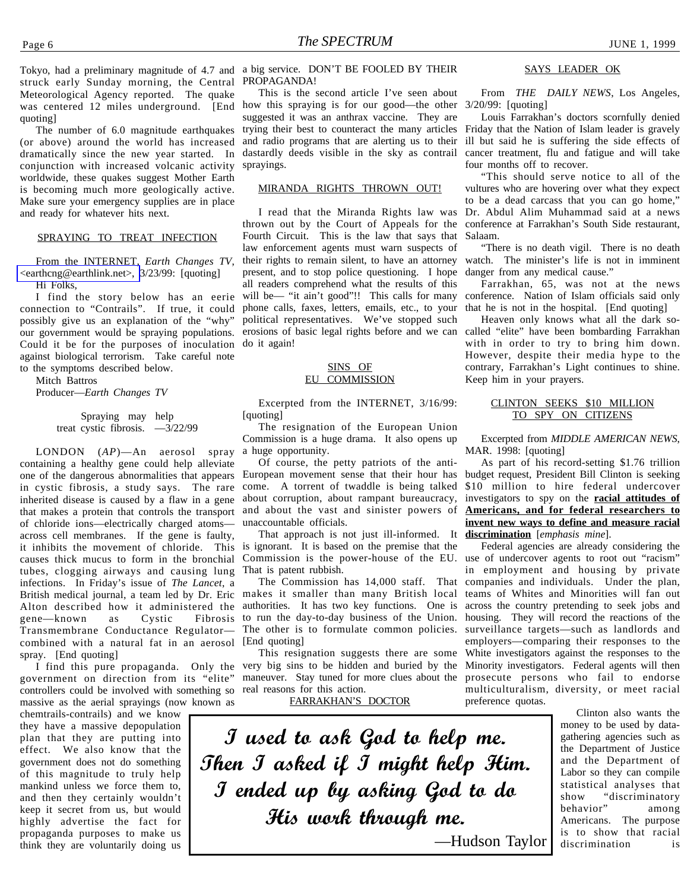#### Page 6 *The SPECTRUM* JUNE 1, 1999

struck early Sunday morning, the Central Meteorological Agency reported. The quake was centered 12 miles underground. [End quoting]

The number of 6.0 magnitude earthquakes (or above) around the world has increased dramatically since the new year started. In conjunction with increased volcanic activity worldwide, these quakes suggest Mother Earth is becoming much more geologically active. Make sure your emergency supplies are in place and ready for whatever hits next.

#### SPRAYING TO TREAT INFECTION

From the INTERNET, *Earth Changes TV*,  $\leq$ earthcng@earthlink.net>, 3/23/99: [quoting] Hi Folks,

I find the story below has an eerie connection to "Contrails". If true, it could possibly give us an explanation of the "why" our government would be spraying populations. Could it be for the purposes of inoculation against biological terrorism. Take careful note to the symptoms described below.

Mitch Battros

Producer—*Earth Changes TV*

Spraying may help treat cystic fibrosis. —3/22/99

LONDON (*AP*)—An aerosol spray containing a healthy gene could help alleviate one of the dangerous abnormalities that appears in cystic fibrosis, a study says. The rare come. A torrent of twaddle is being talked inherited disease is caused by a flaw in a gene about corruption, about rampant bureaucracy, that makes a protein that controls the transport and about the vast and sinister powers of of chloride ions—electrically charged atoms across cell membranes. If the gene is faulty, it inhibits the movement of chloride. This is ignorant. It is based on the premise that the causes thick mucus to form in the bronchial tubes, clogging airways and causing lung infections. In Friday's issue of *The Lancet*, a British medical journal, a team led by Dr. Eric makes it smaller than many British local Alton described how it administered the authorities. It has two key functions. One is gene—known as Cystic Transmembrane Conductance Regulator combined with a natural fat in an aerosol [End quoting] spray. [End quoting]

government on direction from its "elite" controllers could be involved with something so real reasons for this action. massive as the aerial sprayings (now known as

chemtrails-contrails) and we know they have a massive depopulation plan that they are putting into effect. We also know that the government does not do something of this magnitude to truly help mankind unless we force them to, and then they certainly wouldn't keep it secret from us, but would highly advertise the fact for propaganda purposes to make us think they are voluntarily doing us

#### Tokyo, had a preliminary magnitude of 4.7 and a big service. DON'T BE FOOLED BY THEIR PROPAGANDA!

This is the second article I've seen about how this spraying is for our good—the other suggested it was an anthrax vaccine. They are trying their best to counteract the many articles and radio programs that are alerting us to their dastardly deeds visible in the sky as contrail sprayings.

#### MIRANDA RIGHTS THROWN OUT!

I read that the Miranda Rights law was thrown out by the Court of Appeals for the Fourth Circuit. This is the law that says that law enforcement agents must warn suspects of their rights to remain silent, to have an attorney present, and to stop police questioning. I hope all readers comprehend what the results of this will be— "it ain't good"!! This calls for many phone calls, faxes, letters, emails, etc., to your political representatives. We've stopped such erosions of basic legal rights before and we can do it again!

#### SINS OF EU COMMISSION

Excerpted from the INTERNET, 3/16/99: [quoting]

The resignation of the European Union Commission is a huge drama. It also opens up a huge opportunity.

Of course, the petty patriots of the anti-European movement sense that their hour has unaccountable officials.

That approach is not just ill-informed. It Commission is the power-house of the EU. That is patent rubbish.

The other is to formulate common policies.

I find this pure propaganda. Only the very big sins to be hidden and buried by the Minority investigators. Federal agents will then

FARRAKHAN'S DOCTOR

#### From *THE DAILY NEWS*, Los Angeles, 3/20/99: [quoting]

Louis Farrakhan's doctors scornfully denied Friday that the Nation of Islam leader is gravely ill but said he is suffering the side effects of cancer treatment, flu and fatigue and will take four months off to recover.

SAYS LEADER OK

"This should serve notice to all of the vultures who are hovering over what they expect to be a dead carcass that you can go home," Dr. Abdul Alim Muhammad said at a news conference at Farrakhan's South Side restaurant, Salaam.

"There is no death vigil. There is no death watch. The minister's life is not in imminent danger from any medical cause."

Farrakhan, 65, was not at the news conference. Nation of Islam officials said only that he is not in the hospital. [End quoting]

Heaven only knows what all the dark socalled "elite" have been bombarding Farrakhan with in order to try to bring him down. However, despite their media hype to the contrary, Farrakhan's Light continues to shine. Keep him in your prayers.

#### CLINTON SEEKS \$10 MILLION TO SPY ON CITIZENS

Excerpted from *MIDDLE AMERICAN NEWS*, MAR. 1998: [quoting]

As part of his record-setting \$1.76 trillion budget request, President Bill Clinton is seeking \$10 million to hire federal undercover investigators to spy on the **racial attitudes of Americans, and for federal researchers to invent new ways to define and measure racial discrimination** [*emphasis mine*].

The Commission has 14,000 staff. That companies and individuals. Under the plan, to run the day-to-day business of the Union. housing. They will record the reactions of the This resignation suggests there are some White investigators against the responses to the maneuver. Stay tuned for more clues about the prosecute persons who fail to endorse Federal agencies are already considering the use of undercover agents to root out "racism" in employment and housing by private teams of Whites and Minorities will fan out across the country pretending to seek jobs and surveillance targets—such as landlords and employers—comparing their responses to the multiculturalism, diversity, or meet racial preference quotas.

I used to ask God to help me. Then I asked if I might help Him. I ended up by asking God to do His work through me.

—Hudson Taylor

Clinton also wants the money to be used by datagathering agencies such as the Department of Justice and the Department of Labor so they can compile statistical analyses that show "discriminatory behavior" among Americans. The purpose is to show that racial discrimination is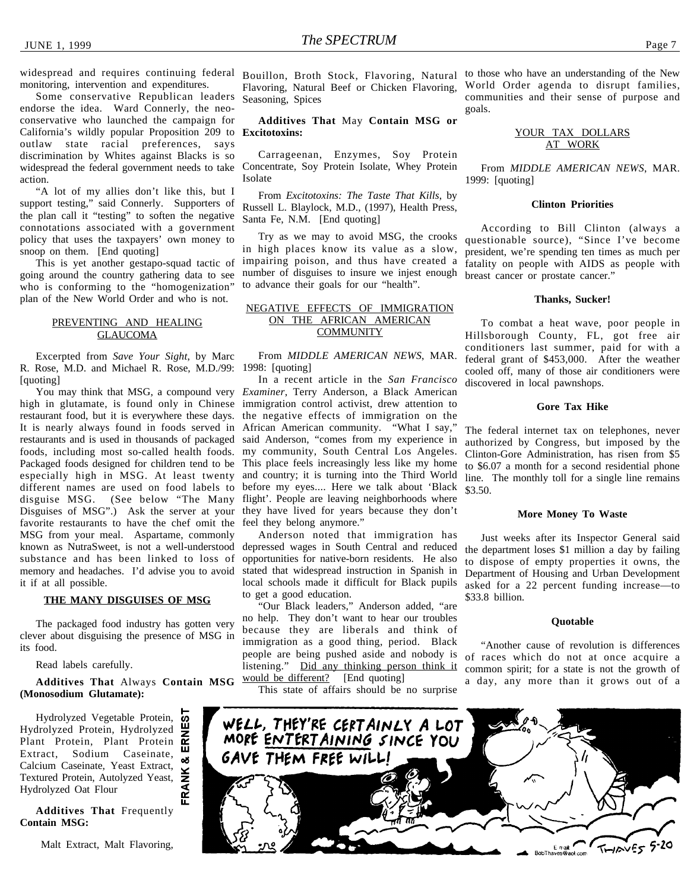widespread and requires continuing federal Bouillon, Broth Stock, Flavoring, Natural to those who have an understanding of the New monitoring, intervention and expenditures.

Some conservative Republican leaders endorse the idea. Ward Connerly, the neoconservative who launched the campaign for California's wildly popular Proposition 209 to **Excitotoxins:** outlaw state racial preferences, says discrimination by Whites against Blacks is so widespread the federal government needs to take Concentrate, Soy Protein Isolate, Whey Protein action.

"A lot of my allies don't like this, but I support testing," said Connerly. Supporters of the plan call it "testing" to soften the negative connotations associated with a government policy that uses the taxpayers' own money to snoop on them. [End quoting]

This is yet another gestapo-squad tactic of going around the country gathering data to see who is conforming to the "homogenization" plan of the New World Order and who is not.

#### PREVENTING AND HEALING GLAUCOMA

Excerpted from *Save Your Sight*, by Marc R. Rose, M.D. and Michael R. Rose, M.D./99: [quoting]

high in glutamate, is found only in Chinese immigration control activist, drew attention to restaurant food, but it is everywhere these days. It is nearly always found in foods served in African American community. "What I say," restaurants and is used in thousands of packaged foods, including most so-called health foods. Packaged foods designed for children tend to be especially high in MSG. At least twenty different names are used on food labels to disguise MSG. (See below "The Many flight'. People are leaving neighborhoods where Disguises of MSG".) Ask the server at your they have lived for years because they don't favorite restaurants to have the chef omit the feel they belong anymore." MSG from your meal. Aspartame, commonly known as NutraSweet, is not a well-understood depressed wages in South Central and reduced substance and has been linked to loss of memory and headaches. I'd advise you to avoid it if at all possible.

#### **THE MANY DISGUISES OF MSG**

The packaged food industry has gotten very clever about disguising the presence of MSG in its food.

Read labels carefully.

#### **Additives That** Always **Contain MSG (Monosodium Glutamate):**

Hydrolyzed Vegetable Protein, ပ္ယ Hydrolyzed Protein, Hydrolyzed Hydrolyzed Protein, Hydrolyzed **Z**<br>Plant Protein, Plant Protein **M** Extract, Sodium Caseinate, య Calcium Caseinate, Yeast Extract, FRANK Textured Protein, Autolyzed Yeast, Hydrolyzed Oat Flour

**Additives That** Frequently **Contain MSG:**

Malt Extract, Malt Flavoring,

Flavoring, Natural Beef or Chicken Flavoring, Seasoning, Spices

### **Additives That** May **Contain MSG or**

Carrageenan, Enzymes, Soy Protein Isolate

From *Excitotoxins: The Taste That Kills*, by Russell L. Blaylock, M.D., (1997), Health Press, Santa Fe, N.M. [End quoting]

Try as we may to avoid MSG, the crooks in high places know its value as a slow, impairing poison, and thus have created a number of disguises to insure we injest enough to advance their goals for our "health".

#### NEGATIVE EFFECTS OF IMMIGRATION ON THE AFRICAN AMERICAN **COMMUNITY**

From *MIDDLE AMERICAN NEWS*, MAR. 1998: [quoting]

You may think that MSG, a compound very *Examiner*, Terry Anderson, a Black American In a recent article in the *San Francisco* the negative effects of immigration on the said Anderson, "comes from my experience in my community, South Central Los Angeles. This place feels increasingly less like my home and country; it is turning into the Third World before my eyes.... Here we talk about 'Black

> Anderson noted that immigration has opportunities for native-born residents. He also stated that widespread instruction in Spanish in local schools made it difficult for Black pupils to get a good education.

> "Our Black leaders," Anderson added, "are no help. They don't want to hear our troubles because they are liberals and think of immigration as a good thing, period. Black people are being pushed aside and nobody is listening." Did any thinking person think it would be different? [End quoting]

This state of affairs should be no surprise

World Order agenda to disrupt families, communities and their sense of purpose and goals.

#### YOUR TAX DOLLARS AT WORK

From *MIDDLE AMERICAN NEWS*, MAR. 1999: [quoting]

#### **Clinton Priorities**

According to Bill Clinton (always a questionable source), "Since I've become president, we're spending ten times as much per fatality on people with AIDS as people with breast cancer or prostate cancer."

#### **Thanks, Sucker!**

To combat a heat wave, poor people in Hillsborough County, FL, got free air conditioners last summer, paid for with a federal grant of \$453,000. After the weather cooled off, many of those air conditioners were discovered in local pawnshops.

#### **Gore Tax Hike**

The federal internet tax on telephones, never authorized by Congress, but imposed by the Clinton-Gore Administration, has risen from \$5 to \$6.07 a month for a second residential phone line. The monthly toll for a single line remains \$3.50.

#### **More Money To Waste**

Just weeks after its Inspector General said the department loses \$1 million a day by failing to dispose of empty properties it owns, the Department of Housing and Urban Development asked for a 22 percent funding increase—to \$33.8 billion.

#### **Quotable**

"Another cause of revolution is differences of races which do not at once acquire a common spirit; for a state is not the growth of a day, any more than it grows out of a

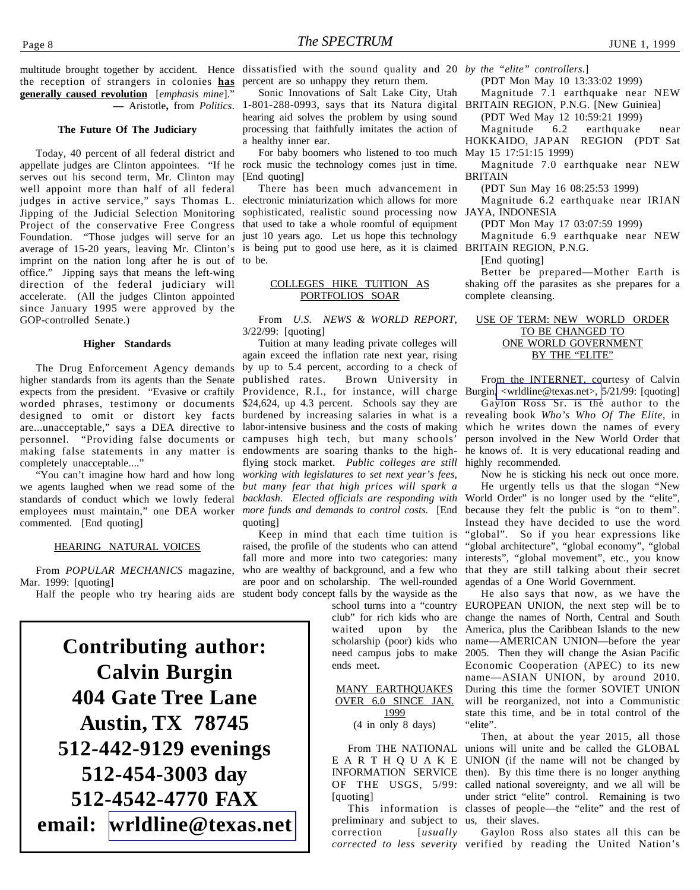multitude brought together by accident. Hence dissatisfied with the sound quality and 20 *by the "elite" controllers.*] the reception of strangers in colonies **has** percent are so unhappy they return them. **generally caused revolution** [*emphasis mine*]." **—** Aristotle**,** from *Politics*.

#### **The Future Of The Judiciary**

Today, 40 percent of all federal district and appellate judges are Clinton appointees. "If he rock music the technology comes just in time. serves out his second term, Mr. Clinton may well appoint more than half of all federal judges in active service," says Thomas L. Jipping of the Judicial Selection Monitoring Project of the conservative Free Congress Foundation. "Those judges will serve for an average of 15-20 years, leaving Mr. Clinton's is being put to good use here, as it is claimed imprint on the nation long after he is out of to be. office." Jipping says that means the left-wing direction of the federal judiciary will accelerate. (All the judges Clinton appointed since January 1995 were approved by the GOP-controlled Senate.)

#### **Higher Standards**

The Drug Enforcement Agency demands higher standards from its agents than the Senate expects from the president. "Evasive or craftily worded phrases, testimony or documents designed to omit or distort key facts are...unacceptable," says a DEA directive to personnel. "Providing false documents or making false statements in any matter is completely unacceptable...."

"You can't imagine how hard and how long we agents laughed when we read some of the *but many fear that high prices will spark a* standards of conduct which we lowly federal *backlash. Elected officials are responding with* employees must maintain," one DEA worker *more funds and demands to control costs.* [End commented. [End quoting]

#### HEARING NATURAL VOICES

From *POPULAR MECHANICS* magazine, Mar. 1999: [quoting]

**Contributing author: Calvin Burgin 404 Gate Tree Lane Austin, TX 78745 512-442-9129 evenings 512-454-3003 day 512-4542-4770 FAX email: [wrldline@texas.net](mailto:wrldline@texas.net)**

Sonic Innovations of Salt Lake City, Utah 1-801-288-0993, says that its Natura digital hearing aid solves the problem by using sound processing that faithfully imitates the action of a healthy inner ear.

For baby boomers who listened to too much [End quoting]

There has been much advancement in electronic miniaturization which allows for more sophisticated, realistic sound processing now that used to take a whole roomful of equipment just 10 years ago. Let us hope this technology

#### COLLEGES HIKE TUITION AS PORTFOLIOS SOAR

From *U.S. NEWS & WORLD REPORT*, 3/22/99: [quoting]

Tuition at many leading private colleges will again exceed the inflation rate next year, rising by up to 5.4 percent, according to a check of published rates. Brown University in Providence, R.I., for instance, will charge \$24,624, up 4.3 percent. Schools say they are burdened by increasing salaries in what is a labor-intensive business and the costs of making campuses high tech, but many schools' endowments are soaring thanks to the highflying stock market. *Public colleges are still working with legislatures to set next year's fees,* quoting]

Half the people who try hearing aids are student body concept falls by the wayside as the Keep in mind that each time tuition is raised, the profile of the students who can attend fall more and more into two categories: many who are wealthy of background, and a few who are poor and on scholarship. The well-rounded

waited upon ends meet.

MANY EARTHQUAKES OVER 6.0 SINCE JAN. 1999 (4 in only 8 days)

[quoting]

preliminary and subject to us, their slaves. correction [*usually*

(PDT Mon May 10 13:33:02 1999)

Magnitude 7.1 earthquake near NEW BRITAIN REGION, P.N.G. [New Guiniea]

(PDT Wed May 12 10:59:21 1999) Magnitude 6.2 earthquake near

HOKKAIDO, JAPAN REGION (PDT Sat May 15 17:51:15 1999)

Magnitude 7.0 earthquake near NEW BRITAIN

(PDT Sun May 16 08:25:53 1999)

Magnitude 6.2 earthquake near IRIAN JAYA, INDONESIA

(PDT Mon May 17 03:07:59 1999)

Magnitude 6.9 earthquake near NEW BRITAIN REGION, P.N.G.

[End quoting]

Better be prepared—Mother Earth is shaking off the parasites as she prepares for a complete cleansing.

#### USE OF TERM: NEW WORLD ORDER TO BE CHANGED TO ONE WORLD GOVERNMENT BY THE "ELITE"

From the INTERNET, courtesy of Calvin Burgin[, <wrldline@texas.net>,](mailto:wrldline@texas.net) 5/21/99: [quoting]

Gaylon Ross Sr. is the author to the revealing book *Who's Who Of The Elite*, in which he writes down the names of every person involved in the New World Order that he knows of. It is very educational reading and highly recommended.

Now he is sticking his neck out once more. He urgently tells us that the slogan "New World Order" is no longer used by the "elite", because they felt the public is "on to them". Instead they have decided to use the word "global". So if you hear expressions like "global architecture", "global economy", "global interests", "global movement", etc., you know that they are still talking about their secret agendas of a One World Government.

school turns into a "country EUROPEAN UNION, the next step will be to club" for rich kids who are change the names of North, Central and South scholarship (poor) kids who name—AMERICAN UNION—before the year need campus jobs to make 2005. Then they will change the Asian Pacific He also says that now, as we have the by the America, plus the Caribbean Islands to the new Economic Cooperation (APEC) to its new name—ASIAN UNION, by around 2010. During this time the former SOVIET UNION will be reorganized, not into a Communistic state this time, and be in total control of the "elite".

From THE NATIONAL unions will unite and be called the GLOBAL EARTHQUAKE UNION (if the name will not be changed by INFORMATION SERVICE then). By this time there is no longer anything OF THE USGS, 5/99: called national sovereignty, and we all will be This information is classes of people—the "elite" and the rest of Then, at about the year 2015, all those under strict "elite" control. Remaining is two

*corrected to less severity* verified by reading the United Nation's Gaylon Ross also states all this can be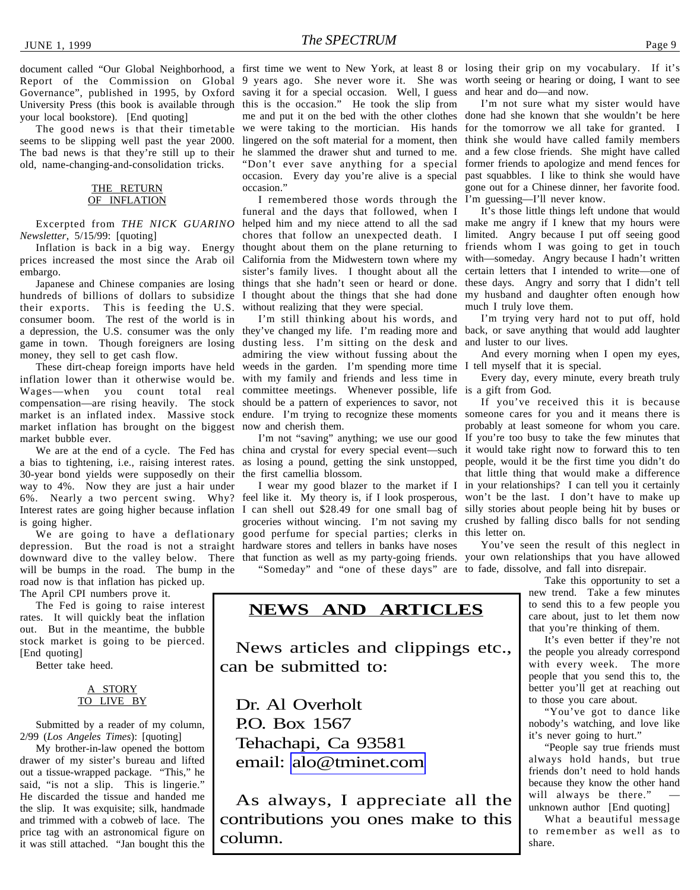Report of the Commission on Global 9 years ago. She never wore it. She was worth seeing or hearing or doing, I want to see Governance", published in 1995, by Oxford saving it for a special occasion. Well, I guess and hear and do—and now. University Press (this book is available through this is the occasion." He took the slip from your local bookstore). [End quoting]

seems to be slipping well past the year 2000. The bad news is that they're still up to their he slammed the drawer shut and turned to me. old, name-changing-and-consolidation tricks.

#### THE RETURN OF INFLATION

*Newsletter*, 5/15/99: [quoting]

Inflation is back in a big way. Energy prices increased the most since the Arab oil embargo.

Japanese and Chinese companies are losing hundreds of billions of dollars to subsidize their exports. This is feeding the U.S. consumer boom. The rest of the world is in a depression, the U.S. consumer was the only they've changed my life. I'm reading more and game in town. Though foreigners are losing money, they sell to get cash flow.

These dirt-cheap foreign imports have held inflation lower than it otherwise would be. with my family and friends and less time in Wages—when you count total real compensation—are rising heavily. The stock should be a pattern of experiences to savor, not market is an inflated index. Massive stock market inflation has brought on the biggest now and cherish them. market bubble ever.

a bias to tightening, i.e., raising interest rates. 30-year bond yields were supposedly on their way to 4%. Now they are just a hair under 6%. Nearly a two percent swing. Why? feel like it. My theory is, if I look prosperous, is going higher.

We are going to have a deflationary will be bumps in the road. The bump in the road now is that inflation has picked up. The April CPI numbers prove it.

The Fed is going to raise interest rates. It will quickly beat the inflation out. But in the meantime, the bubble stock market is going to be pierced. [End quoting]

Better take heed.

#### A STORY TO LIVE BY

Submitted by a reader of my column, 2/99 (*Los Angeles Times*): [quoting]

My brother-in-law opened the bottom drawer of my sister's bureau and lifted out a tissue-wrapped package. "This," he said, "is not a slip. This is lingerie." He discarded the tissue and handed me the slip. It was exquisite; silk, handmade and trimmed with a cobweb of lace. The price tag with an astronomical figure on it was still attached. "Jan bought this the lingered on the soft material for a moment, then "Don't ever save anything for a special occasion. Every day you're alive is a special occasion."

Excerpted from *THE NICK GUARINO* helped him and my niece attend to all the sad make me angry if I knew that my hours were I remembered those words through the funeral and the days that followed, when I chores that follow an unexpected death. I thought about them on the plane returning to California from the Midwestern town where my sister's family lives. I thought about all the certain letters that I intended to write—one of things that she hadn't seen or heard or done. I thought about the things that she had done my husband and daughter often enough how without realizing that they were special.

> I'm still thinking about his words, and dusting less. I'm sitting on the desk and admiring the view without fussing about the weeds in the garden. I'm spending more time committee meetings. Whenever possible, life endure. I'm trying to recognize these moments

We are at the end of a cycle. The Fed has china and crystal for every special event—such it would take right now to forward this to ten I'm not "saving" anything; we use our good as losing a pound, getting the sink unstopped, the first camellia blossom.

Interest rates are going higher because inflation I can shell out \$28.49 for one small bag of silly stories about people being hit by buses or depression. But the road is not a straight hardware stores and tellers in banks have noses downward dive to the valley below. There that function as well as my party-going friends. your own relationships that you have allowed groceries without wincing. I'm not saving my crushed by falling disco balls for not sending good perfume for special parties; clerks in this letter on. "Someday" and "one of these days" are to fade, dissolve, and fall into disrepair.

#### **NEWS AND ARTICLES**

News articles and clippings etc., can be submitted to:

Dr. Al Overholt P.O. Box 1567 Tehachapi, Ca 93581 email: [alo@tminet.com](mailto:alo@tminet.com)

As always, I appreciate all the contributions you ones make to this column.

document called "Our Global Neighborhood, a first time we went to New York, at least 8 or losing their grip on my vocabulary. If it's

I'm not sure what my sister would have done had she known that she wouldn't be here for the tomorrow we all take for granted. I think she would have called family members and a few close friends. She might have called former friends to apologize and mend fences for past squabbles. I like to think she would have gone out for a Chinese dinner, her favorite food. I'm guessing—I'll never know.

It's those little things left undone that would limited. Angry because I put off seeing good friends whom I was going to get in touch with—someday. Angry because I hadn't written these days. Angry and sorry that I didn't tell much I truly love them.

I'm trying very hard not to put off, hold back, or save anything that would add laughter and luster to our lives.

And every morning when I open my eyes, I tell myself that it is special.

Every day, every minute, every breath truly is a gift from God.

I wear my good blazer to the market if I in your relationships? I can tell you it certainly If you've received this it is because someone cares for you and it means there is probably at least someone for whom you care. If you're too busy to take the few minutes that people, would it be the first time you didn't do that little thing that would make a difference won't be the last. I don't have to make up

You've seen the result of this neglect in

Take this opportunity to set a new trend. Take a few minutes to send this to a few people you care about, just to let them now that you're thinking of them.

It's even better if they're not the people you already correspond with every week. The more people that you send this to, the better you'll get at reaching out to those you care about.

"You've got to dance like nobody's watching, and love like it's never going to hurt."

"People say true friends must always hold hands, but true friends don't need to hold hands because they know the other hand will always be there." unknown author [End quoting]

What a beautiful message to remember as well as to share.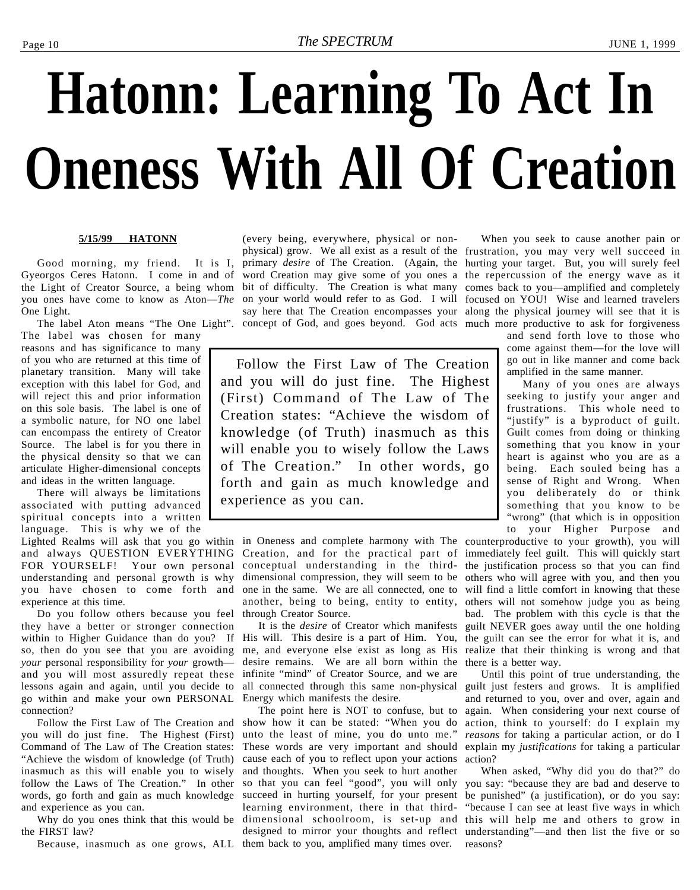## <span id="page-9-0"></span>**Hatonn: Learning To Act In Oneness With All Of Creation**

#### **5/15/99 HATONN**

One Light.

The label was chosen for many reasons and has significance to many of you who are returned at this time of planetary transition. Many will take exception with this label for God, and will reject this and prior information on this sole basis. The label is one of a symbolic nature, for NO one label can encompass the entirety of Creator Source. The label is for you there in the physical density so that we can articulate Higher-dimensional concepts and ideas in the written language.

There will always be limitations associated with putting advanced spiritual concepts into a written language. This is why we of the

understanding and personal growth is why you have chosen to come forth and experience at this time.

Do you follow others because you feel they have a better or stronger connection so, then do you see that you are avoiding *your* personal responsibility for *your* growth and you will most assuredly repeat these lessons again and again, until you decide to go within and make your own PERSONAL connection?

Follow the First Law of The Creation and you will do just fine. The Highest (First) Command of The Law of The Creation states: "Achieve the wisdom of knowledge (of Truth) inasmuch as this will enable you to wisely follow the Laws of The Creation." In other words, go forth and gain as much knowledge and experience as you can.

Why do you ones think that this would be the FIRST law?

Good morning, my friend. It is I, primary *desire* of The Creation. (Again, the hurting your target. But, you will surely feel Gyeorgos Ceres Hatonn. I come in and of word Creation may give some of you ones a the repercussion of the energy wave as it the Light of Creator Source, a being whom bit of difficulty. The Creation is what many comes back to you—amplified and completely you ones have come to know as Aton—*The* on your world would refer to as God. I will focused on YOU! Wise and learned travelers The label Aton means "The One Light". concept of God, and goes beyond. God acts much more productive to ask for forgiveness (every being, everywhere, physical or nonphysical) grow. We all exist as a result of the frustration, you may very well succeed in say here that The Creation encompasses your along the physical journey will see that it is

> Follow the First Law of The Creation and you will do just fine. The Highest (First) Command of The Law of The Creation states: "Achieve the wisdom of knowledge (of Truth) inasmuch as this will enable you to wisely follow the Laws of The Creation." In other words, go forth and gain as much knowledge and experience as you can.

Lighted Realms will ask that you go within in Oneness and complete harmony with The counterproductive to your growth), you will and always QUESTION EVERYTHING Creation, and for the practical part of immediately feel guilt. This will quickly start FOR YOURSELF! Your own personal conceptual understanding in the third- the justification process so that you can find dimensional compression, they will seem to be others who will agree with you, and then you one in the same. We are all connected, one to will find a little comfort in knowing that these another, being to being, entity to entity, others will not somehow judge you as being through Creator Source.

> It is the *desire* of Creator which manifests desire remains. We are all born within the infinite "mind" of Creator Source, and we are all connected through this same non-physical Energy which manifests the desire.

Because, inasmuch as one grows, ALL them back to you, amplified many times over. The point here is NOT to confuse, but to show how it can be stated: "When you do unto the least of mine, you do unto me." These words are very important and should cause each of you to reflect upon your actions and thoughts. When you seek to hurt another so that you can feel "good", you will only succeed in hurting yourself, for your present be punished" (a justification), or do you say: learning environment, there in that third-"because I can see at least five ways in which dimensional schoolroom, is set-up and this will help me and others to grow in designed to mirror your thoughts and reflect understanding"—and then list the five or so

When you seek to cause another pain or

and send forth love to those who come against them—for the love will go out in like manner and come back amplified in the same manner.

Many of you ones are always seeking to justify your anger and frustrations. This whole need to "justify" is a byproduct of guilt. Guilt comes from doing or thinking something that you know in your heart is against who you are as a being. Each souled being has a sense of Right and Wrong. When you deliberately do or think something that you know to be "wrong" (that which is in opposition to your Higher Purpose and

within to Higher Guidance than do you? If His will. This desire is a part of Him. You, the guilt can see the error for what it is, and me, and everyone else exist as long as His realize that their thinking is wrong and that bad. The problem with this cycle is that the guilt NEVER goes away until the one holding there is a better way.

Until this point of true understanding, the guilt just festers and grows. It is amplified and returned to you, over and over, again and again. When considering your next course of action, think to yourself: do I explain my *reasons* for taking a particular action, or do I explain my *justifications* for taking a particular action?

When asked, "Why did you do that?" do you say: "because they are bad and deserve to reasons?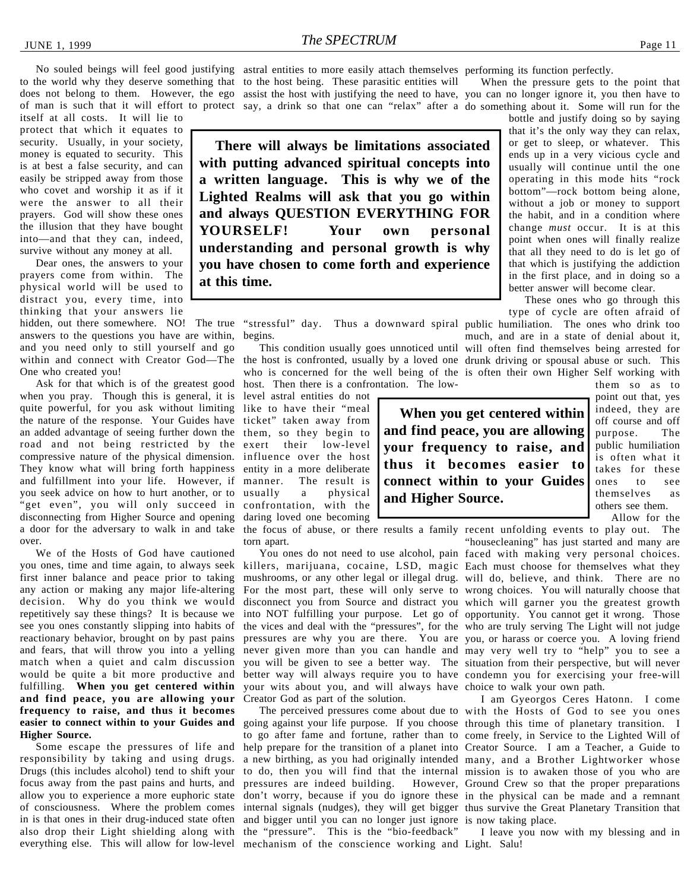bottle and justify doing so by saying that it's the only way they can relax, or get to sleep, or whatever. This ends up in a very vicious cycle and usually will continue until the one operating in this mode hits "rock bottom"—rock bottom being alone, without a job or money to support the habit, and in a condition where change *must* occur. It is at this point when ones will finally realize that all they need to do is let go of that which is justifying the addiction in the first place, and in doing so a better answer will become clear.

These ones who go through this type of cycle are often afraid of

itself at all costs. It will lie to protect that which it equates to security. Usually, in your society, money is equated to security. This is at best a false security, and can easily be stripped away from those who covet and worship it as if it were the answer to all their prayers. God will show these ones the illusion that they have bought into—and that they can, indeed, survive without any money at all.

Dear ones, the answers to your prayers come from within. The physical world will be used to distract you, every time, into thinking that your answers lie

answers to the questions you have are within, begins. and you need only to still yourself and go within and connect with Creator God—The the host is confronted, usually by a loved one drunk driving or spousal abuse or such. This One who created you!

Ask for that which is of the greatest good when you pray. Though this is general, it is quite powerful, for you ask without limiting the nature of the response. Your Guides have an added advantage of seeing further down the road and not being restricted by the compressive nature of the physical dimension. They know what will bring forth happiness and fulfillment into your life. However, if you seek advice on how to hurt another, or to "get even", you will only succeed in disconnecting from Higher Source and opening a door for the adversary to walk in and take over.

We of the Hosts of God have cautioned you ones, time and time again, to always seek first inner balance and peace prior to taking any action or making any major life-altering decision. Why do you think we would repetitively say these things? It is because we see you ones constantly slipping into habits of reactionary behavior, brought on by past pains and fears, that will throw you into a yelling match when a quiet and calm discussion would be quite a bit more productive and fulfilling. **When you get centered within and find peace, you are allowing your frequency to raise, and thus it becomes easier to connect within to your Guides and Higher Source.**

Some escape the pressures of life and responsibility by taking and using drugs. Drugs (this includes alcohol) tend to shift your focus away from the past pains and hurts, and allow you to experience a more euphoric state of consciousness. Where the problem comes in is that ones in their drug-induced state often also drop their Light shielding along with the "pressure". This is the "bio-feedback"

No souled beings will feel good justifying astral entities to more easily attach themselves performing its function perfectly. to the world why they deserve something that to the host being. These parasitic entities will When the pressure gets to the point that does not belong to them. However, the ego assist the host with justifying the need to have, you can no longer ignore it, you then have to of man is such that it will effort to protect say, a drink so that one can "relax" after a do something about it. Some will run for the

> **There will always be limitations associated with putting advanced spiritual concepts into a written language. This is why we of the Lighted Realms will ask that you go within and always QUESTION EVERYTHING FOR YOURSELF! Your own personal understanding and personal growth is why you have chosen to come forth and experience at this time.**

hidden, out there somewhere. NO! The true "stressful" day. Thus a downward spiral public humiliation. The ones who drink too much, and are in a state of denial about it,

> This condition usually goes unnoticed until will often find themselves being arrested for who is concerned for the well being of the is often their own Higher Self working with host. Then there is a confrontation. The low-

level astral entities do not like to have their "meal ticket" taken away from them, so they begin to exert their low-level influence over the host entity in a more deliberate manner. The result is usually a physical confrontation, with the daring loved one becoming

the focus of abuse, or there results a family recent unfolding events to play out. The torn apart.

your wits about you, and will always have choice to walk your own path. Creator God as part of the solution.

everything else. This will allow for low-level mechanism of the conscience working and Light. Salu!and bigger until you can no longer just ignore is now taking place.

**When you get centered within and find peace, you are allowing your frequency to raise, and thus it becomes easier to connect within to your Guides** them so as to point out that, yes indeed, they are off course and off purpose. The public humiliation is often what it takes for these ones to see themselves as others see them.

Allow for the

You ones do not need to use alcohol, pain faced with making very personal choices. killers, marijuana, cocaine, LSD, magic Each must choose for themselves what they mushrooms, or any other legal or illegal drug. will do, believe, and think. There are no For the most part, these will only serve to wrong choices. You will naturally choose that disconnect you from Source and distract you which will garner you the greatest growth into NOT fulfilling your purpose. Let go of opportunity. You cannot get it wrong. Those the vices and deal with the "pressures", for the who are truly serving The Light will not judge pressures are why you are there. You are you, or harass or coerce you. A loving friend never given more than you can handle and may very well try to "help" you to see a you will be given to see a better way. The situation from their perspective, but will never better way will always require you to have condemn you for exercising your free-will "housecleaning" has just started and many are

The perceived pressures come about due to with the Hosts of God to see you ones going against your life purpose. If you choose through this time of planetary transition. I to go after fame and fortune, rather than to come freely, in Service to the Lighted Will of help prepare for the transition of a planet into Creator Source. I am a Teacher, a Guide to a new birthing, as you had originally intended many, and a Brother Lightworker whose to do, then you will find that the internal mission is to awaken those of you who are pressures are indeed building. However, Ground Crew so that the proper preparations don't worry, because if you do ignore these in the physical can be made and a remnant internal signals (nudges), they will get bigger thus survive the Great Planetary Transition that I am Gyeorgos Ceres Hatonn. I come

I leave you now with my blessing and in

**and Higher Source.**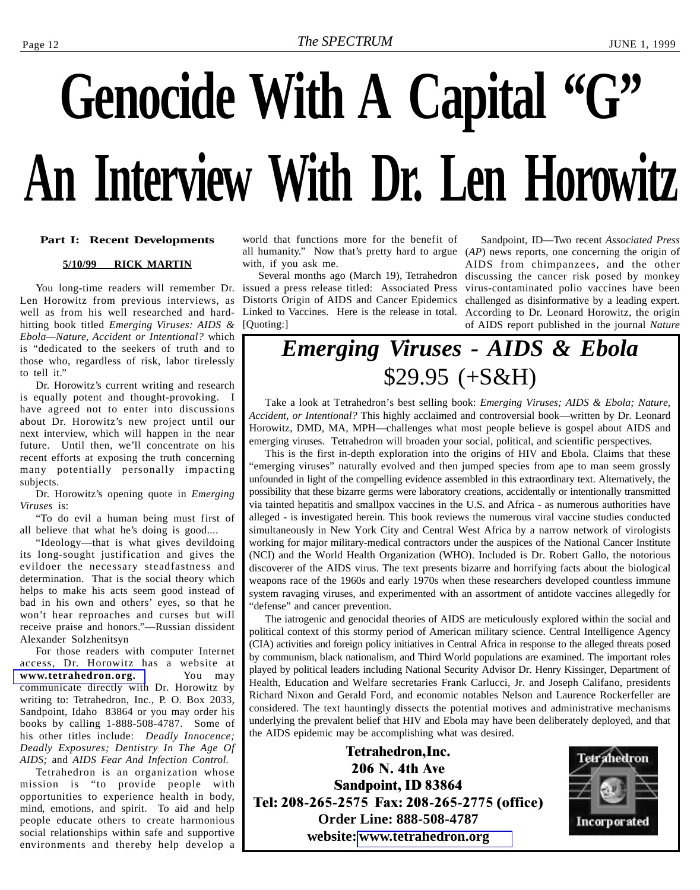#### <span id="page-11-0"></span>Page 12 *The SPECTRUM* JUNE 1, 1999

# **Genocide With A Capital "G" An Interview With Dr. Len Horowitz**

#### **Part I: Recent Developments**

#### **5/10/99 RICK MARTIN**

Len Horowitz from previous interviews, as well as from his well researched and hardhitting book titled *Emerging Viruses: AIDS & Ebola—Nature, Accident or Intentional?* which is "dedicated to the seekers of truth and to those who, regardless of risk, labor tirelessly to tell it."

Dr. Horowitz's current writing and research is equally potent and thought-provoking. I have agreed not to enter into discussions about Dr. Horowitz's new project until our next interview, which will happen in the near future. Until then, we'll concentrate on his recent efforts at exposing the truth concerning many potentially personally impacting subjects.

Dr. Horowitz's opening quote in *Emerging Viruses* is:

"To do evil a human being must first of all believe that what he's doing is good....

"Ideology—that is what gives devildoing its long-sought justification and gives the evildoer the necessary steadfastness and determination. That is the social theory which helps to make his acts seem good instead of bad in his own and others' eyes, so that he won't hear reproaches and curses but will receive praise and honors."—Russian dissident Alexander Solzhenitsyn

For those readers with computer Internet access, Dr. Horowitz has a website at **[www.tetrahedron.org.](http://www.tetrahedron.org)** You may communicate directly with Dr. Horowitz by writing to: Tetrahedron, Inc., P. O. Box 2033, Sandpoint, Idaho 83864 or you may order his books by calling 1-888-508-4787. Some of his other titles include: *Deadly Innocence; Deadly Exposures; Dentistry In The Age Of AIDS;* and *AIDS Fear And Infection Control.*

Tetrahedron is an organization whose mission is "to provide people with opportunities to experience health in body, mind, emotions, and spirit. To aid and help people educate others to create harmonious social relationships within safe and supportive environments and thereby help develop a

world that functions more for the benefit of with, if you ask me.

You long-time readers will remember Dr. issued a press release titled: Associated Press virus-contaminated polio vaccines have been Distorts Origin of AIDS and Cancer Epidemics challenged as disinformative by a leading expert. Linked to Vaccines. Here is the release in total. According to Dr. Leonard Horowitz, the origin [Quoting:]

all humanity." Now that's pretty hard to argue (*AP*) news reports, one concerning the origin of Several months ago (March 19), Tetrahedron discussing the cancer risk posed by monkey Sandpoint, ID—Two recent *Associated Press* AIDS from chimpanzees, and the other of AIDS report published in the journal *Nature*

### *Emerging Viruses - AIDS & Ebola* \$29.95 (+S&H)

Take a look at Tetrahedron's best selling book: *Emerging Viruses; AIDS & Ebola; Nature, Accident, or Intentional?* This highly acclaimed and controversial book—written by Dr. Leonard Horowitz, DMD, MA, MPH—challenges what most people believe is gospel about AIDS and emerging viruses. Tetrahedron will broaden your social, political, and scientific perspectives.

This is the first in-depth exploration into the origins of HIV and Ebola. Claims that these "emerging viruses" naturally evolved and then jumped species from ape to man seem grossly unfounded in light of the compelling evidence assembled in this extraordinary text. Alternatively, the possibility that these bizarre germs were laboratory creations, accidentally or intentionally transmitted via tainted hepatitis and smallpox vaccines in the U.S. and Africa - as numerous authorities have alleged - is investigated herein. This book reviews the numerous viral vaccine studies conducted simultaneously in New York City and Central West Africa by a narrow network of virologists working for major military-medical contractors under the auspices of the National Cancer Institute (NCI) and the World Health Organization (WHO). Included is Dr. Robert Gallo, the notorious discoverer of the AIDS virus. The text presents bizarre and horrifying facts about the biological weapons race of the 1960s and early 1970s when these researchers developed countless immune system ravaging viruses, and experimented with an assortment of antidote vaccines allegedly for 'defense'' and cancer prevention.

The iatrogenic and genocidal theories of AIDS are meticulously explored within the social and political context of this stormy period of American military science. Central Intelligence Agency (CIA) activities and foreign policy initiatives in Central Africa in response to the alleged threats posed by communism, black nationalism, and Third World populations are examined. The important roles played by political leaders including National Security Advisor Dr. Henry Kissinger, Department of Health, Education and Welfare secretaries Frank Carlucci, Jr. and Joseph Califano, presidents Richard Nixon and Gerald Ford, and economic notables Nelson and Laurence Rockerfeller are considered. The text hauntingly dissects the potential motives and administrative mechanisms underlying the prevalent belief that HIV and Ebola may have been deliberately deployed, and that the AIDS epidemic may be accomplishing what was desired.

Tetrahedron,Inc. 206 N. 4th Ave Sandpoint, ID 83864 Tel: 208-265-2575 Fax: 208-265-2775 (office) **Order Line: 888-508-4787 website: [www.tetrahedron.org](http://www.tetrahedron.org)**

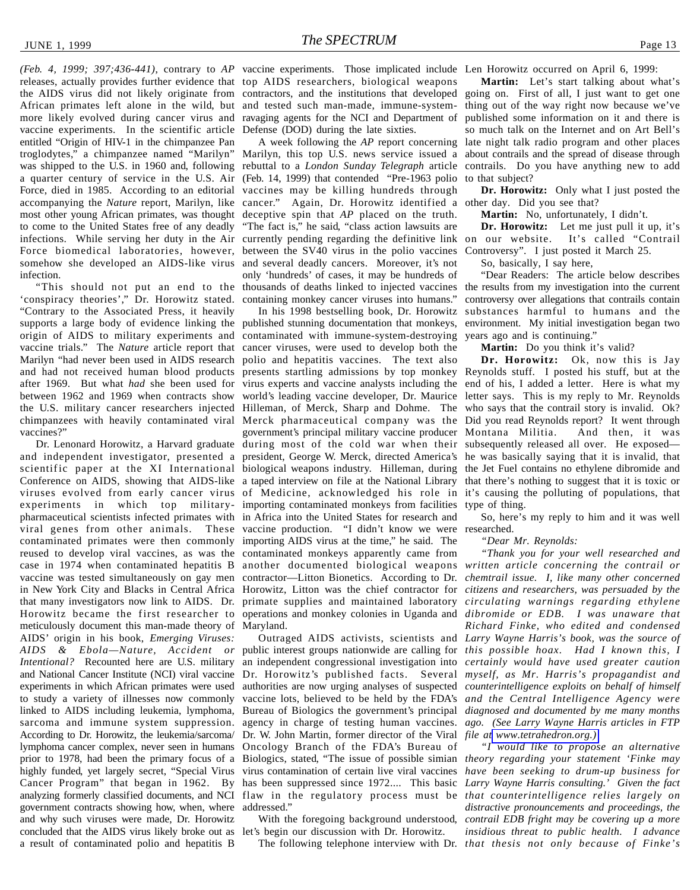*(Feb. 4, 1999; 397;436-441)*, contrary to *AP* vaccine experiments. Those implicated include Len Horowitz occurred on April 6, 1999: releases, actually provides further evidence that top AIDS researchers, biological weapons the AIDS virus did not likely originate from contractors, and the institutions that developed African primates left alone in the wild, but and tested such man-made, immune-systemmore likely evolved during cancer virus and ravaging agents for the NCI and Department of vaccine experiments. In the scientific article Defense (DOD) during the late sixties. entitled "Origin of HIV-1 in the chimpanzee Pan troglodytes," a chimpanzee named "Marilyn" was shipped to the U.S. in 1960 and, following rebuttal to a *London Sunday Telegraph* article a quarter century of service in the U.S. Air (Feb. 14, 1999) that contended "Pre-1963 polio Force, died in 1985. According to an editorial vaccines may be killing hundreds through accompanying the *Nature* report, Marilyn, like cancer." Again, Dr. Horowitz identified a other day. Did you see that? most other young African primates, was thought deceptive spin that *AP* placed on the truth. to come to the United States free of any deadly "The fact is," he said, "class action lawsuits are infections. While serving her duty in the Air currently pending regarding the definitive link on our website. It's called "Contrail Force biomedical laboratories, however, between the SV40 virus in the polio vaccines somehow she developed an AIDS-like virus and several deadly cancers. Moreover, it's not infection.

'conspiracy theories'," Dr. Horowitz stated. containing monkey cancer viruses into humans." "Contrary to the Associated Press, it heavily supports a large body of evidence linking the published stunning documentation that monkeys, origin of AIDS to military experiments and vaccine trials." The *Nature* article report that cancer viruses, were used to develop both the Marilyn "had never been used in AIDS research polio and hepatitis vaccines. The text also and had not received human blood products presents startling admissions by top monkey after 1969. But what *had* she been used for virus experts and vaccine analysts including the between 1962 and 1969 when contracts show the U.S. military cancer researchers injected Hilleman, of Merck, Sharp and Dohme. The chimpanzees with heavily contaminated viral Merck pharmaceutical company was the vaccines?"

and independent investigator, presented a scientific paper at the XI International Conference on AIDS, showing that AIDS-like a taped interview on file at the National Library viruses evolved from early cancer virus of Medicine, acknowledged his role in it's causing the polluting of populations, that experiments in which top military- importing contaminated monkeys from facilities type of thing. pharmaceutical scientists infected primates with in Africa into the United States for research and viral genes from other animals. These vaccine production. "I didn't know we were researched. contaminated primates were then commonly importing AIDS virus at the time," he said. The reused to develop viral vaccines, as was the contaminated monkeys apparently came from case in 1974 when contaminated hepatitis B another documented biological weapons *written article concerning the contrail or* vaccine was tested simultaneously on gay men contractor—Litton Bionetics. According to Dr. *chemtrail issue. I, like many other concerned* in New York City and Blacks in Central Africa Horowitz, Litton was the chief contractor for *citizens and researchers, was persuaded by the* that many investigators now link to AIDS. Dr. primate supplies and maintained laboratory *circulating warnings regarding ethylene* Horowitz became the first researcher to meticulously document this man-made theory of AIDS' origin in his book, *Emerging Viruses: AIDS & Ebola—Nature, Accident or Intentional?* Recounted here are U.S. military and National Cancer Institute (NCI) viral vaccine experiments in which African primates were used to study a variety of illnesses now commonly linked to AIDS including leukemia, lymphoma, sarcoma and immune system suppression. According to Dr. Horowitz, the leukemia/sarcoma/ lymphoma cancer complex, never seen in humans prior to 1978, had been the primary focus of a highly funded, yet largely secret, "Special Virus Cancer Program" that began in 1962. By analyzing formerly classified documents, and NCI government contracts showing how, when, where and why such viruses were made, Dr. Horowitz concluded that the AIDS virus likely broke out as a result of contaminated polio and hepatitis B

"This should not put an end to the thousands of deaths linked to injected vaccines the results from my investigation into the current A week following the *AP* report concerning Marilyn, this top U.S. news service issued a only 'hundreds' of cases, it may be hundreds of

Dr. Lenonard Horowitz, a Harvard graduate during most of the cold war when their In his 1998 bestselling book, Dr. Horowitz contaminated with immune-system-destroying world's leading vaccine developer, Dr. Maurice government's principal military vaccine producer president, George W. Merck, directed America's biological weapons industry. Hilleman, during the Jet Fuel contains no ethylene dibromide and operations and monkey colonies in Uganda and *dibromide or EDB. I was unaware that* Maryland.

> public interest groups nationwide are calling for *this possible hoax. Had I known this, I* an independent congressional investigation into *certainly would have used greater caution* Dr. Horowitz's published facts. Several *myself, as Mr. Harris's propagandist and* authorities are now urging analyses of suspected *counterintelligence exploits on behalf of himself* vaccine lots, believed to be held by the FDA's *and the Central Intelligence Agency were* Bureau of Biologics the government's principal *diagnosed and documented by me many months* agency in charge of testing human vaccines. *ago. (See Larry Wayne Harris articles in FTP* Dr. W. John Martin, former director of the Viral *file at [www.tetrahedron.org.\)](http://www.tetrahedron.org)* Oncology Branch of the FDA's Bureau of Biologics, stated, "The issue of possible simian *theory regarding your statement 'Finke may* virus contamination of certain live viral vaccines *have been seeking to drum-up business for* has been suppressed since 1972.... This basic *Larry Wayne Harris consulting.' Given the fact* flaw in the regulatory process must be *that counterintelligence relies largely on* addressed."

With the foregoing background understood, let's begin our discussion with Dr. Horowitz.

**Martin:** Let's start talking about what's going on. First of all, I just want to get one thing out of the way right now because we've published some information on it and there is so much talk on the Internet and on Art Bell's late night talk radio program and other places about contrails and the spread of disease through contrails. Do you have anything new to add to that subject?

**Dr. Horowitz:** Only what I just posted the

**Martin:** No, unfortunately, I didn't.

**Dr. Horowitz:** Let me just pull it up, it's Controversy". I just posted it March 25.

So, basically, I say here,

"Dear Readers: The article below describes controversy over allegations that contrails contain substances harmful to humans and the environment. My initial investigation began two years ago and is continuing."

**Martin:** Do you think it's valid?

**Dr. Horowitz:** Ok, now this is Jay Reynolds stuff. I posted his stuff, but at the end of his, I added a letter. Here is what my letter says. This is my reply to Mr. Reynolds who says that the contrail story is invalid. Ok? Did you read Reynolds report? It went through Montana Militia. And then, it was subsequently released all over. He exposed he was basically saying that it is invalid, that that there's nothing to suggest that it is toxic or

So, here's my reply to him and it was well

*"Dear Mr. Reynolds:*

Outraged AIDS activists, scientists and *Larry Wayne Harris's book, was the source of "Thank you for your well researched and Richard Finke, who edited and condensed*

The following telephone interview with Dr. *that thesis not only because of Finke's"I would like to propose an alternative distractive pronouncements and proceedings, the contrail EDB fright may be covering up a more insidious threat to public health. I advance*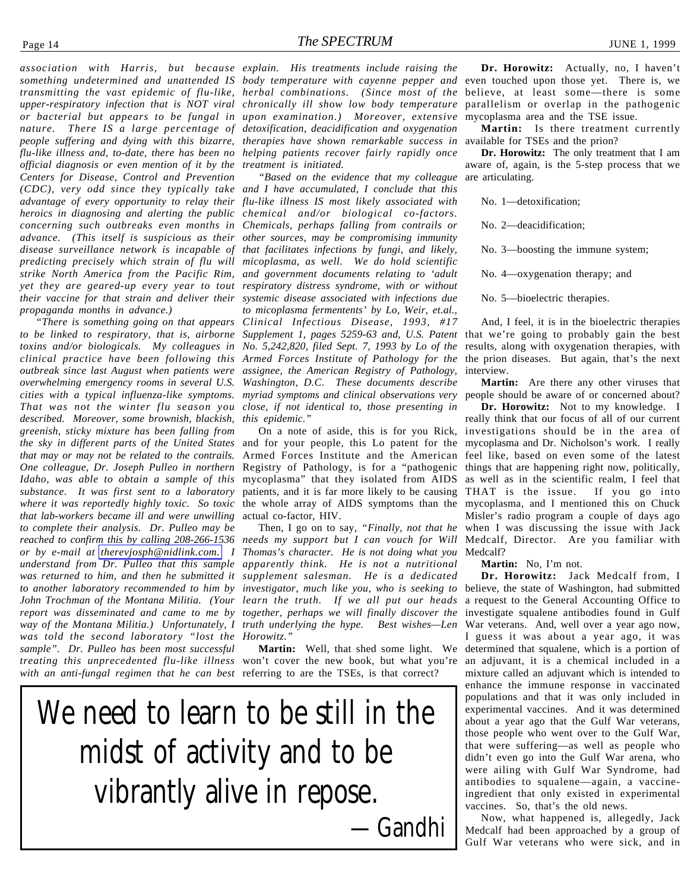*something undetermined and unattended IS body temperature with cayenne pepper and transmitting the vast epidemic of flu-like, herbal combinations. (Since most of the upper-respiratory infection that is NOT viral chronically ill show low body temperature or bacterial but appears to be fungal in upon examination.) Moreover, extensive nature. There IS a large percentage of detoxification, deacidification and oxygenation people suffering and dying with this bizarre, therapies have shown remarkable success in flu-like illness and, to-date, there has been no helping patients recover fairly rapidly once official diagnosis or even mention of it by the treatment is initiated. Centers for Disease, Control and Prevention (CDC), very odd since they typically take and I have accumulated, I conclude that this advantage of every opportunity to relay their flu-like illness IS most likely associated with heroics in diagnosing and alerting the public chemical and/or biological co-factors. concerning such outbreaks even months in Chemicals, perhaps falling from contrails or advance. (This itself is suspicious as their disease surveillance network is incapable of that facilitates infections by fungi, and likely, predicting precisely which strain of flu will micoplasma, as well. We do hold scientific strike North America from the Pacific Rim, and government documents relating to 'adult yet they are geared-up every year to tout respiratory distress syndrome, with or without their vaccine for that strain and deliver their systemic disease associated with infections due propaganda months in advance.)*

*"There is something going on that appears to be linked to respiratory, that is, airborne toxins and/or biologicals. My colleagues in No. 5,242,820, filed Sept. 7, 1993 by Lo of the clinical practice have been following this Armed Forces Institute of Pathology for the outbreak since last August when patients were overwhelming emergency rooms in several U.S. cities with a typical influenza-like symptoms. That was not the winter flu season you described. Moreover, some brownish, blackish, greenish, sticky mixture has been falling from that may or may not be related to the contrails. One colleague, Dr. Joseph Pulleo in northern Idaho, was able to obtain a sample of this substance. It was first sent to a laboratory where it was reportedly highly toxic. So toxic that lab-workers became ill and were unwilling to complete their analysis. Dr. Pulleo may be reached to confirm this by calling 208-266-1536 or by e-mail at [therevjosph@nidlink.com.](mailto:therevjoshp@nidlink.com) I understand from Dr. Pulleo that this sample was returned to him, and then he submitted it to another laboratory recommended to him by investigator, much like you, who is seeking to* believe, the state of Washington, had submitted *John Trochman of the Montana Militia. (Your learn the truth. If we all put our heads report was disseminated and came to me by together, perhaps we will finally discover the way of the Montana Militia.) Unfortunately, I was told the second laboratory "lost the Horowitz." sample". Dr. Pulleo has been most successful treating this unprecedented flu-like illness* won't cover the new book, but what you're

*association with Harris, but because explain. His treatments include raising the*

*"Based on the evidence that my colleague other sources, may be compromising immunity to micoplasma fermentents' by Lo, Weir, et.al., Clinical Infectious Disease, 1993, #17 Supplement 1, pages 5259-63 and, U.S. Patent* that we're going to probably gain the best *assignee, the American Registry of Pathology, Washington, D.C. These documents describe myriad symptoms and clinical observations very* people should be aware of or concerned about? *close, if not identical to, those presenting in this epidemic."*

*the sky in different parts of the United States* and for your people, this Lo patent for the mycoplasma and Dr. Nicholson's work. I really Armed Forces Institute and the American Registry of Pathology, is for a "pathogenic mycoplasma" that they isolated from AIDS patients, and it is far more likely to be causing the whole array of AIDS symptoms than the actual co-factor, HIV.

> Then, I go on to say*, "Finally, not that he needs my support but I can vouch for Will Thomas's character. He is not doing what you apparently think. He is not a nutritional supplement salesman. He is a dedicated truth underlying the hype. Best wishes—Len*

*with an anti-fungal regimen that he can best* referring to are the TSEs, is that correct?

*We need to learn to be still in the midst of activity and to be vibrantly alive in repose. —Gandhi*

**Dr. Horowitz:** Actually, no, I haven't even touched upon those yet. There is, we believe, at least some—there is some parallelism or overlap in the pathogenic mycoplasma area and the TSE issue.

**Martin:** Is there treatment currently available for TSEs and the prion?

**Dr. Horowitz:** The only treatment that I am aware of, again, is the 5-step process that we are articulating.

No. 1—detoxification;

No. 2—deacidification;

No. 3—boosting the immune system;

No. 4—oxygenation therapy; and

No. 5—bioelectric therapies.

And, I feel, it is in the bioelectric therapies results, along with oxygenation therapies, with the prion diseases. But again, that's the next interview.

**Martin:** Are there any other viruses that

On a note of aside, this is for you Rick, investigations should be in the area of **Dr. Horowitz:** Not to my knowledge. I really think that our focus of all of our current feel like, based on even some of the latest things that are happening right now, politically, as well as in the scientific realm, I feel that THAT is the issue. If you go into mycoplasma, and I mentioned this on Chuck Misler's radio program a couple of days ago when I was discussing the issue with Jack Medcalf, Director. Are you familiar with Medcalf?

**Martin:** No, I'm not.

**Martin:** Well, that shed some light. We determined that squalene, which is a portion of **Dr. Horowitz:** Jack Medcalf from, I a request to the General Accounting Office to investigate squalene antibodies found in Gulf War veterans. And, well over a year ago now, I guess it was about a year ago, it was an adjuvant, it is a chemical included in a mixture called an adjuvant which is intended to enhance the immune response in vaccinated populations and that it was only included in experimental vaccines. And it was determined about a year ago that the Gulf War veterans, those people who went over to the Gulf War, that were suffering—as well as people who didn't even go into the Gulf War arena, who were ailing with Gulf War Syndrome, had antibodies to squalene—again, a vaccineingredient that only existed in experimental vaccines. So, that's the old news.

> Now, what happened is, allegedly, Jack Medcalf had been approached by a group of Gulf War veterans who were sick, and in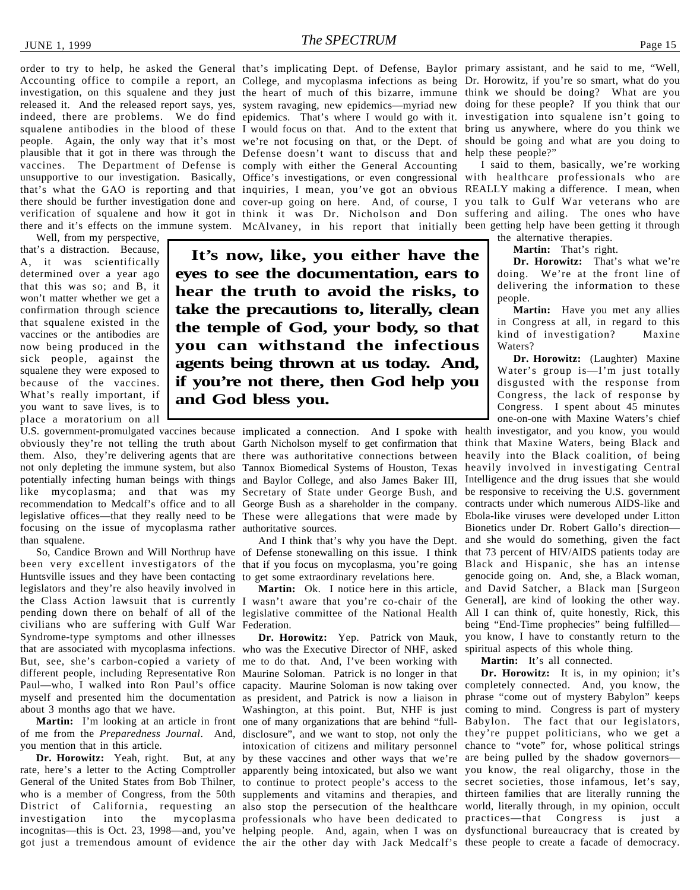Well, from my perspective, that's a distraction. Because, A, it was scientifically determined over a year ago that this was so; and B, it won't matter whether we get a confirmation through science that squalene existed in the vaccines or the antibodies are now being produced in the sick people, against the squalene they were exposed to because of the vaccines. What's really important, if you want to save lives, is to place a moratorium on all

focusing on the issue of mycoplasma rather authoritative sources. than squalene.

been very excellent investigators of the that if you focus on mycoplasma, you're going Black and Hispanic, she has an intense Huntsville issues and they have been contacting to get some extraordinary revelations here. legislators and they're also heavily involved in the Class Action lawsuit that is currently I wasn't aware that you're co-chair of the General], are kind of looking the other way. pending down there on behalf of all of the legislative committee of the National Health All I can think of, quite honestly, Rick, this civilians who are suffering with Gulf War Federation. Syndrome-type symptoms and other illnesses that are associated with mycoplasma infections. who was the Executive Director of NHF, asked spiritual aspects of this whole thing. But, see, she's carbon-copied a variety of me to do that. And, I've been working with different people, including Representative Ron Maurine Soloman. Patrick is no longer in that Paul—who, I walked into Ron Paul's office capacity. Maurine Soloman is now taking over completely connected. And, you know, the myself and presented him the documentation as president, and Patrick is now a liaison in phrase "come out of mystery Babylon" keeps about 3 months ago that we have.

you mention that in this article.

rate, here's a letter to the Acting Comptroller apparently being intoxicated, but also we want you know, the real oligarchy, those in the General of the United States from Bob Thilner, to continue to protect people's access to the secret societies, those infamous, let's say, who is a member of Congress, from the 50th supplements and vitamins and therapies, and thirteen families that are literally running the District of California, requesting an also stop the persecution of the healthcare world, literally through, in my opinion, occult investigation into the mycoplasma professionals who have been dedicated to practices—that Congress is just a incognitas—this is Oct. 23, 1998—and, you've helping people. And, again, when I was on dysfunctional bureaucracy that is created by got just a tremendous amount of evidence the air the other day with Jack Medcalf's these people to create a facade of democracy.

order to try to help, he asked the General that's implicating Dept. of Defense, Baylor primary assistant, and he said to me, "Well, Accounting office to compile a report, an College, and mycoplasma infections as being Dr. Horowitz, if you're so smart, what do you investigation, on this squalene and they just the heart of much of this bizarre, immune think we should be doing? What are you released it. And the released report says, yes, system ravaging, new epidemics—myriad new doing for these people? If you think that our indeed, there are problems. We do find epidemics. That's where I would go with it. investigation into squalene isn't going to squalene antibodies in the blood of these I would focus on that. And to the extent that bring us anywhere, where do you think we people. Again, the only way that it's most we're not focusing on that, or the Dept. of should be going and what are you doing to plausible that it got in there was through the Defense doesn't want to discuss that and help these people?" vaccines. The Department of Defense is comply with either the General Accounting unsupportive to our investigation. Basically, Office's investigations, or even congressional with healthcare professionals who are that's what the GAO is reporting and that inquiries, I mean, you've got an obvious REALLY making a difference. I mean, when there should be further investigation done and cover-up going on here. And, of course, I you talk to Gulf War veterans who are verification of squalene and how it got in think it was Dr. Nicholson and Don suffering and ailing. The ones who have there and it's effects on the immune system. McAlvaney, in his report that initially been getting help have been getting it through

> **It's now, like, you either have the eyes to see the documentation, ears to hear the truth to avoid the risks, to take the precautions to, literally, clean the temple of God, your body, so that you can withstand the infectious agents being thrown at us today. And, if you're not there, then God help you and God bless you.**

obviously they're not telling the truth about Garth Nicholson myself to get confirmation that think that Maxine Waters, being Black and them. Also, they're delivering agents that are there was authoritative connections between heavily into the Black coalition, of being not only depleting the immune system, but also Tannox Biomedical Systems of Houston, Texas heavily involved in investigating Central potentially infecting human beings with things and Baylor College, and also James Baker III, Intelligence and the drug issues that she would like mycoplasma; and that was my Secretary of State under George Bush, and be responsive to receiving the U.S. government recommendation to Medcalf's office and to all George Bush as a shareholder in the company. contracts under which numerous AIDS-like and legislative offices—that they really need to be These were allegations that were made by Ebola-like viruses were developed under Litton

So, Candice Brown and Will Northrup have of Defense stonewalling on this issue. I think

Martin: I'm looking at an article in front one of many organizations that are behind "full- Babylon. The fact that our legislators, of me from the *Preparedness Journal*. And, disclosure", and we want to stop, not only the they're puppet politicians, who we get a Dr. Horowitz: Yeah, right. But, at any by these vaccines and other ways that we're are being pulled by the shadow governors— Washington, at this point. But, NHF is just coming to mind. Congress is part of mystery intoxication of citizens and military personnel chance to "vote" for, whose political strings

I said to them, basically, we're working the alternative therapies.

**Martin:** That's right.

**Dr. Horowitz:** That's what we're doing. We're at the front line of delivering the information to these people.

**Martin:** Have you met any allies in Congress at all, in regard to this kind of investigation? Maxine Waters?

**Dr. Horowitz:** (Laughter) Maxine Water's group is—I'm just totally disgusted with the response from Congress, the lack of response by Congress. I spent about 45 minutes one-on-one with Maxine Waters's chief

U.S. government-promulgated vaccines because implicated a connection. And I spoke with health investigator, and you know, you would And I think that's why you have the Dept. and she would do something, given the fact Martin: Ok. I notice here in this article, and David Satcher, a Black man [Surgeon **Dr. Horowitz:** Yep. Patrick von Mauk, you know, I have to constantly return to the Bionetics under Dr. Robert Gallo's direction that 73 percent of HIV/AIDS patients today are genocide going on. And, she, a Black woman, being "End-Time prophecies" being fulfilled—

**Martin:** It's all connected.

**Dr. Horowitz:** It is, in my opinion; it's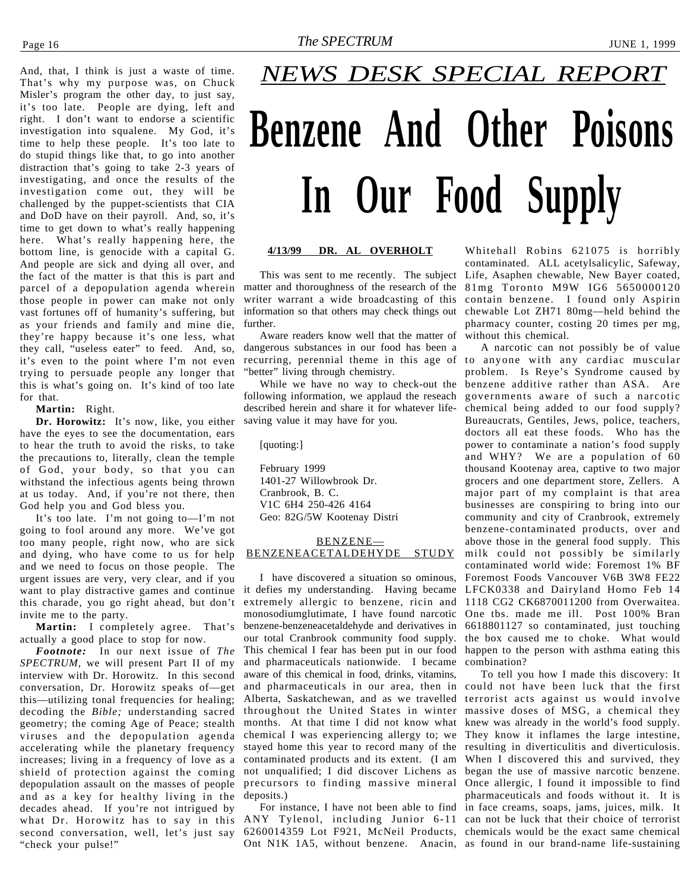That's why my purpose was, on Chuck Misler's program the other day, to just say, it's too late. People are dying, left and right. I don't want to endorse a scientific investigation into squalene. My God, it's time to help these people. It's too late to do stupid things like that, to go into another distraction that's going to take 2-3 years of investigating, and once the results of the investigation come out, they will be challenged by the puppet-scientists that CIA and DoD have on their payroll. And, so, it's time to get down to what's really happening here. What's really happening here, the bottom line, is genocide with a capital G. And people are sick and dying all over, and the fact of the matter is that this is part and parcel of a depopulation agenda wherein those people in power can make not only vast fortunes off of humanity's suffering, but as your friends and family and mine die, they're happy because it's one less, what they call, "useless eater" to feed. And, so, it's even to the point where I'm not even trying to persuade people any longer that this is what's going on. It's kind of too late for that.

**Martin:** Right.

**Dr. Horowitz:** It's now, like, you either have the eyes to see the documentation, ears to hear the truth to avoid the risks, to take the precautions to, literally, clean the temple of God, your body, so that you can withstand the infectious agents being thrown at us today. And, if you're not there, then God help you and God bless you.

It's too late. I'm not going to—I'm not going to fool around any more. We've got too many people, right now, who are sick and dying, who have come to us for help and we need to focus on those people. The urgent issues are very, very clear, and if you want to play distractive games and continue this charade, you go right ahead, but don't invite me to the party.

**Martin:** I completely agree. That's actually a good place to stop for now.

what Dr. Horowitz has to say in this ANY Tylenol, including Junior 6-11 can not be luck that their choice of terrorist *Footnote:* In our next issue of *The SPECTRUM,* we will present Part II of my interview with Dr. Horowitz. In this second conversation, Dr. Horowitz speaks of—get this—utilizing tonal frequencies for healing; decoding the *Bible;* understanding sacred geometry; the coming Age of Peace; stealth viruses and the depopulation agenda accelerating while the planetary frequency increases; living in a frequency of love as a shield of protection against the coming depopulation assault on the masses of people and as a key for healthy living in the decades ahead. If you're not intrigued by second conversation, well, let's just say "check your pulse!"

## <span id="page-15-0"></span>**Benzene And Other Poisons In Our Food Supply** And, that, I think is just a waste of time. *NEWS DESK SPECIAL REPORT*

#### **4/13/99 DR. AL OVERHOLT**

matter and thoroughness of the research of the 81mg Toronto M9W IG6 5650000120 writer warrant a wide broadcasting of this contain benzene. I found only Aspirin information so that others may check things out chewable Lot ZH71 80mg—held behind the further.

Aware readers know well that the matter of dangerous substances in our food has been a "better" living through chemistry.

While we have no way to check-out the following information, we applaud the reseach described herein and share it for whatever lifesaving value it may have for you.

[quoting:]

February 1999 1401-27 Willowbrook Dr. Cranbrook, B. C. V1C 6H4 250-426 4164 Geo: 82G/5W Kootenay Distri

#### BENZENE— BENZENEACETALDEHYDE STUDY

I have discovered a situation so ominous, extremely allergic to benzene, ricin and monosodiumglutimate, I have found narcotic benzene-benzeneacetaldehyde and derivatives in our total Cranbrook community food supply. This chemical I fear has been put in our food and pharmaceuticals nationwide. I became aware of this chemical in food, drinks, vitamins, and pharmaceuticals in our area, then in Alberta, Saskatchewan, and as we travelled throughout the United States in winter months. At that time I did not know what chemical I was experiencing allergy to; we stayed home this year to record many of the contaminated products and its extent. (I am precursors to finding massive mineral deposits.)

Ont N1K 1A5, without benzene. Anacin, as found in our brand-name life-sustaining

This was sent to me recently. The subject Life, Asaphen chewable, New Bayer coated, Whitehall Robins 621075 is horribly contaminated. ALL acetylsalicylic, Safeway, pharmacy counter, costing 20 times per mg, without this chemical.

recurring, perennial theme in this age of to anyone with any cardiac muscular it defies my understanding. Having became LFCK0338 and Dairyland Homo Feb 14 A narcotic can not possibly be of value problem. Is Reye's Syndrome caused by benzene additive rather than ASA. Are governments aware of such a narcotic chemical being added to our food supply? Bureaucrats, Gentiles, Jews, police, teachers, doctors all eat these foods. Who has the power to contaminate a nation's food supply and WHY? We are a population of 60 thousand Kootenay area, captive to two major grocers and one department store, Zellers. A major part of my complaint is that area businesses are conspiring to bring into our community and city of Cranbrook, extremely benzene-contaminated products, over and above those in the general food supply. This milk could not possibly be similarly contaminated world wide: Foremost 1% BF Foremost Foods Vancouver V6B 3W8 FE22 1118 CG2 CK6870011200 from Overwaitea. One tbs. made me ill.Post 100% Bran 6618801127 so contaminated, just touching the box caused me to choke. What would happen to the person with asthma eating this combination?

not unqualified; I did discover Lichens as began the use of massive narcotic benzene. For instance, I have not been able to find in face creams, soaps, jams, juices, milk. It 6260014359 Lot F921, McNeil Products, chemicals would be the exact same chemical To tell you how I made this discovery: It could not have been luck that the first terrorist acts against us would involve massive doses of MSG, a chemical they knew was already in the world's food supply. They know it inflames the large intestine, resulting in diverticulitis and diverticulosis. When I discovered this and survived, they Once allergic, I found it impossible to find pharmaceuticals and foods without it. It is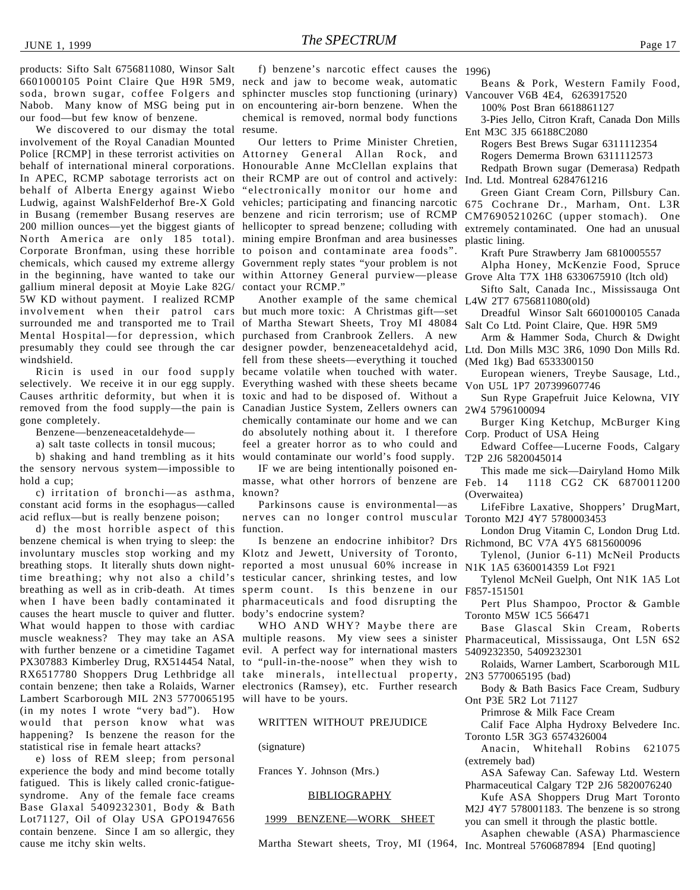products: Sifto Salt 6756811080, Winsor Salt 6601000105 Point Claire Que H9R 5M9, neck and jaw to become weak, automatic soda, brown sugar, coffee Folgers and sphincter muscles stop functioning (urinary) Nabob. Many know of MSG being put in on encountering air-born benzene. When the our food—but few know of benzene.

We discovered to our dismay the total involvement of the Royal Canadian Mounted Police [RCMP] in these terrorist activities on Attorney General Allan Rock, and behalf of international mineral corporations. Honourable Anne McClellan explains that In APEC, RCMP sabotage terrorists act on their RCMP are out of control and actively: behalf of Alberta Energy against Wiebo "electronically monitor our home and Ludwig, against WalshFelderhof Bre-X Gold vehicles; participating and financing narcotic in Busang (remember Busang reserves are benzene and ricin terrorism; use of RCMP 200 million ounces—yet the biggest giants of hellicopter to spread benzene; colluding with extremely contaminated. One had an unusual North America are only 185 total). mining empire Bronfman and area businesses Corporate Bronfman, using these horrible to poison and contaminate area foods". chemicals, which caused my extreme allergy Government reply states "your problem is not in the beginning, have wanted to take our within Attorney General purview—please Grove Alta T7X 1H8 6330675910 (ltch old) gallium mineral deposit at Moyie Lake 82G/ contact your RCMP." 5W KD without payment. I realized RCMP involvement when their patrol cars but much more toxic: A Christmas gift—set surrounded me and transported me to Trail of Martha Stewart Sheets, Troy MI 48084 Salt Co Ltd. Point Claire, Que. H9R 5M9 Mental Hospital—for depression, which purchased from Cranbrook Zellers. A new presumably they could see through the car designer powder, benzeneacetaldehyd acid, Ltd. Don Mills M3C 3R6, 1090 Don Mills Rd. windshield.

selectively. We receive it in our egg supply. Everything washed with these sheets became Causes arthritic deformity, but when it is toxic and had to be disposed of. Without a removed from the food supply—the pain is Canadian Justice System, Zellers owners can gone completely.

Benzene—benzeneacetaldehyde—

a) salt taste collects in tonsil mucous;

the sensory nervous system—impossible to hold a cup;

c) irritation of bronchi—as asthma, constant acid forms in the esophagus—called acid reflux—but is really benzene poison;

d) the most horrible aspect of this function. benzene chemical is when trying to sleep: the involuntary muscles stop working and my Klotz and Jewett, University of Toronto, time breathing; why not also a child's testicular cancer, shrinking testes, and low breathing as well as in crib-death. At times sperm count. Is this benzene in our when I have been badly contaminated it pharmaceuticals and food disrupting the causes the heart muscle to quiver and flutter. body's endocrine system? What would happen to those with cardiac muscle weakness? They may take an ASA multiple reasons. My view sees a sinister with further benzene or a cimetidine Tagamet evil. A perfect way for international masters PX307883 Kimberley Drug, RX514454 Natal, to "pull-in-the-noose" when they wish to RX6517780 Shoppers Drug Lethbridge all take minerals, intellectual property, contain benzene; then take a Rolaids, Warner electronics (Ramsey), etc. Further research Lambert Scarborough MIL 2N3 5770065195 will have to be yours. (in my notes I wrote "very bad"). How would that person know what was happening? Is benzene the reason for the statistical rise in female heart attacks?

e) loss of REM sleep; from personal experience the body and mind become totally fatigued. This is likely called cronic-fatiguesyndrome. Any of the female face creams Base Glaxal 5409232301, Body & Bath Lot71127, Oil of Olay USA GPO1947656 contain benzene. Since I am so allergic, they cause me itchy skin welts.

f) benzene's narcotic effect causes the 1996) chemical is removed, normal body functions resume.

Our letters to Prime Minister Chretien,

Ricin is used in our food supply became volatile when touched with water. b) shaking and hand trembling as it hits would contaminate our world's food supply. Another example of the same chemical L4W 2T7 6756811080(old) fell from these sheets—everything it touched chemically contaminate our home and we can do absolutely nothing about it. I therefore Corp. Product of USA Heing feel a greater horror as to who could and

> IF we are being intentionally poisoned enmasse, what other horrors of benzene are Feb. 14 known?

Parkinsons cause is environmental—as nerves can no longer control muscular

breathing stops. It literally shuts down night-reported a most unusual 60% increase in N1K 1A5 6360014359 Lot F921 Is benzene an endocrine inhibitor? Drs Richmond, BC V7A 4Y5 6815600096

WHO AND WHY? Maybe there are

#### WRITTEN WITHOUT PREJUDICE

(signature)

Frances Y. Johnson (Mrs.)

#### **BIBLIOGRAPHY**

#### 1999 BENZENE—WORK SHEET

Beans & Pork, Western Family Food, Vancouver V6B 4E4, 6263917520

100% Post Bran 6618861127

3-Pies Jello, Citron Kraft, Canada Don Mills Ent M3C 3J5 66188C2080

Rogers Best Brews Sugar 6311112354

Rogers Demerma Brown 6311112573

Redpath Brown sugar (Demerasa) Redpath Ind. Ltd. Montreal 6284761216

Green Giant Cream Corn, Pillsbury Can. 675 Cochrane Dr., Marham, Ont. L3R CM7690521026C (upper stomach). One plastic lining.

Kraft Pure Strawberry Jam 6810005557

Alpha Honey, McKenzie Food, Spruce

Sifto Salt, Canada Inc., Mississauga Ont

Dreadful Winsor Salt 6601000105 Canada

Arm & Hammer Soda, Church & Dwight (Med 1kg) Bad 6533300150

European wieners, Treybe Sausage, Ltd., Von U5L 1P7 207399607746

Sun Rype Grapefruit Juice Kelowna, VIY 2W4 5796100094

Burger King Ketchup, McBurger King

Edward Coffee—Lucerne Foods, Calgary T2P 2J6 5820045014

This made me sick—Dairyland Homo Milk 1118 CG2 CK 6870011200 (Overwaitea)

LifeFibre Laxative, Shoppers' DrugMart, Toronto M2J 4Y7 5780003453

London Drug Vitamin C, London Drug Ltd.

Tylenol, (Junior 6-11) McNeil Products

Tylenol McNeil Guelph, Ont N1K 1A5 Lot F857-151501

Pert Plus Shampoo, Proctor & Gamble Toronto M5W 1C5 566471

Base Glascal Skin Cream, Roberts Pharmaceutical, Mississauga, Ont L5N 6S2 5409232350, 5409232301

Rolaids, Warner Lambert, Scarborough M1L 2N3 5770065195 (bad)

Body & Bath Basics Face Cream, Sudbury Ont P3E 5R2 Lot 71127

Primrose & Milk Face Cream

Calif Face Alpha Hydroxy Belvedere Inc. Toronto L5R 3G3 6574326004

Anacin, Whitehall Robins 621075 (extremely bad)

ASA Safeway Can. Safeway Ltd. Western Pharmaceutical Calgary T2P 2J6 5820076240

Kufe ASA Shoppers Drug Mart Toronto M2J 4Y7 578001183. The benzene is so strong you can smell it through the plastic bottle.

Martha Stewart sheets, Troy, MI (1964, Inc. Montreal 5760687894 [End quoting]Asaphen chewable (ASA) Pharmascience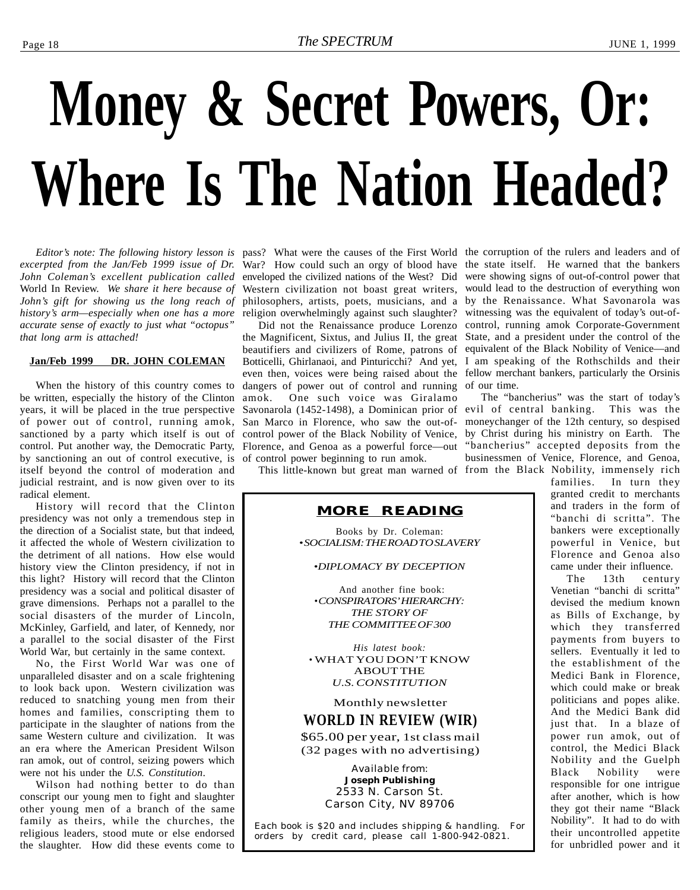## <span id="page-17-0"></span>**Money & Secret Powers, Or: Where Is The Nation Headed?**

excerpted from the Jan/Feb 1999 issue of Dr. War? How could such an orgy of blood have the state itself. He warned that the bankers John Coleman's excellent publication called enveloped the civilized nations of the West? Did were showing signs of out-of-control power that World In Review. *We share it here because of* Western civilization not boast great writers, would lead to the destruction of everything won John's gift for showing us the long reach of philosophers, artists, poets, musicians, and a by the Renaissance. What Savonarola was *history's arm—especially when one has a more accurate sense of exactly to just what "octopus" that long arm is attached!*

#### **Jan/Feb 1999 DR. JOHN COLEMAN**

When the history of this country comes to be written, especially the history of the Clinton years, it will be placed in the true perspective of power out of control, running amok, sanctioned by a party which itself is out of control. Put another way, the Democratic Party, Florence, and Genoa as a powerful force—out by sanctioning an out of control executive, is itself beyond the control of moderation and judicial restraint, and is now given over to its radical element.

History will record that the Clinton presidency was not only a tremendous step in the direction of a Socialist state, but that indeed, it affected the whole of Western civilization to the detriment of all nations. How else would history view the Clinton presidency, if not in this light? History will record that the Clinton presidency was a social and political disaster of grave dimensions. Perhaps not a parallel to the social disasters of the murder of Lincoln, McKinley, Garfield, and later, of Kennedy, nor a parallel to the social disaster of the First World War, but certainly in the same context.

No, the First World War was one of unparalleled disaster and on a scale frightening to look back upon. Western civilization was reduced to snatching young men from their homes and families, conscripting them to participate in the slaughter of nations from the same Western culture and civilization. It was an era where the American President Wilson ran amok, out of control, seizing powers which were not his under the *U.S. Constitution*.

Wilson had nothing better to do than conscript our young men to fight and slaughter other young men of a branch of the same family as theirs, while the churches, the religious leaders, stood mute or else endorsed the slaughter. How did these events come to

religion overwhelmingly against such slaughter?

Did not the Renaissance produce Lorenzo the Magnificent, Sixtus, and Julius II, the great beautifiers and civilizers of Rome, patrons of Botticelli, Ghirlanaoi, and Pinturicchi? And yet, even then, voices were being raised about the fellow merchant bankers, particularly the Orsinis dangers of power out of control and running amok. One such voice was Giralamo San Marco in Florence, who saw the out-ofcontrol power of the Black Nobility of Venice, of control power beginning to run amok.

Editor's note: The following history lesson is pass? What were the causes of the First World the corruption of the rulers and leaders and of witnessing was the equivalent of today's out-ofcontrol, running amok Corporate-Government State, and a president under the control of the equivalent of the Black Nobility of Venice—and I am speaking of the Rothschilds and their of our time.

> Savonarola (1452-1498), a Dominican prior of evil of central banking. This was the The "bancherius" was the start of today's moneychanger of the 12th century, so despised by Christ during his ministry on Earth. The "bancherius" accepted deposits from the businessmen of Venice, Florence, and Genoa,

This little-known but great man warned of from the Black Nobility, immensely rich

#### **MORE READING**

Books by Dr. Coleman: *• SOCIALISM: THE ROAD TO SLAVERY*

#### *•DIPLOMACY BY DECEPTION*

And another fine book: *• CONSPIRATORS' HIERARCHY: THE STORY OF THE COMMITTEE OF 300*

*His latest book: •* WHAT YOU DON'T KNOW ABOUT THE *U.S. CONSTITUTION*

Monthly newsletter

#### **WORLD IN REVIEW (WIR)** \$65.00 per year, 1st class mail

(32 pages with no advertising)

A*vailable from:* **Joseph Publishing** 2533 N. Carson St. Carson City, NV 89706

*Each book is \$20 and includes shipping & handling. For orders by credit card, please call 1-800-942-0821.*

families. In turn they granted credit to merchants and traders in the form of "banchi di scritta". The bankers were exceptionally powerful in Venice, but Florence and Genoa also came under their influence.

The 13th century Venetian "banchi di scritta" devised the medium known as Bills of Exchange, by which they transferred payments from buyers to sellers. Eventually it led to the establishment of the Medici Bank in Florence, which could make or break politicians and popes alike. And the Medici Bank did just that. In a blaze of power run amok, out of control, the Medici Black Nobility and the Guelph Black Nobility were responsible for one intrigue after another, which is how they got their name "Black Nobility". It had to do with their uncontrolled appetite for unbridled power and it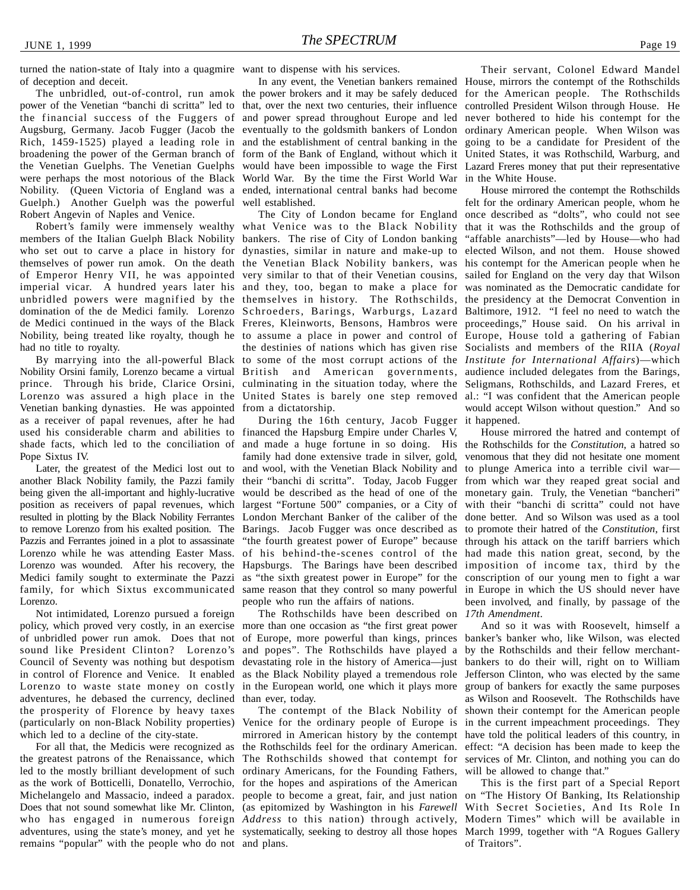turned the nation-state of Italy into a quagmire want to dispense with his services. of deception and deceit.

power of the Venetian "banchi di scritta" led to the financial success of the Fuggers of Augsburg, Germany. Jacob Fugger (Jacob the Rich, 1459-1525) played a leading role in broadening the power of the German branch of form of the Bank of England, without which it United States, it was Rothschild, Warburg, and the Venetian Guelphs. The Venetian Guelphs would have been impossible to wage the First Lazard Freres money that put their representative were perhaps the most notorious of the Black World War. By the time the First World War Nobility. (Queen Victoria of England was a ended, international central banks had become Guelph.) Another Guelph was the powerful well established. Robert Angevin of Naples and Venice.

members of the Italian Guelph Black Nobility bankers. The rise of City of London banking "affable anarchists"—led by House—who had who set out to carve a place in history for dynasties, similar in nature and make-up to elected Wilson, and not them. House showed themselves of power run amok. On the death the Venetian Black Nobility bankers, was his contempt for the American people when he of Emperor Henry VII, he was appointed very similar to that of their Venetian cousins, sailed for England on the very day that Wilson imperial vicar. A hundred years later his and they, too, began to make a place for was nominated as the Democratic candidate for unbridled powers were magnified by the themselves in history. The Rothschilds, the presidency at the Democrat Convention in domination of the de Medici family. Lorenzo Schroeders, Barings, Warburgs, Lazard Baltimore, 1912. "I feel no need to watch the de Medici continued in the ways of the Black Freres, Kleinworts, Bensons, Hambros were proceedings," House said. On his arrival in Nobility, being treated like royalty, though he to assume a place in power and control of Europe, House told a gathering of Fabian had no title to royalty.

Nobility Orsini family, Lorenzo became a virtual British and American governments, audience included delegates from the Barings, prince. Through his bride, Clarice Orsini, culminating in the situation today, where the Seligmans, Rothschilds, and Lazard Freres, et Lorenzo was assured a high place in the United States is barely one step removed al.: "I was confident that the American people Venetian banking dynasties. He was appointed as a receiver of papal revenues, after he had used his considerable charm and abilities to financed the Hapsburg Empire under Charles V, shade facts, which led to the conciliation of Pope Sixtus IV.

Later, the greatest of the Medici lost out to another Black Nobility family, the Pazzi family being given the all-important and highly-lucrative position as receivers of papal revenues, which resulted in plotting by the Black Nobility Ferrantes to remove Lorenzo from his exalted position. The Pazzis and Ferrantes joined in a plot to assassinate Lorenzo while he was attending Easter Mass. Lorenzo was wounded. After his recovery, the Hapsburgs. The Barings have been described imposition of income tax, third by the Medici family sought to exterminate the Pazzi as "the sixth greatest power in Europe" for the conscription of our young men to fight a war family, for which Sixtus excommunicated Lorenzo.

Not intimidated, Lorenzo pursued a foreign policy, which proved very costly, in an exercise of unbridled power run amok. Does that not sound like President Clinton? Lorenzo's Council of Seventy was nothing but despotism in control of Florence and Venice. It enabled Lorenzo to waste state money on costly adventures, he debased the currency, declined the prosperity of Florence by heavy taxes (particularly on non-Black Nobility properties) which led to a decline of the city-state.

For all that, the Medicis were recognized as the greatest patrons of the Renaissance, which led to the mostly brilliant development of such as the work of Botticelli, Donatello, Verrochio, Michelangelo and Massacio, indeed a paradox. people to become a great, fair, and just nation on "The History Of Banking, Its Relationship Does that not sound somewhat like Mr. Clinton, (as epitomized by Washington in his *Farewell* With Secret Societies, And Its Role In who has engaged in numerous foreign *Address* to this nation) through actively, Modern Times" which will be available in adventures, using the state's money, and yet he systematically, seeking to destroy all those hopes March 1999, together with "A Rogues Gallery remains "popular" with the people who do not and plans.

The unbridled, out-of-control, run amok the power brokers and it may be safely deduced for the American people. The Rothschilds that, over the next two centuries, their influence controlled President Wilson through House. He and power spread throughout Europe and led never bothered to hide his contempt for the eventually to the goldsmith bankers of London ordinary American people. When Wilson was and the establishment of central banking in the

Robert's family were immensely wealthy what Venice was to the Black Nobility that it was the Rothschilds and the group of By marrying into the all-powerful Black to some of the most corrupt actions of the *Institute for International Affairs*)—which the destinies of nations which has given rise Socialists and members of the RIIA (*Royal* from a dictatorship.

> During the 16th century, Jacob Fugger it happened. and made a huge fortune in so doing. His family had done extensive trade in silver, gold, and wool, with the Venetian Black Nobility and their "banchi di scritta". Today, Jacob Fugger would be described as the head of one of the largest "Fortune 500" companies, or a City of London Merchant Banker of the caliber of the done better. And so Wilson was used as a tool Barings. Jacob Fugger was once described as to promote their hatred of the *Constitution*, first "the fourth greatest power of Europe" because through his attack on the tariff barriers which of his behind-the-scenes control of the had made this nation great, second, by the same reason that they control so many powerful in Europe in which the US should never have people who run the affairs of nations.

> The Rothschilds have been described on more than one occasion as "the first great power of Europe, more powerful than kings, princes and popes". The Rothschilds have played a devastating role in the history of America—just as the Black Nobility played a tremendous role Jefferson Clinton, who was elected by the same in the European world, one which it plays more than ever, today.

> The contempt of the Black Nobility of Venice for the ordinary people of Europe is in the current impeachment proceedings. They mirrored in American history by the contempt have told the political leaders of this country, in the Rothschilds feel for the ordinary American. effect: "A decision has been made to keep the The Rothschilds showed that contempt for ordinary Americans, for the Founding Fathers, for the hopes and aspirations of the American

In any event, the Venetian bankers remained House, mirrors the contempt of the Rothschilds Their servant, Colonel Edward Mandel going to be a candidate for President of the in the White House.

The City of London became for England once described as "dolts", who could not see House mirrored the contempt the Rothschilds felt for the ordinary American people, whom he would accept Wilson without question." And so

> House mirrored the hatred and contempt of the Rothschilds for the *Constitution*, a hatred so venomous that they did not hesitate one moment to plunge America into a terrible civil war from which war they reaped great social and monetary gain. Truly, the Venetian "bancheri" with their "banchi di scritta" could not have been involved, and finally, by passage of the *17th Amendment*.

> And so it was with Roosevelt, himself a banker's banker who, like Wilson, was elected by the Rothschilds and their fellow merchantbankers to do their will, right on to William group of bankers for exactly the same purposes as Wilson and Roosevelt. The Rothschilds have shown their contempt for the American people services of Mr. Clinton, and nothing you can do will be allowed to change that."

> This is the first part of a Special Report of Traitors".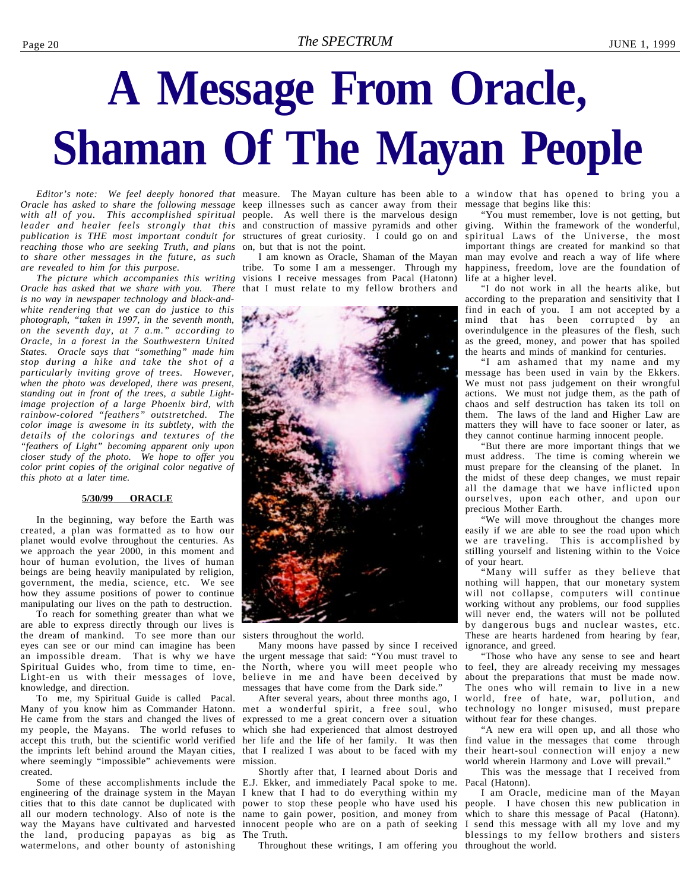### <span id="page-19-0"></span>**A Message From Oracle, Shaman Of The Mayan People**

*with all of you. This accomplished spiritual* people. As well there is the marvelous design *leader and healer feels strongly that this publication is THE most important conduit for reaching those who are seeking Truth, and plans to share other messages in the future, as such are revealed to him for this purpose.*

*Oracle has asked that we share with you. There is no way in newspaper technology and black-andwhite rendering that we can do justice to this photograph, "taken in 1997, in the seventh month, on the seventh day, at 7 a.m." according to Oracle, in a forest in the Southwestern United States. Oracle says that "something" made him stop during a hike and take the shot of a particularly inviting grove of trees. However, when the photo was developed, there was present, standing out in front of the trees, a subtle Lightimage projection of a large Phoenix bird, with rainbow-colored "feathers" outstretched. The color image is awesome in its subtlety, with the details of the colorings and textures of the "feathers of Light" becoming apparent only upon closer study of the photo. We hope to offer you color print copies of the original color negative of this photo at a later time.*

#### **5/30/99 ORACLE**

In the beginning, way before the Earth was created, a plan was formatted as to how our planet would evolve throughout the centuries. As we approach the year 2000, in this moment and hour of human evolution, the lives of human beings are being heavily manipulated by religion, government, the media, science, etc. We see how they assume positions of power to continue manipulating our lives on the path to destruction.

To reach for something greater than what we are able to express directly through our lives is the dream of mankind. To see more than our eyes can see or our mind can imagine has been an impossible dream. That is why we have the urgent message that said: "You must travel to Spiritual Guides who, from time to time, en- the North, where you will meet people who to feel, they are already receiving my messages Light-en us with their messages of love, believe in me and have been deceived by knowledge, and direction.

To me, my Spiritual Guide is called Pacal. Many of you know him as Commander Hatonn. met a wonderful spirit, a free soul, who He came from the stars and changed the lives of my people, the Mayans. The world refuses to accept this truth, but the scientific world verified the imprints left behind around the Mayan cities, that I realized I was about to be faced with my where seemingly "impossible" achievements were mission. created.

engineering of the drainage system in the Mayan I knew that I had to do everything within my cities that to this date cannot be duplicated with power to stop these people who have used his all our modern technology. Also of note is the name to gain power, position, and money from way the Mayans have cultivated and harvested the land, producing papayas as big as watermelons, and other bounty of astonishing

*Oracle has asked to share the following message* keep illnesses such as cancer away from their message that begins like this: and construction of massive pyramids and other structures of great curiosity. I could go on and on, but that is not the point.

The picture which accompanies this writing visions I receive messages from Pacal (Hatonn) I am known as Oracle, Shaman of the Mayan tribe. To some I am a messenger. Through my that I must relate to my fellow brothers and



sisters throughout the world.

Many moons have passed by since I received messages that have come from the Dark side."

After several years, about three months ago, I expressed to me a great concern over a situation which she had experienced that almost destroyed her life and the life of her family. It was then

Some of these accomplishments include the E.J. Ekker, and immediately Pacal spoke to me. Shortly after that, I learned about Doris and innocent people who are on a path of seeking The Truth.

Throughout these writings, I am offering you throughout the world.

*Editor's note: We feel deeply honored that* measure. The Mayan culture has been able to a window that has opened to bring you a

"You must remember, love is not getting, but giving. Within the framework of the wonderful, spiritual Laws of the Universe, the most important things are created for mankind so that man may evolve and reach a way of life where happiness, freedom, love are the foundation of life at a higher level.

"I do not work in all the hearts alike, but according to the preparation and sensitivity that I find in each of you. I am not accepted by a mind that has been corrupted by an overindulgence in the pleasures of the flesh, such as the greed, money, and power that has spoiled the hearts and minds of mankind for centuries.

"I am ashamed that my name and my message has been used in vain by the Ekkers. We must not pass judgement on their wrongful actions. We must not judge them, as the path of chaos and self destruction has taken its toll on them. The laws of the land and Higher Law are matters they will have to face sooner or later, as they cannot continue harming innocent people.

"But there are more important things that we must address. The time is coming wherein we must prepare for the cleansing of the planet. In the midst of these deep changes, we must repair all the damage that we have inflicted upon ourselves, upon each other, and upon our precious Mother Earth.

"We will move throughout the changes more easily if we are able to see the road upon which we are traveling. This is accomplished by stilling yourself and listening within to the Voice of your heart.

"Many will suffer as they believe that nothing will happen, that our monetary system will not collapse, computers will continue working without any problems, our food supplies will never end, the waters will not be polluted by dangerous bugs and nuclear wastes, etc. These are hearts hardened from hearing by fear, ignorance, and greed.

"Those who have any sense to see and heart about the preparations that must be made now. The ones who will remain to live in a new world, free of hate, war, pollution, and technology no longer misused, must prepare without fear for these changes.

"A new era will open up, and all those who find value in the messages that come through their heart-soul connection will enjoy a new world wherein Harmony and Love will prevail."

This was the message that I received from Pacal (Hatonn).

I am Oracle, medicine man of the Mayan people. I have chosen this new publication in which to share this message of Pacal (Hatonn). I send this message with all my love and my blessings to my fellow brothers and sisters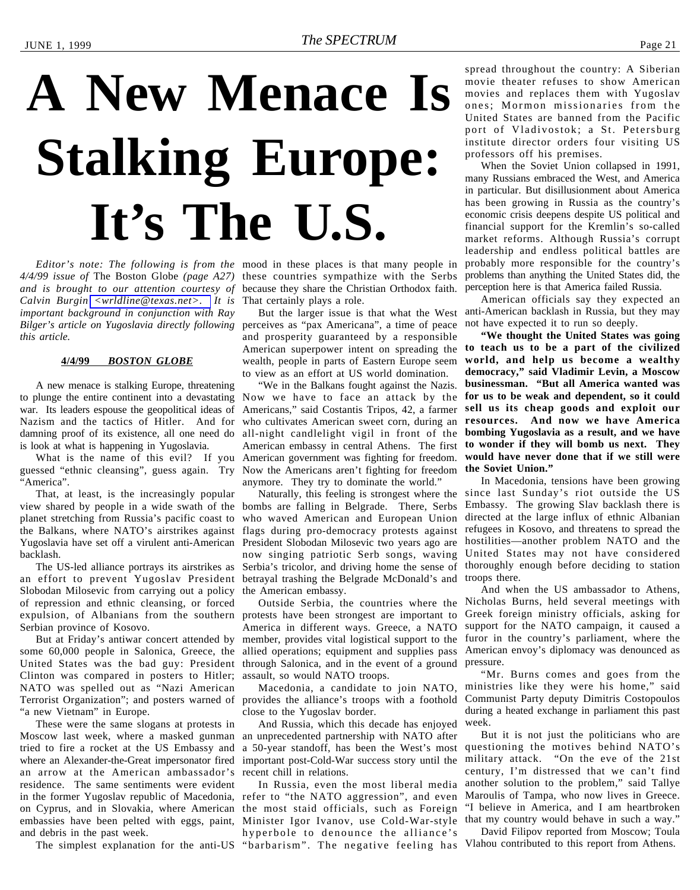## <span id="page-20-0"></span>**A New Menace Is Stalking Europe: It's The U.S.**

*Editor's note: The following is from the* mood in these places is that many people in *4/4/99 issue of* The Boston Globe *(page A27)* these countries sympathize with the Serbs *and is brought to our attention courtesy of* because they share the Christian Orthodox faith. perception here is that America failed Russia. *Calvin Burgin [<wrldline@texas.net>.](mailto:wrldline@texas.net) It is* That certainly plays a role. *important background in conjunction with Ray Bilger's article on Yugoslavia directly following* perceives as "pax Americana", a time of peace *this article.*

#### **4/4/99** *BOSTON GLOBE*

A new menace is stalking Europe, threatening to plunge the entire continent into a devastating war. Its leaders espouse the geopolitical ideas of Nazism and the tactics of Hitler. And for damning proof of its existence, all one need do is look at what is happening in Yugoslavia.

What is the name of this evil? If you guessed "ethnic cleansing", guess again. Try Now the Americans aren't fighting for freedom "America".

That, at least, is the increasingly popular view shared by people in a wide swath of the planet stretching from Russia's pacific coast to the Balkans, where NATO's airstrikes against Yugoslavia have set off a virulent anti-American backlash.

The US-led alliance portrays its airstrikes as an effort to prevent Yugoslav President Slobodan Milosevic from carrying out a policy of repression and ethnic cleansing, or forced expulsion, of Albanians from the southern Serbian province of Kosovo.

But at Friday's antiwar concert attended by some 60,000 people in Salonica, Greece, the United States was the bad guy: President Clinton was compared in posters to Hitler; NATO was spelled out as "Nazi American Terrorist Organization"; and posters warned of "a new Vietnam" in Europe.

These were the same slogans at protests in Moscow last week, where a masked gunman tried to fire a rocket at the US Embassy and where an Alexander-the-Great impersonator fired an arrow at the American ambassador's residence. The same sentiments were evident in the former Yugoslav republic of Macedonia, refer to "the NATO aggression", and even on Cyprus, and in Slovakia, where American the most staid officials, such as Foreign embassies have been pelted with eggs, paint, Minister Igor Ivanov, use Cold-War-style that my country would behave in such a way." and debris in the past week.

and prosperity guaranteed by a responsible wealth, people in parts of Eastern Europe seem to view as an effort at US world domination.

"We in the Balkans fought against the Nazis. Now we have to face an attack by the Americans," said Costantis Tripos, 42, a farmer who cultivates American sweet corn, during an all-night candlelight vigil in front of the American embassy in central Athens. The first American government was fighting for freedom. anymore. They try to dominate the world."

bombs are falling in Belgrade. There, Serbs who waved American and European Union flags during pro-democracy protests against refugees in Kosovo, and threatens to spread the President Slobodan Milosevic two years ago are hostilities—another problem NATO and the now singing patriotic Serb songs, waving Serbia's tricolor, and driving home the sense of betrayal trashing the Belgrade McDonald's and the American embassy.

protests have been strongest are important to America in different ways. Greece, a NATO member, provides vital logistical support to the allied operations; equipment and supplies pass through Salonica, and in the event of a ground assault, so would NATO troops.

Macedonia, a candidate to join NATO, provides the alliance's troops with a foothold close to the Yugoslav border.

And Russia, which this decade has enjoyed an unprecedented partnership with NATO after a 50-year standoff, has been the West's most important post-Cold-War success story until the recent chill in relations.

In Russia, even the most liberal media hyperbole to denounce the alliance's

spread throughout the country: A Siberian movie theater refuses to show American movies and replaces them with Yugoslav ones; Mormon missionaries from the United States are banned from the Pacific port of Vladivostok; a St. Petersburg institute director orders four visiting US professors off his premises.

When the Soviet Union collapsed in 1991, many Russians embraced the West, and America in particular. But disillusionment about America has been growing in Russia as the country's economic crisis deepens despite US political and financial support for the Kremlin's so-called market reforms. Although Russia's corrupt leadership and endless political battles are probably more responsible for the country's problems than anything the United States did, the

But the larger issue is that what the West anti-American backlash in Russia, but they may American officials say they expected an not have expected it to run so deeply.

American superpower intent on spreading the **to teach us to be a part of the civilized "We thought the United States was going world, and help us become a wealthy democracy," said Vladimir Levin, a Moscow businessman. "But all America wanted was for us to be weak and dependent, so it could sell us its cheap goods and exploit our resources. And now we have America bombing Yugoslavia as a result, and we have to wonder if they will bomb us next. They would have never done that if we still were the Soviet Union."**

Naturally, this feeling is strongest where the since last Sunday's riot outside the US In Macedonia, tensions have been growing Embassy. The growing Slav backlash there is directed at the large influx of ethnic Albanian United States may not have considered thoroughly enough before deciding to station troops there.

Outside Serbia, the countries where the Nicholas Burns, held several meetings with And when the US ambassador to Athens, Greek foreign ministry officials, asking for support for the NATO campaign, it caused a furor in the country's parliament, where the American envoy's diplomacy was denounced as pressure.

> "Mr. Burns comes and goes from the ministries like they were his home," said Communist Party deputy Dimitris Costopoulos during a heated exchange in parliament this past week.

> But it is not just the politicians who are questioning the motives behind NATO's military attack. "On the eve of the 21st century, I'm distressed that we can't find another solution to the problem," said Tallye Maroulis of Tampa, who now lives in Greece. "I believe in America, and I am heartbroken

The simplest explanation for the anti-US "barbarism". The negative feeling has Vlahou contributed to this report from Athens. David Filipov reported from Moscow; Toula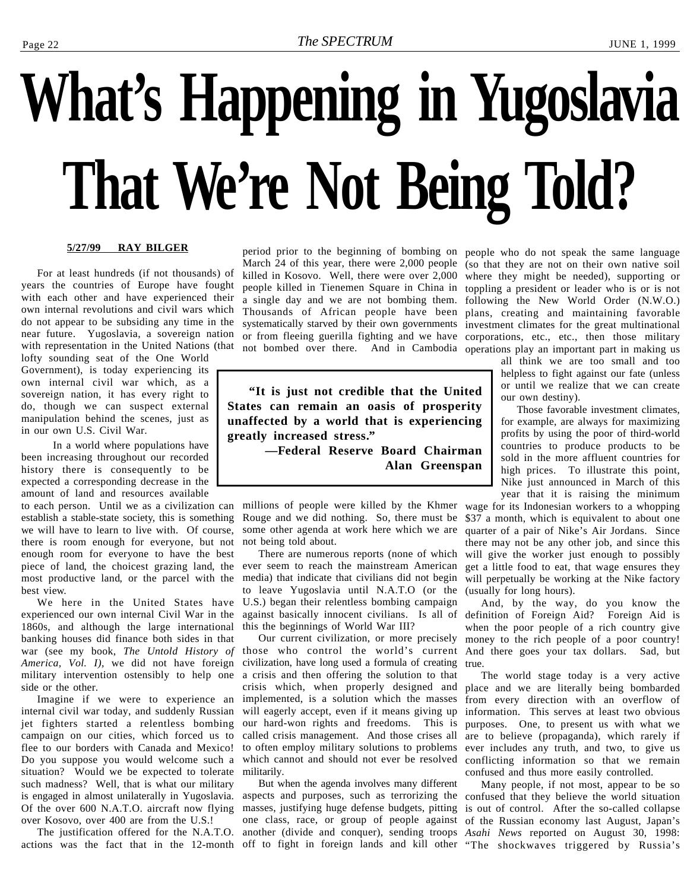# <span id="page-21-0"></span>**What's Happening in Yugoslavia That We're Not Being Told?**

#### **5/27/99 RAY BILGER**

For at least hundreds (if not thousands) of years the countries of Europe have fought with each other and have experienced their own internal revolutions and civil wars which do not appear to be subsiding any time in the near future. Yugoslavia, a sovereign nation with representation in the United Nations (that

lofty sounding seat of the One World Government), is today experiencing its own internal civil war which, as a sovereign nation, it has every right to do, though we can suspect external manipulation behind the scenes, just as in our own U.S. Civil War.

In a world where populations have been increasing throughout our recorded history there is consequently to be expected a corresponding decrease in the amount of land and resources available

establish a stable-state society, this is something we will have to learn to live with. Of course, there is room enough for everyone, but not enough room for everyone to have the best piece of land, the choicest grazing land, the most productive land, or the parcel with the best view.

We here in the United States have experienced our own internal Civil War in the 1860s, and although the large international banking houses did finance both sides in that war (see my book, *The Untold History of America, Vol. I),* we did not have foreign military intervention ostensibly to help one side or the other.

Imagine if we were to experience an internal civil war today, and suddenly Russian jet fighters started a relentless bombing campaign on our cities, which forced us to flee to our borders with Canada and Mexico! Do you suppose you would welcome such a situation? Would we be expected to tolerate such madness? Well, that is what our military over Kosovo, over 400 are from the U.S.!

The justification offered for the N.A.T.O.

period prior to the beginning of bombing on people who do not speak the same language March 24 of this year, there were 2,000 people (so that they are not on their own native soil killed in Kosovo. Well, there were over 2,000 where they might be needed), supporting or people killed in Tienemen Square in China in toppling a president or leader who is or is not a single day and we are not bombing them. following the New World Order (N.W.O.) Thousands of African people have been plans, creating and maintaining favorable systematically starved by their own governments investment climates for the great multinational or from fleeing guerilla fighting and we have corporations, etc., etc., then those military not bombed over there. And in Cambodia operations play an important part in making us

 **"It is just not credible that the United States can remain an oasis of prosperity unaffected by a world that is experiencing greatly increased stress."**

**—Federal Reserve Board Chairman Alan Greenspan**

to each person. Until we as a civilization can millions of people were killed by the Khmer wage for its Indonesian workers to a whopping Rouge and we did nothing. So, there must be \$37 a month, which is equivalent to about one some other agenda at work here which we are quarter of a pair of Nike's Air Jordans. Since not being told about.

> There are numerous reports (none of which ever seem to reach the mainstream American media) that indicate that civilians did not begin to leave Yugoslavia until N.A.T.O (or the U.S.) began their relentless bombing campaign against basically innocent civilians. Is all of this the beginnings of World War III?

Our current civilization, or more precisely those who control the world's current And there goes your tax dollars. Sad, but civilization, have long used a formula of creating a crisis and then offering the solution to that crisis which, when properly designed and implemented, is a solution which the masses will eagerly accept, even if it means giving up our hard-won rights and freedoms. This is called crisis management. And those crises all to often employ military solutions to problems which cannot and should not ever be resolved militarily.

is engaged in almost unilaterally in Yugoslavia. aspects and purposes, such as terrorizing the confused that they believe the world situation Of the over 600 N.A.T.O. aircraft now flying masses, justifying huge defense budgets, pitting is out of control. After the so-called collapse actions was the fact that in the 12-month off to fight in foreign lands and kill other "The shockwaves triggered by Russia's But when the agenda involves many different one class, race, or group of people against of the Russian economy last August, Japan's another (divide and conquer), sending troops *Asahi News* reported on August 30, 1998:

all think we are too small and too helpless to fight against our fate (unless or until we realize that we can create our own destiny).

Those favorable investment climates, for example, are always for maximizing profits by using the poor of third-world countries to produce products to be sold in the more affluent countries for high prices. To illustrate this point, Nike just announced in March of this year that it is raising the minimum

there may not be any other job, and since this will give the worker just enough to possibly get a little food to eat, that wage ensures they will perpetually be working at the Nike factory (usually for long hours).

And, by the way, do you know the definition of Foreign Aid? Foreign Aid is when the poor people of a rich country give money to the rich people of a poor country! true.

The world stage today is a very active place and we are literally being bombarded from every direction with an overflow of information. This serves at least two obvious purposes. One, to present us with what we are to believe (propaganda), which rarely if ever includes any truth, and two, to give us conflicting information so that we remain confused and thus more easily controlled.

Many people, if not most, appear to be so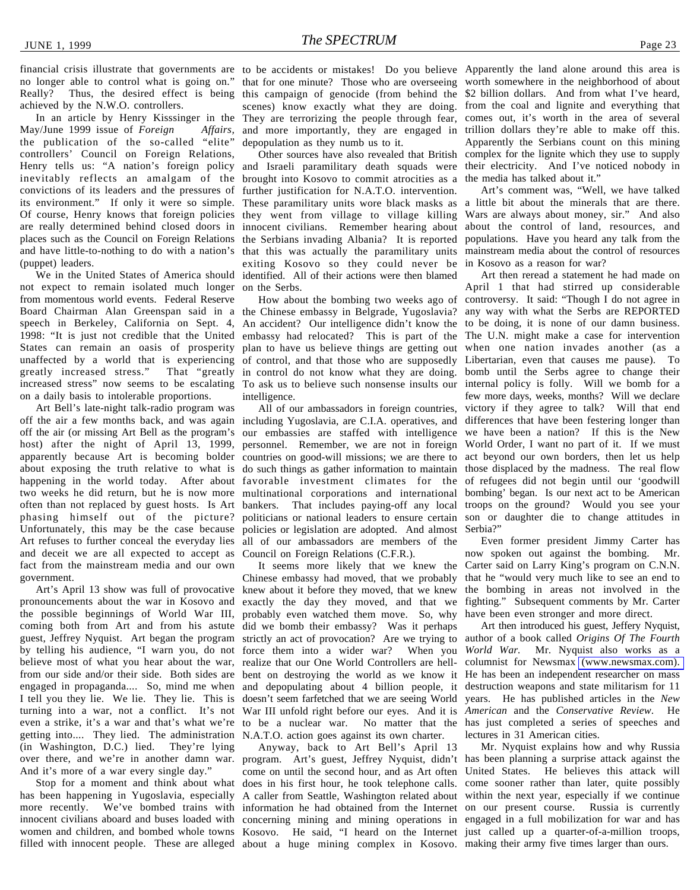no longer able to control what is going on." that for one minute? Those who are overseeing worth somewhere in the neighborhood of about Really? Thus, the desired effect is being this campaign of genocide (from behind the \$2 billion dollars. And from what I've heard, achieved by the N.W.O. controllers.

In an article by Henry Kisssinger in the May/June 1999 issue of *Foreign Affairs,* the publication of the so-called "elite" controllers' Council on Foreign Relations, Henry tells us: "A nation's foreign policy inevitably reflects an amalgam of the convictions of its leaders and the pressures of its environment." If only it were so simple. These paramilitary units wore black masks as a little bit about the minerals that are there. Of course, Henry knows that foreign policies they went from village to village killing Wars are always about money, sir." And also are really determined behind closed doors in innocent civilians. Remember hearing about about the control of land, resources, and places such as the Council on Foreign Relations the Serbians invading Albania? It is reported populations. Have you heard any talk from the and have little-to-nothing to do with a nation's that this was actually the paramilitary units mainstream media about the control of resources (puppet) leaders.

not expect to remain isolated much longer from momentous world events. Federal Reserve Board Chairman Alan Greenspan said in a the Chinese embassy in Belgrade, Yugoslavia? any way with what the Serbs are REPORTED speech in Berkeley, California on Sept. 4, An accident? Our intelligence didn't know the to be doing, it is none of our damn business. 1998: "It is just not credible that the United embassy had relocated? This is part of the The U.N. might make a case for intervention States can remain an oasis of prosperity plan to have us believe things are getting out when one nation invades another (as a unaffected by a world that is experiencing of control, and that those who are supposedly Libertarian, even that causes me pause). To greatly increased stress." That "greatly increased stress" now seems to be escalating on a daily basis to intolerable proportions.

Art Bell's late-night talk-radio program was off the air a few months back, and was again including Yugoslavia, are C.I.A. operatives, and off the air (or missing Art Bell as the program's host) after the night of April 13, 1999, apparently because Art is becoming bolder countries on good-will missions; we are there to about exposing the truth relative to what is happening in the world today. After about two weeks he did return, but he is now more often than not replaced by guest hosts. Is Art phasing himself out of the picture? Unfortunately, this may be the case because Art refuses to further conceal the everyday lies and deceit we are all expected to accept as fact from the mainstream media and our own government.

pronouncements about the war in Kosovo and the possible beginnings of World War III, coming both from Art and from his astute guest, Jeffrey Nyquist. Art began the program by telling his audience, "I warn you, do not believe most of what you hear about the war, from our side and/or their side. Both sides are engaged in propaganda.... So, mind me when I tell you they lie. We lie. They lie. This is turning into a war, not a conflict. It's not even a strike, it's a war and that's what we're getting into.... They lied. The administration (in Washington, D.C.) lied. They're lying over there, and we're in another damn war. And it's more of a war every single day."

Stop for a moment and think about what has been happening in Yugoslavia, especially more recently. We've bombed trains with information he had obtained from the Internet on our present course. Russia is currently innocent civilians aboard and buses loaded with concerning mining and mining operations in engaged in a full mobilization for war and has women and children, and bombed whole towns Kosovo. He said, "I heard on the Internet just called up a quarter-of-a-million troops, filled with innocent people. These are alleged about a huge mining complex in Kosovo. making their army five times larger than ours.

financial crisis illustrate that governments are to be accidents or mistakes! Do you believe Apparently the land alone around this area is scenes) know exactly what they are doing. from the coal and lignite and everything that They are terrorizing the people through fear, comes out, it's worth in the area of several and more importantly, they are engaged in trillion dollars they're able to make off this. depopulation as they numb us to it.

We in the United States of America should identified. All of their actions were then blamed and Israeli paramilitary death squads were their electricity. And I've noticed nobody in brought into Kosovo to commit atrocities as a the media has talked about it." further justification for N.A.T.O. intervention. exiting Kosovo so they could never be in Kosovo as a reason for war? on the Serbs.

> in control do not know what they are doing. To ask us to believe such nonsense insults our internal policy is folly. Will we bomb for a intelligence.

> All of our ambassadors in foreign countries, our embassies are staffed with intelligence personnel. Remember, we are not in foreign do such things as gather information to maintain favorable investment climates for the multinational corporations and international bankers. That includes paying-off any local troops on the ground? Would you see your politicians or national leaders to ensure certain policies or legislation are adopted. And almost Serbia?" all of our ambassadors are members of the Council on Foreign Relations (C.F.R.).

Art's April 13 show was full of provocative knew about it before they moved, that we knew It seems more likely that we knew the Chinese embassy had moved, that we probably exactly the day they moved, and that we probably even watched them move. So, why did we bomb their embassy? Was it perhaps strictly an act of provocation? Are we trying to force them into a wider war? When you realize that our One World Controllers are hellbent on destroying the world as we know it He has been an independent researcher on mass and depopulating about 4 billion people, it destruction weapons and state militarism for 11 doesn't seem farfetched that we are seeing World years. He has published articles in the *New* War III unfold right before our eyes. And it is *American* and the *Conservative Review*. He to be a nuclear war. No matter that the has just completed a series of speeches and N.A.T.O. action goes against its own charter.

Anyway, back to Art Bell's April 13

Other sources have also revealed that British complex for the lignite which they use to supply Apparently the Serbians count on this mining

Art's comment was, "Well, we have talked

How about the bombing two weeks ago of controversy. It said: "Though I do not agree in Art then reread a statement he had made on April 1 that had stirred up considerable bomb until the Serbs agree to change their few more days, weeks, months? Will we declare victory if they agree to talk? Will that end differences that have been festering longer than we have been a nation? If this is the New World Order, I want no part of it. If we must act beyond our own borders, then let us help those displaced by the madness. The real flow of refugees did not begin until our 'goodwill bombing' began. Is our next act to be American son or daughter die to change attitudes in

> Even former president Jimmy Carter has now spoken out against the bombing. Mr. Carter said on Larry King's program on C.N.N. that he "would very much like to see an end to the bombing in areas not involved in the fighting." Subsequent comments by Mr. Carter have been even stronger and more direct.

> Art then introduced his guest, Jeffery Nyquist, author of a book called *Origins Of The Fourth World War.* Mr. Nyquist also works as a columnist for Newsmax [\(www.newsmax.com\).](http://www.newsmax.com) lectures in 31 American cities.

program. Art's guest, Jeffrey Nyquist, didn't has been planning a surprise attack against the come on until the second hour, and as Art often United States. He believes this attack will does in his first hour, he took telephone calls. come sooner rather than later, quite possibly A caller from Seattle, Washington related about within the next year, especially if we continue Mr. Nyquist explains how and why Russia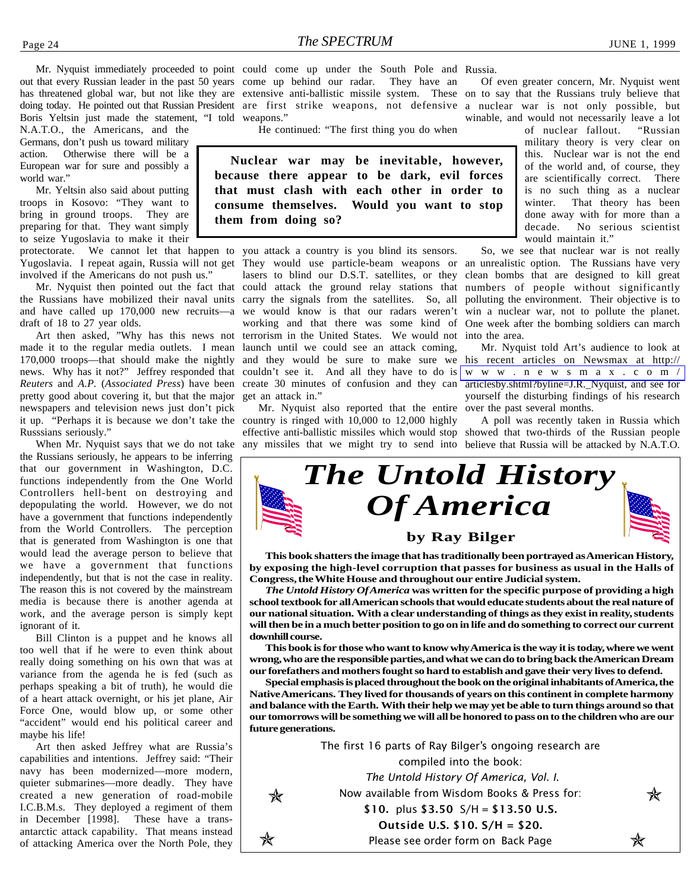Boris Yeltsin just made the statement, "I told weapons."

N.A.T.O., the Americans, and the Germans, don't push us toward military action. Otherwise there will be a European war for sure and possibly a world war."

Mr. Yeltsin also said about putting troops in Kosovo: "They want to bring in ground troops. They are preparing for that. They want simply to seize Yugoslavia to make it their

involved if the Americans do not push us."

draft of 18 to 27 year olds.

made it to the regular media outlets. I mean 170,000 troops—that should make the nightly pretty good about covering it, but that the major newspapers and television news just don't pick it up. "Perhaps it is because we don't take the country is ringed with 10,000 to 12,000 highly Russsians seriously."

When Mr. Nyquist says that we do not take the Russians seriously, he appears to be inferring that our government in Washington, D.C. functions independently from the One World Controllers hell-bent on destroying and depopulating the world. However, we do not have a government that functions independently from the World Controllers. The perception that is generated from Washington is one that would lead the average person to believe that we have a government that functions independently, but that is not the case in reality. The reason this is not covered by the mainstream media is because there is another agenda at work, and the average person is simply kept ignorant of it.

Bill Clinton is a puppet and he knows all too well that if he were to even think about really doing something on his own that was at variance from the agenda he is fed (such as perhaps speaking a bit of truth), he would die of a heart attack overnight, or his jet plane, Air Force One, would blow up, or some other "accident" would end his political career and maybe his life!

Art then asked Jeffrey what are Russia's capabilities and intentions. Jeffrey said: "Their navy has been modernized—more modern, quieter submarines—more deadly. They have created a new generation of road-mobile I.C.B.M.s. They deployed a regiment of them in December [1998]. These have a transantarctic attack capability. That means instead of attacking America over the North Pole, they

Mr. Nyquist immediately proceeded to point could come up under the South Pole and Russia. out that every Russian leader in the past 50 years come up behind our radar. They have an has threatened global war, but not like they are extensive anti-ballistic missile system. These on to say that the Russians truly believe that doing today. He pointed out that Russian President are first strike weapons, not defensive a nuclear war is not only possible, but

He continued: "The first thing you do when

**Nuclear war may be inevitable, however, because there appear to be dark, evil forces that must clash with each other in order to consume themselves. Would you want to stop them from doing so?**

protectorate. We cannot let that happen to you attack a country is you blind its sensors. Yugoslavia. I repeat again, Russia will not get They would use particle-beam weapons or an unrealistic option. The Russians have very Mr. Nyquist then pointed out the fact that could attack the ground relay stations that numbers of people without significantly the Russians have mobilized their naval units carry the signals from the satellites. So, all polluting the environment. Their objective is to and have called up 170,000 new recruits—a we would know is that our radars weren't win a nuclear war, not to pollute the planet. Art then asked, "Why has this news not terrorism in the United States. We would not into the area. news. Why has it not?" Jeffrey responded that couldn't see it. And all they have to do is [www.newsmax.com/](http://www.newsmax.com/articlesby.shtml?byline=J.R._Nyquist) *Reuters* and *A.P.* (*Associated Press*) have been create 30 minutes of confusion and they can articlesby.shtml?byline=J.R.\_Nyquist, and see for lasers to blind our D.S.T. satellites, or they clean bombs that are designed to kill great working and that there was some kind of One week after the bombing soldiers can march launch until we could see an attack coming, and they would be sure to make sure we his recent articles on Newsmax at http:// get an attack in."

Mr. Nyquist also reported that the entire

Of even greater concern, Mr. Nyquist went winable, and would not necessarily leave a lot

> of nuclear fallout. "Russian military theory is very clear on this. Nuclear war is not the end of the world and, of course, they are scientifically correct. There is no such thing as a nuclear winter. That theory has been done away with for more than a decade. No serious scientist would maintain it."

So, we see that nuclear war is not really

Mr. Nyquist told Art's audience to look at yourself the disturbing findings of his research over the past several months.

effective anti-ballistic missiles which would stop showed that two-thirds of the Russian people any missiles that we might try to send into believe that Russia will be attacked by N.A.T.O. A poll was recently taken in Russia which



**This book shatters the image that has traditionally been portrayed as American History, by exposing the high-level corruption that passes for business as usual in the Halls of Congress, the White House and throughout our entire Judicial system.**

*The Untold History Of America* **was written for the specific purpose of providing a high school textbook for all American schools that would educate students about the real nature of our national situation. With a clear understanding of things as they exist in reality, students will then be in a much better position to go on in life and do something to correct our current downhill course.**

**This book is for those who want to know why America is the way it is today, where we went wrong, who are the responsible parties, and what we can do to bring back the American Dream our forefathers and mothers fought so hard to establish and gave their very lives to defend.**

**Special emphasis is placed throughout the book on the original inhabitants of America, the Native Americans. They lived for thousands of years on this continent in complete harmony and balance with the Earth. With their help we may yet be able to turn things around so that our tomorrows will be something we will all be honored to pass on to the children who are our future generations.**

The first 16 parts of Ray Bilger's ongoing research are compiled into the book: The Untold History Of America, Vol. I. Now available from Wisdom Books & Press for: ✬ ✬ \$10. plus  $$3.50 S/H = $13.50 U.S.$ Outside U.S. \$10. S/H = \$20. ₩ Please see order form on Back Page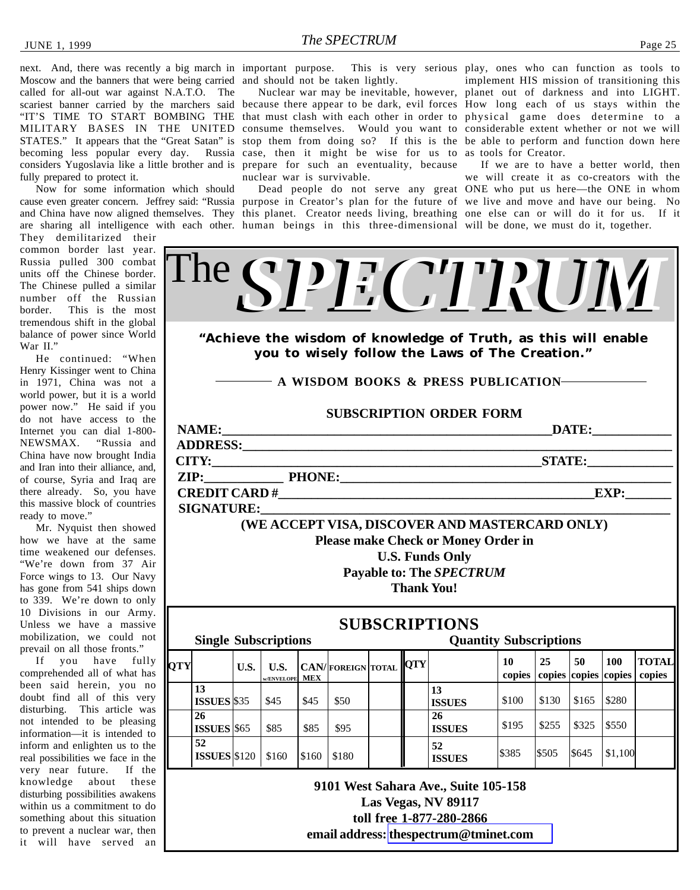next. And, there was recently a big march in important purpose. Moscow and the banners that were being carried and should not be taken lightly. called for all-out war against N.A.T.O. The scariest banner carried by the marchers said because there appear to be dark, evil forces How long each of us stays within the "IT'S TIME TO START BOMBING THE that must clash with each other in order to physical game does determine to a MILITARY BASES IN THE UNITED consume themselves. Would you want to considerable extent whether or not we will STATES." It appears that the "Great Satan" is stop them from doing so? If this is the be able to perform and function down here becoming less popular every day. Russia case, then it might be wise for us to as tools for Creator. considers Yugoslavia like a little brother and is prepare for such an eventuality, because fully prepared to protect it.

Now for some information which should

They demilitarized their common border last year. Russia pulled 300 combat units off the Chinese border. The Chinese pulled a similar number off the Russian border. This is the most tremendous shift in the global balance of power since World War II."

He continued: "When Henry Kissinger went to China in 1971, China was not a world power, but it is a world power now." He said if you do not have access to the Internet you can dial 1-800-<br>NEWSMAX. "Russia and "Russia and China have now brought India and Iran into their alliance, and, of course, Syria and Iraq are there already. So, you have this massive block of countries ready to move."

Mr. Nyquist then showed how we have at the same time weakened our defenses. "We're down from 37 Air Force wings to 13. Our Navy has gone from 541 ships down to 339. We're down to only 10 Divisions in our Army. Unless we have a massive mobilization, we could not prevail on all those fronts."

If you have fully comprehended all of what has been said herein, you no doubt find all of this very disturbing. This article was not intended to be pleasing information—it is intended to inform and enlighten us to the real possibilities we face in the very near future. If the knowledge about these disturbing possibilities awakens within us a commitment to do something about this situation to prevent a nuclear war, then it will have served an

nuclear war is survivable.

cause even greater concern. Jeffrey said: "Russia purpose in Creator's plan for the future of we live and move and have our being. No and China have now aligned themselves. They this planet. Creator needs living, breathing one else can or will do it for us. If it are sharing all intelligence with each other. human beings in this three-dimensional will be done, we must do it, together.

important purpose. This is very serious play, ones who can function as tools to Nuclear war may be inevitable, however, planet out of darkness and into LIGHT. implement HIS mission of transitioning this

Dead people do not serve any great ONE who put us here—the ONE in whom If we are to have a better world, then we will create it as co-creators with the

| The STPECTERUM                                                                                                                                                             |                           |      |                           |            |                          |  |     |                                 |              |       |                            |             |                        |
|----------------------------------------------------------------------------------------------------------------------------------------------------------------------------|---------------------------|------|---------------------------|------------|--------------------------|--|-----|---------------------------------|--------------|-------|----------------------------|-------------|------------------------|
| "Achieve the wisdom of knowledge of Truth, as this will enable<br>you to wisely follow the Laws of The Creation."<br><b>EXAMPLE A WISDOM BOOKS &amp; PRESS PUBLICATION</b> |                           |      |                           |            |                          |  |     |                                 |              |       |                            |             |                        |
| <b>SUBSCRIPTION ORDER FORM</b><br>NAME: NAME:<br><b>DATE:</b>                                                                                                              |                           |      |                           |            |                          |  |     |                                 |              |       |                            |             |                        |
|                                                                                                                                                                            |                           |      |                           |            |                          |  |     |                                 |              |       |                            |             |                        |
|                                                                                                                                                                            |                           |      |                           |            |                          |  |     | ZIP: PHONE: PHONE:              |              |       |                            |             |                        |
|                                                                                                                                                                            | <b>SIGNATURE:</b>         |      |                           |            |                          |  |     | $CREDIT CARD # \nightharpoonup$ |              |       |                            | <b>EXP:</b> |                        |
| <b>Please make Check or Money Order in</b><br><b>U.S. Funds Only</b><br>Payable to: The SPECTRUM<br><b>Thank You!</b>                                                      |                           |      |                           |            |                          |  |     |                                 |              |       |                            |             |                        |
| <b>SUBSCRIPTIONS</b><br><b>Single Subscriptions</b><br><b>Quantity Subscriptions</b>                                                                                       |                           |      |                           |            |                          |  |     |                                 |              |       |                            |             |                        |
| <b>QTY</b>                                                                                                                                                                 |                           | U.S. | U.S.<br><b>w/ENVELOPE</b> | <b>MEX</b> | <b>CAN/FOREIGN TOTAL</b> |  | QTY |                                 | 10<br>copies | 25    | 50<br>copies copies copies | 100         | <b>TOTAL</b><br>copies |
|                                                                                                                                                                            | 13<br>$ISSUES$ \$35       |      | \$45                      | \$45       | \$50                     |  |     | 13<br><b>ISSUES</b>             | \$100        | \$130 | \$165                      | \$280       |                        |
|                                                                                                                                                                            | 26<br>$ISSUES$ \$65       |      | \$85                      | \$85       | \$95                     |  |     | 26<br><b>ISSUES</b>             | \$195        | \$255 | \$325                      | \$550       |                        |
|                                                                                                                                                                            | 52<br><b>ISSUES</b> \$120 |      | \$160                     | \$160      | \$180                    |  |     | 52<br><b>ISSUES</b>             | \$385        | \$505 | \$645                      | \$1,100     |                        |
| 9101 West Sahara Ave., Suite 105-158<br>Las Vegas, NV 89117<br>toll free 1-877-280-2866<br>email address: thespectrum@tminet.com                                           |                           |      |                           |            |                          |  |     |                                 |              |       |                            |             |                        |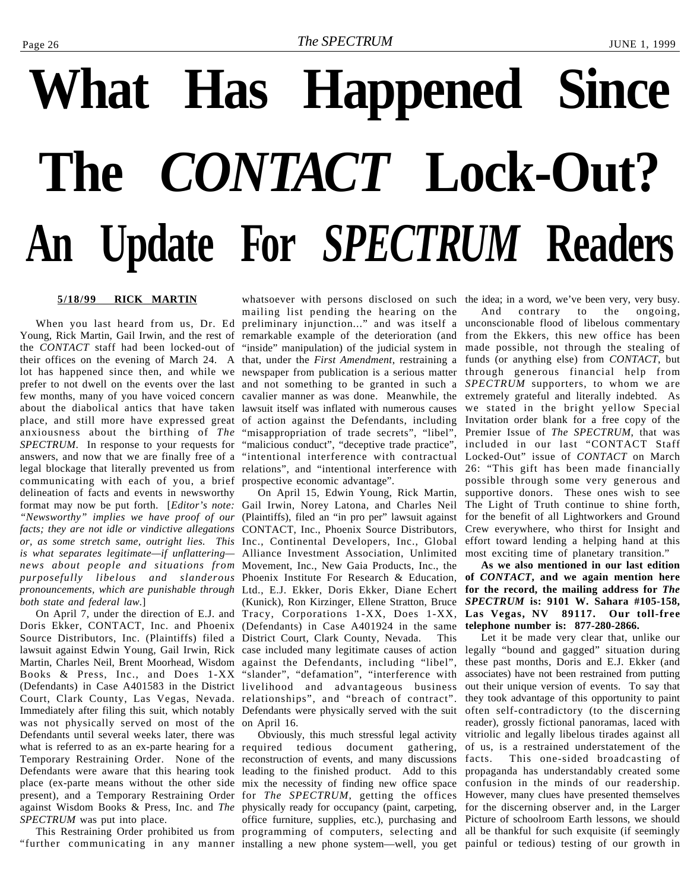## <span id="page-25-0"></span>**What Has Happened Since The** *CONTACT* **Lock-Out? An Update For** *SPECTRUM* **Readers**

**5/18/99 RICK MARTIN**

When you last heard from us, Dr. Ed Young, Rick Martin, Gail Irwin, and the rest of remarkable example of the deterioration (and the *CONTACT* staff had been locked-out of "inside" manipulation) of the judicial system in made possible, not through the stealing of their offices on the evening of March 24. A that, under the *First Amendment*, restraining a lot has happened since then, and while we newspaper from publication is a serious matter through generous financial help from prefer to not dwell on the events over the last and not something to be granted in such a few months, many of you have voiced concern cavalier manner as was done. Meanwhile, the about the diabolical antics that have taken lawsuit itself was inflated with numerous causes place, and still more have expressed great anxiousness about the birthing of *The SPECTRUM*. In response to your requests for answers, and now that we are finally free of a "intentional interference with contractual legal blockage that literally prevented us from relations", and "intentional interference with 26: "This gift has been made financially communicating with each of you, a brief delineation of facts and events in newsworthy format may now be put forth. [*Editor's note: "Newsworthy" implies we have proof of our facts; they are not idle or vindictive allegations* CONTACT, Inc., Phoenix Source Distributors, or, as some stretch same, outright lies. This Inc., Continental Developers, Inc., Global *is what separates legitimate—if unflattering—* Alliance Investment Association, Unlimited *news about people and situations from* Movement, Inc., New Gaia Products, Inc., the *purposefully libelous and slanderous* Phoenix Institute For Research & Education, *pronouncements, which are punishable through* Ltd., E.J. Ekker, Doris Ekker, Diane Echert *both state and federal law.*]

Doris Ekker, CONTACT, Inc. and Phoenix (Defendants) in Case A401924 in the same Source Distributors, Inc. (Plaintiffs) filed a District Court, Clark County, Nevada. This lawsuit against Edwin Young, Gail Irwin, Rick case included many legitimate causes of action Martin, Charles Neil, Brent Moorhead, Wisdom against the Defendants, including "libel", Books & Press, Inc., and Does 1-XX "slander", "defamation", "interference with (Defendants) in Case A401583 in the District livelihood and advantageous business Court, Clark County, Las Vegas, Nevada. relationships", and "breach of contract". Immediately after filing this suit, which notably Defendants were physically served with the suit was not physically served on most of the on April 16. Defendants until several weeks later, there was what is referred to as an ex-parte hearing for a required tedious document gathering, Temporary Restraining Order. None of the reconstruction of events, and many discussions Defendants were aware that this hearing took leading to the finished product. Add to this place (ex-parte means without the other side mix the necessity of finding new office space present), and a Temporary Restraining Order for *The SPECTRUM*, getting the offices against Wisdom Books & Press, Inc. and *The* physically ready for occupancy (paint, carpeting, *SPECTRUM* was put into place.

mailing list pending the hearing on the preliminary injunction..." and was itself a unconscionable flood of libelous commentary of action against the Defendants, including "misappropriation of trade secrets", "libel", "malicious conduct", "deceptive trade practice", prospective economic advantage".

On April 7, under the direction of E.J. and Tracy, Corporations 1-XX, Does 1-XX, On April 15, Edwin Young, Rick Martin, Gail Irwin, Norey Latona, and Charles Neil (Plaintiffs), filed an "in pro per" lawsuit against (Kunick), Ron Kirzinger, Ellene Stratton, Bruce

This Restraining Order prohibited us from programming of computers, selecting and all be thankful for such exquisite (if seemingly "further communicating in any manner installing a new phone system—well, you get painful or tedious) testing of our growth in Obviously, this much stressful legal activity office furniture, supplies, etc.), purchasing and Picture of schoolroom Earth lessons, we should

whatsoever with persons disclosed on such the idea; in a word, we've been very, very busy. And contrary to the ongoing, from the Ekkers, this new office has been funds (or anything else) from *CONTACT*, but *SPECTRUM* supporters, to whom we are extremely grateful and literally indebted. As we stated in the bright yellow Special Invitation order blank for a free copy of the Premier Issue of *The SPECTRUM*, that was included in our last "CONTACT Staff Locked-Out" issue of *CONTACT* on March possible through some very generous and supportive donors. These ones wish to see The Light of Truth continue to shine forth, for the benefit of all Lightworkers and Ground Crew everywhere, who thirst for Insight and effort toward lending a helping hand at this

> most exciting time of planetary transition." **As we also mentioned in our last edition of** *CONTACT***, and we again mention here for the record, the mailing address for** *The SPECTRUM* **is: 9101 W. Sahara #105-158, Las Vegas, NV 89117. Our toll-free telephone number is: 877-280-2866.**

> Let it be made very clear that, unlike our legally "bound and gagged" situation during these past months, Doris and E.J. Ekker (and associates) have not been restrained from putting out their unique version of events. To say that they took advantage of this opportunity to paint often self-contradictory (to the discerning reader), grossly fictional panoramas, laced with vitriolic and legally libelous tirades against all of us, is a restrained understatement of the facts. This one-sided broadcasting of propaganda has understandably created some confusion in the minds of our readership. However, many clues have presented themselves for the discerning observer and, in the Larger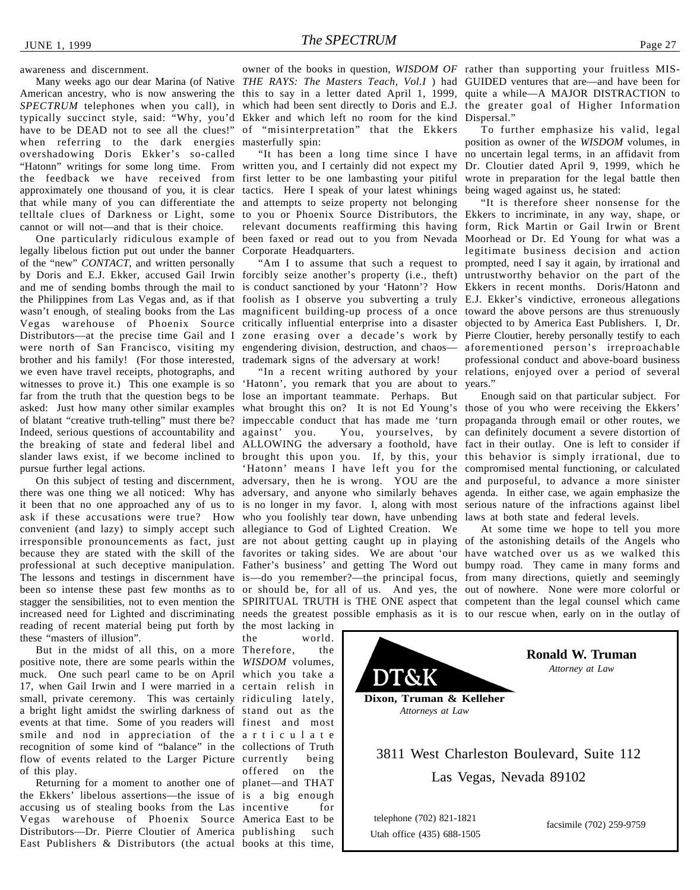awareness and discernment.

American ancestry, who is now answering the this to say in a letter dated April 1, 1999, quite a while—A MAJOR DISTRACTION to SPECTRUM telephones when you call), in which had been sent directly to Doris and E.J. the greater goal of Higher Information typically succinct style, said: "Why, you'd Ekker and which left no room for the kind Dispersal." have to be DEAD not to see all the clues!" when referring to the dark energies masterfully spin: overshadowing Doris Ekker's so-called "Hatonn" writings for some long time. From written you, and I certainly did not expect my Dr. Cloutier dated April 9, 1999, which he the feedback we have received from first letter to be one lambasting your pitiful wrote in preparation for the legal battle then approximately one thousand of you, it is clear tactics. Here I speak of your latest whinings that while many of you can differentiate the and attempts to seize property not belonging telltale clues of Darkness or Light, some to you or Phoenix Source Distributors, the Ekkers to incriminate, in any way, shape, or cannot or will not—and that is their choice.

legally libelous fiction put out under the banner Corporate Headquarters. of the "new" *CONTACT*, and written personally by Doris and E.J. Ekker, accused Gail Irwin forcibly seize another's property (i.e., theft) untrustworthy behavior on the part of the and me of sending bombs through the mail to is conduct sanctioned by your 'Hatonn'? How Ekkers in recent months. Doris/Hatonn and the Philippines from Las Vegas and, as if that foolish as I observe you subverting a truly E.J. Ekker's vindictive, erroneous allegations wasn't enough, of stealing books from the Las magnificent building-up process of a once toward the above persons are thus strenuously Vegas warehouse of Phoenix Source critically influential enterprise into a disaster objected to by America East Publishers. I, Dr. Distributors—at the precise time Gail and I zone erasing over a decade's work by Pierre Cloutier, hereby personally testify to each were north of San Francisco, visiting my engendering division, destruction, and chaosbrother and his family! (For those interested, trademark signs of the adversary at work! we even have travel receipts, photographs, and witnesses to prove it.) This one example is so far from the truth that the question begs to be lose an important teammate. Perhaps. But asked: Just how many other similar examples of blatant "creative truth-telling" must there be? impeccable conduct that has made me 'turn propaganda through email or other routes, we Indeed, serious questions of accountability and against' you. the breaking of state and federal libel and ALLOWING the adversary a foothold, have fact in their outlay. One is left to consider if slander laws exist, if we become inclined to brought this upon you. If, by this, your this behavior is simply irrational, due to pursue further legal actions.

there was one thing we all noticed: Why has adversary, and anyone who similarly behaves agenda. In either case, we again emphasize the it been that no one approached any of us to ask if these accusations were true? How convenient (and lazy) to simply accept such allegiance to God of Lighted Creation. We irresponsible pronouncements as fact, just are not about getting caught up in playing of the astonishing details of the Angels who professional at such deceptive manipulation. Father's business' and getting The Word out bumpy road. They came in many forms and been so intense these past few months as to or should be, for all of us. And yes, the out of nowhere. None were more colorful or stagger the sensibilities, not to even mention the SPIRITUAL TRUTH is THE ONE aspect that competent than the legal counsel which came increased need for Lighted and discriminating needs the greatest possible emphasis as it is to our rescue when, early on in the outlay of reading of recent material being put forth by the most lacking in these "masters of illusion".

But in the midst of all this, on a more Therefore, the positive note, there are some pearls within the *WISDOM* volumes, muck. One such pearl came to be on April which you take a 17, when Gail Irwin and I were married in a certain relish in small, private ceremony. This was certainly ridiculing lately, a bright light amidst the swirling darkness of stand out as the events at that time. Some of you readers will finest and most smile and nod in appreciation of the articulate recognition of some kind of "balance" in the collections of Truth flow of events related to the Larger Picture currently being of this play.

Returning for a moment to another one of planet—and THAT the Ekkers' libelous assertions—the issue of is a big enough accusing us of stealing books from the Las incentive for Vegas warehouse of Phoenix Source America East to be Distributors—Dr. Pierre Cloutier of America publishing such East Publishers & Distributors (the actual books at this time,

of "misinterpretation" that the Ekkers

One particularly ridiculous example of been faxed or read out to you from Nevada Moorhead or Dr. Ed Young for what was a "It has been a long time since I have relevant documents reaffirming this having form, Rick Martin or Gail Irwin or Brent

On this subject of testing and discernment, adversary, then he is wrong. YOU are the and purposeful, to advance a more sinister 'Hatonn', you remark that you are about to years." what brought this on? It is not Ed Young's those of you who were receiving the Ekkers' against' you. You, yourselves, by can definitely document a severe distortion of 'Hatonn' means I have left you for the compromised mental functioning, or calculated is no longer in my favor. I, along with most serious nature of the infractions against libel who you foolishly tear down, have unbending laws at both state and federal levels.

> the world. offered on the

Many weeks ago our dear Marina (of Native *THE RAYS: The Masters Teach, Vol.I* ) had GUIDED ventures that are—and have been for owner of the books in question, *WISDOM OF* rather than supporting your fruitless MIS-

> To further emphasize his valid, legal position as owner of the *WISDOM* volumes, in no uncertain legal terms, in an affidavit from being waged against us, he stated:

"Am I to assume that such a request to prompted, need I say it again, by irrational and "In a recent writing authored by your relations, enjoyed over a period of several "It is therefore sheer nonsense for the legitimate business decision and action aforementioned person's irreproachable professional conduct and above-board business

Enough said on that particular subject. For

because they are stated with the skill of the favorites or taking sides. We are about 'our have watched over us as we walked this The lessons and testings in discernment have is—do you remember?—the principal focus, from many directions, quietly and seemingly At some time we hope to tell you more



telephone (702) 821-1821 Utah office (435) 688-1505

facsimile (702) 259-9759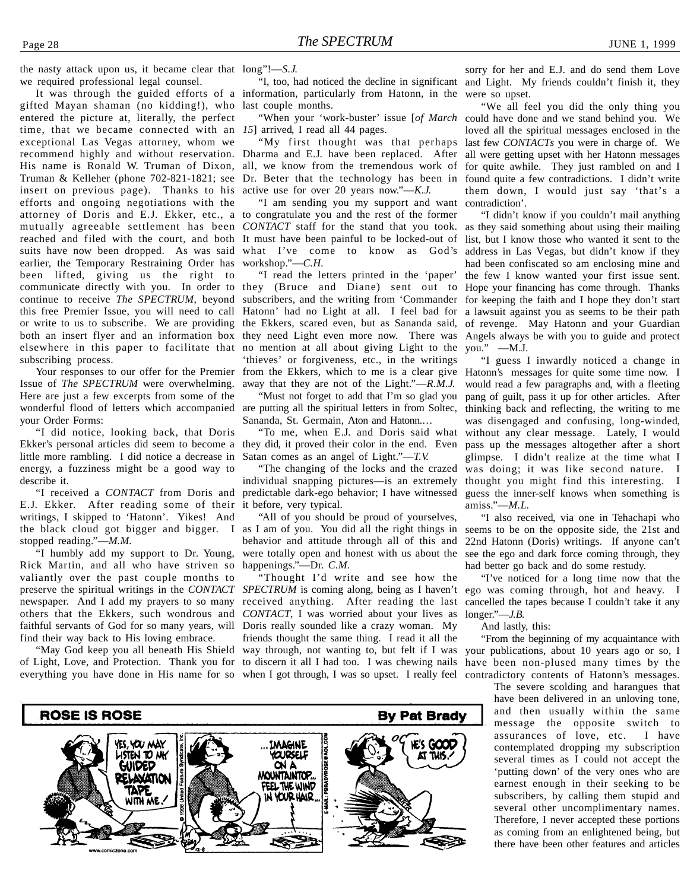the nasty attack upon us, it became clear that long"!—*S.J.* we required professional legal counsel.

gifted Mayan shaman (no kidding!), who entered the picture at, literally, the perfect time, that we became connected with an exceptional Las Vegas attorney, whom we recommend highly and without reservation. Dharma and E.J. have been replaced. After His name is Ronald W. Truman of Dixon, Truman & Kelleher (phone 702-821-1821; see insert on previous page). Thanks to his efforts and ongoing negotiations with the attorney of Doris and E.J. Ekker, etc., a to congratulate you and the rest of the former mutually agreeable settlement has been *CONTACT* staff for the stand that you took. as they said something about using their mailing reached and filed with the court, and both It must have been painful to be locked-out of list, but I know those who wanted it sent to the suits have now been dropped. As was said what I've come to know as God's earlier, the Temporary Restraining Order has workshop."—*C.H.* been lifted, giving us the right to communicate directly with you. In order to they (Bruce and Diane) sent out to continue to receive *The SPECTRUM*, beyond subscribers, and the writing from 'Commander this free Premier Issue, you will need to call Hatonn' had no Light at all. I feel bad for a lawsuit against you as seems to be their path or write to us to subscribe. We are providing the Ekkers, scared even, but as Sananda said, both an insert flyer and an information box they need Light even more now. There was Angels always be with you to guide and protect elsewhere in this paper to facilitate that no mention at all about giving Light to the you." -M.J. subscribing process.

Issue of *The SPECTRUM* were overwhelming. Here are just a few excerpts from some of the wonderful flood of letters which accompanied are putting all the spiritual letters in from Soltec, your Order Forms:

"I did notice, looking back, that Doris Ekker's personal articles did seem to become a little more rambling. I did notice a decrease in energy, a fuzziness might be a good way to describe it.

"I received a *CONTACT* from Doris and E.J. Ekker. After reading some of their writings, I skipped to 'Hatonn'. Yikes! And the black cloud got bigger and bigger. I stopped reading."—*M.M.*

"I humbly add my support to Dr. Young, Rick Martin, and all who have striven so valiantly over the past couple months to newspaper. And I add my prayers to so many others that the Ekkers, such wondrous and faithful servants of God for so many years, will find their way back to His loving embrace.

"May God keep you all beneath His Shield of Light, Love, and Protection. Thank you for everything you have done in His name for so when I got through, I was so upset. I really feel contradictory contents of Hatonn's messages.

It was through the guided efforts of a information, particularly from Hatonn, in the "I, too, had noticed the decline in significant last couple months.

"When your 'work-buster' issue [*of March 15*] arrived, I read all 44 pages.

"My first thought was that perhaps all, we know from the tremendous work of Dr. Beter that the technology has been in active use for over 20 years now."—*K.J.*

"I am sending you my support and want

Your responses to our offer for the Premier from the Ekkers, which to me is a clear give Hatonn's messages for quite some time now. I "I read the letters printed in the 'paper' 'thieves' or forgiveness, etc., in the writings away that they are not of the Light."—*R.M.J.*

> "Must not forget to add that I'm so glad you Sananda, St. Germain, Aton and Hatonn.…

"To me, when E.J. and Doris said what they did, it proved their color in the end. Even Satan comes as an angel of Light."—*T.V.*

"The changing of the locks and the crazed individual snapping pictures—is an extremely predictable dark-ego behavior; I have witnessed it before, very typical.

"All of you should be proud of yourselves, as I am of you. You did all the right things in behavior and attitude through all of this and were totally open and honest with us about the see the ego and dark force coming through, they happenings."—Dr. *C.M.*

preserve the spiritual writings in the *CONTACT* SPECTRUM is coming along, being as I haven't ego was coming through, hot and heavy. I "Thought I'd write and see how the received anything. After reading the last *CONTACT*, I was worried about your lives as Doris really sounded like a crazy woman. My friends thought the same thing. I read it all the way through, not wanting to, but felt if I was your publications, about 10 years ago or so, I to discern it all I had too. I was chewing nails have been non-plused many times by the

sorry for her and E.J. and do send them Love and Light. My friends couldn't finish it, they were so upset.

"We all feel you did the only thing you could have done and we stand behind you. We loved all the spiritual messages enclosed in the last few *CONTACTs* you were in charge of. We all were getting upset with her Hatonn messages for quite awhile. They just rambled on and I found quite a few contradictions. I didn't write them down, I would just say 'that's a contradiction'.

"I didn't know if you couldn't mail anything address in Las Vegas, but didn't know if they had been confiscated so am enclosing mine and the few I know wanted your first issue sent. Hope your financing has come through. Thanks for keeping the faith and I hope they don't start of revenge. May Hatonn and your Guardian

"I guess I inwardly noticed a change in would read a few paragraphs and, with a fleeting pang of guilt, pass it up for other articles. After thinking back and reflecting, the writing to me was disengaged and confusing, long-winded, without any clear message. Lately, I would pass up the messages altogether after a short glimpse. I didn't realize at the time what I was doing; it was like second nature. I thought you might find this interesting. I guess the inner-self knows when something is amiss."—*M.L.*

"I also received, via one in Tehachapi who seems to be on the opposite side, the 21st and 22nd Hatonn (Doris) writings. If anyone can't had better go back and do some restudy.

"I've noticed for a long time now that the cancelled the tapes because I couldn't take it any longer."—*J.B.*

And lastly, this:

"From the beginning of my acquaintance with

The severe scolding and harangues that have been delivered in an unloving tone, and then usually within the same message the opposite switch to assurances of love, etc. I have contemplated dropping my subscription several times as I could not accept the 'putting down' of the very ones who are earnest enough in their seeking to be subscribers, by calling them stupid and several other uncomplimentary names. Therefore, I never accepted these portions as coming from an enlightened being, but there have been other features and articles

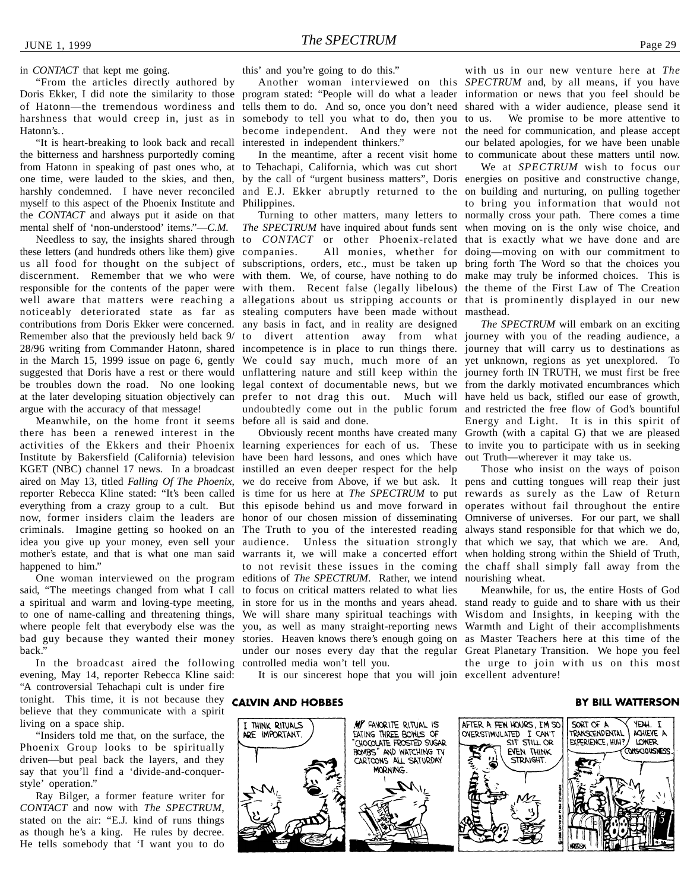in *CONTACT* that kept me going.

"From the articles directly authored by Doris Ekker, I did note the similarity to those of Hatonn—the tremendous wordiness and harshness that would creep in, just as in Hatonn's….

"It is heart-breaking to look back and recall the bitterness and harshness purportedly coming from Hatonn in speaking of past ones who, at to Tehachapi, California, which was cut short one time, were lauded to the skies, and then, by the call of "urgent business matters", Doris energies on positive and constructive change, harshly condemned. I have never reconciled myself to this aspect of the Phoenix Institute and the *CONTACT* and always put it aside on that mental shelf of 'non-understood' items."—*C.M.*

these letters (and hundreds others like them) give contributions from Doris Ekker were concerned. any basis in fact, and in reality are designed suggested that Doris have a rest or there would argue with the accuracy of that message!

Meanwhile, on the home front it seems there has been a renewed interest in the activities of the Ekkers and their Phoenix Institute by Bakersfield (California) television KGET (NBC) channel 17 news. In a broadcast aired on May 13, titled *Falling Of The Phoenix*, reporter Rebecca Kline stated: "It's been called everything from a crazy group to a cult. But now, former insiders claim the leaders are criminals. Imagine getting so hooked on an idea you give up your money, even sell your mother's estate, and that is what one man said happened to him."

One woman interviewed on the program said, "The meetings changed from what I call a spiritual and warm and loving-type meeting, to one of name-calling and threatening things, where people felt that everybody else was the you, as well as many straight-reporting news bad guy because they wanted their money back."

In the broadcast aired the following evening, May 14, reporter Rebecca Kline said: "A controversial Tehachapi cult is under fire tonight. This time, it is not because they believe that they communicate with a spirit living on a space ship.

"Insiders told me that, on the surface, the Phoenix Group looks to be spiritually driven—but peal back the layers, and they say that you'll find a 'divide-and-conquerstyle' operation."

Ray Bilger, a former feature writer for *CONTACT* and now with *The SPECTRUM,* stated on the air: "E.J. kind of runs things as though he's a king. He rules by decree. He tells somebody that 'I want you to do this' and you're going to do this."

program stated: "People will do what a leader information or news that you feel should be tells them to do. And so, once you don't need shared with a wider audience, please send it somebody to tell you what to do, then you to us. become independent. And they were not the need for communication, and please accept interested in independent thinkers."

In the meantime, after a recent visit home Philippines.

Needless to say, the insights shared through to *CONTACT* or other Phoenix-related that is exactly what we have done and are us all food for thought on the subject of subscriptions, orders, etc., must be taken up bring forth The Word so that the choices you discernment. Remember that we who were with them. We, of course, have nothing to do make may truly be informed choices. This is responsible for the contents of the paper were with them. Recent false (legally libelous) the theme of the First Law of The Creation well aware that matters were reaching a allegations about us stripping accounts or that is prominently displayed in our new noticeably deteriorated state as far as stealing computers have been made without masthead. Remember also that the previously held back 9/ to divert attention away from what journey with you of the reading audience, a 28/96 writing from Commander Hatonn, shared incompetence is in place to run things there. journey that will carry us to destinations as in the March 15, 1999 issue on page 6, gently We could say much, much more of an yet unknown, regions as yet unexplored. To be troubles down the road. No one looking legal context of documentable news, but we from the darkly motivated encumbrances which at the later developing situation objectively can prefer to not drag this out. Much will have held us back, stifled our ease of growth, The SPECTRUM have inquired about funds sent when moving on is the only wise choice, and companies. All monies, whether for doing—moving on with our commitment to unflattering nature and still keep within the journey forth IN TRUTH, we must first be free undoubtedly come out in the public forum and restricted the free flow of God's bountiful before all is said and done.

> Obviously recent months have created many learning experiences for each of us. These to invite you to participate with us in seeking have been hard lessons, and ones which have out Truth—wherever it may take us. instilled an even deeper respect for the help we do receive from Above, if we but ask. It is time for us here at *The SPECTRUM* to put rewards as surely as the Law of Return this episode behind us and move forward in operates without fail throughout the entire honor of our chosen mission of disseminating The Truth to you of the interested reading always stand responsible for that which we do, audience. Unless the situation strongly that which we say, that which we are. And, warrants it, we will make a concerted effort to not revisit these issues in the coming editions of *The SPECTRUM*. Rather, we intend to focus on critical matters related to what lies in store for us in the months and years ahead. We will share many spiritual teachings with stories. Heaven knows there's enough going on as Master Teachers here at this time of the under our noses every day that the regular Great Planetary Transition. We hope you feel controlled media won't tell you.

Another woman interviewed on this *SPECTRUM* and, by all means, if you have with us in our new venture here at *The* We promise to be more attentive to our belated apologies, for we have been unable to communicate about these matters until now.

and E.J. Ekker abruptly returned to the on building and nurturing, on pulling together Turning to other matters, many letters to normally cross your path. There comes a time We at *SPECTRUM* wish to focus our to bring you information that would not

> *The SPECTRUM* will embark on an exciting Energy and Light. It is in this spirit of Growth (with a capital G) that we are pleased

> Those who insist on the ways of poison pens and cutting tongues will reap their just Omniverse of universes. For our part, we shall when holding strong within the Shield of Truth, the chaff shall simply fall away from the nourishing wheat.

> Meanwhile, for us, the entire Hosts of God stand ready to guide and to share with us their Wisdom and Insights, in keeping with the Warmth and Light of their accomplishments the urge to join with us on this most

> > BY BILL WATTERSON

It is our sincerest hope that you will join excellent adventure!

#### **CALVIN AND HOBBES**

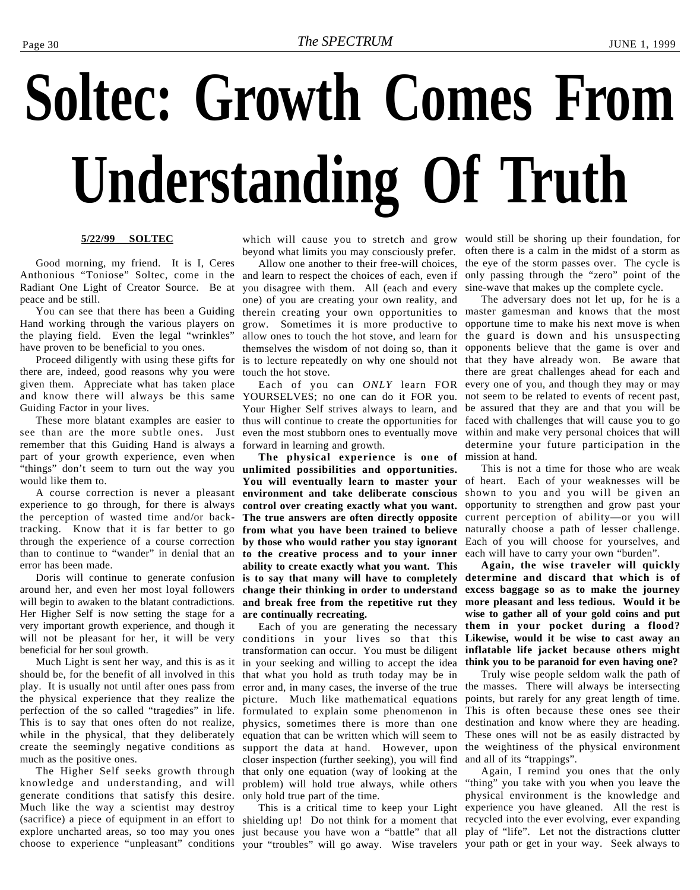# <span id="page-29-0"></span>**Soltec: Growth Comes From Understanding Of Truth**

#### **5/22/99 SOLTEC**

Good morning, my friend. It is I, Ceres Anthonious "Toniose" Soltec, come in the and learn to respect the choices of each, even if only passing through the "zero" point of the Radiant One Light of Creator Source. Be at peace and be still.

Hand working through the various players on the playing field. Even the legal "wrinkles" have proven to be beneficial to you ones.

Proceed diligently with using these gifts for there are, indeed, good reasons why you were given them. Appreciate what has taken place and know there will always be this same YOURSELVES; no one can do it FOR you. Guiding Factor in your lives.

These more blatant examples are easier to see than are the more subtle ones. Just remember that this Guiding Hand is always a part of your growth experience, even when "things" don't seem to turn out the way you **unlimited possibilities and opportunities.** would like them to.

experience to go through, for there is always the perception of wasted time and/or backtracking. Know that it is far better to go through the experience of a course correction **by those who would rather you stay ignorant** Each of you will choose for yourselves, and than to continue to "wander" in denial that an **to the creative process and to your inner** error has been made.

Doris will continue to generate confusion around her, and even her most loyal followers will begin to awaken to the blatant contradictions. Her Higher Self is now setting the stage for a very important growth experience, and though it will not be pleasant for her, it will be very beneficial for her soul growth.

Much Light is sent her way, and this is as it should be, for the benefit of all involved in this play. It is usually not until after ones pass from the physical experience that they realize the perfection of the so called "tragedies" in life. This is to say that ones often do not realize, while in the physical, that they deliberately create the seemingly negative conditions as much as the positive ones.

The Higher Self seeks growth through knowledge and understanding, and will generate conditions that satisfy this desire. Much like the way a scientist may destroy (sacrifice) a piece of equipment in an effort to shielding up! Do not think for a moment that recycled into the ever evolving, ever expanding explore uncharted areas, so too may you ones just because you have won a "battle" that all play of "life". Let not the distractions clutter

beyond what limits you may consciously prefer.

You can see that there has been a Guiding therein creating your own opportunities to master gamesman and knows that the most Allow one another to their free-will choices, you disagree with them. All (each and every one) of you are creating your own reality, and grow. Sometimes it is more productive to opportune time to make his next move is when allow ones to touch the hot stove, and learn for the guard is down and his unsuspecting themselves the wisdom of not doing so, than it is to lecture repeatedly on why one should not touch the hot stove.

> Your Higher Self strives always to learn, and thus will continue to create the opportunities for even the most stubborn ones to eventually move forward in learning and growth.

A course correction is never a pleasant **environment and take deliberate conscious The physical experience is one of** mission at hand. **You will eventually learn to master your** of heart. Each of your weaknesses will be **control over creating exactly what you want. The true answers are often directly opposite** current perception of ability—or you will **from what you have been trained to believe** naturally choose a path of lesser challenge. **ability to create exactly what you want. This is to say that many will have to completely change their thinking in order to understand and break free from the repetitive rut they are continually recreating.**

> Each of you are generating the necessary conditions in your lives so that this transformation can occur. You must be diligent in your seeking and willing to accept the idea that what you hold as truth today may be in error and, in many cases, the inverse of the true picture. Much like mathematical equations formulated to explain some phenomenon in physics, sometimes there is more than one equation that can be written which will seem to support the data at hand. However, upon closer inspection (further seeking), you will find that only one equation (way of looking at the problem) will hold true always, while others only hold true part of the time.

choose to experience "unpleasant" conditions your "troubles" will go away. Wise travelers your path or get in your way. Seek always to

which will cause you to stretch and grow would still be shoring up their foundation, for often there is a calm in the midst of a storm as the eye of the storm passes over. The cycle is sine-wave that makes up the complete cycle.

Each of you can *ONLY* learn FOR every one of you, and though they may or may The adversary does not let up, for he is a opponents believe that the game is over and that they have already won. Be aware that there are great challenges ahead for each and not seem to be related to events of recent past, be assured that they are and that you will be faced with challenges that will cause you to go within and make very personal choices that will determine your future participation in the

> This is not a time for those who are weak shown to you and you will be given an opportunity to strengthen and grow past your each will have to carry your own "burden".

> **Again, the wise traveler will quickly determine and discard that which is of excess baggage so as to make the journey more pleasant and less tedious. Would it be wise to gather all of your gold coins and put them in your pocket during a flood? Likewise, would it be wise to cast away an inflatable life jacket because others might think you to be paranoid for even having one?**

> Truly wise people seldom walk the path of the masses. There will always be intersecting points, but rarely for any great length of time. This is often because these ones see their destination and know where they are heading. These ones will not be as easily distracted by the weightiness of the physical environment and all of its "trappings".

This is a critical time to keep your Light experience you have gleaned. All the rest is Again, I remind you ones that the only "thing" you take with you when you leave the physical environment is the knowledge and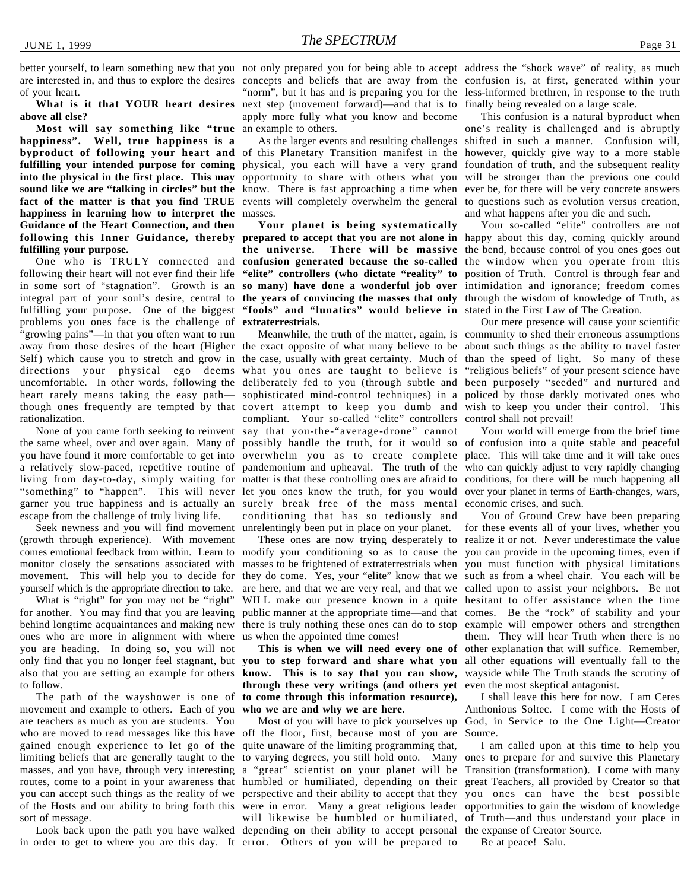of your heart.

**above all else?**

**Most will say something like "true happiness". Well, true happiness is a byproduct of following your heart and fulfilling your intended purpose for coming** physical, you each will have a very grand foundation of truth, and the subsequent reality **into the physical in the first place. This may** opportunity to share with others what you will be stronger than the previous one could **sound like we are "talking in circles" but the** know. There is fast approaching a time when ever be, for there will be very concrete answers **fact of the matter is that you find TRUE happiness in learning how to interpret the Guidance of the Heart Connection, and then following this Inner Guidance, thereby fulfilling your purpose.**

One who is TRULY connected and problems you ones face is the challenge of **extraterrestrials.** "growing pains"—in that you often want to run away from those desires of the heart (Higher the exact opposite of what many believe to be about such things as the ability to travel faster Self) which cause you to stretch and grow in the case, usually with great certainty. Much of than the speed of light. So many of these directions your physical ego deems what you ones are taught to believe is "religious beliefs" of your present science have uncomfortable. In other words, following the deliberately fed to you (through subtle and been purposely "seeded" and nurtured and heart rarely means taking the easy path— sophisticated mind-control techniques) in a policed by those darkly motivated ones who though ones frequently are tempted by that covert attempt to keep you dumb and wish to keep you under their control. This rationalization.

garner you true happiness and is actually an surely break free of the mass mental escape from the challenge of truly living life.

Seek newness and you will find movement (growth through experience). With movement comes emotional feedback from within. Learn to monitor closely the sensations associated with movement. This will help you to decide for yourself which is the appropriate direction to take.

What is "right" for you may not be "right" for another. You may find that you are leaving behind longtime acquaintances and making new ones who are more in alignment with where you are heading. In doing so, you will not only find that you no longer feel stagnant, but **you to step forward and share what you** also that you are setting an example for others **know. This is to say that you can show,** to follow.

The path of the wayshower is one of movement and example to others. Each of you are teachers as much as you are students. You who are moved to read messages like this have gained enough experience to let go of the quite unaware of the limiting programming that, limiting beliefs that are generally taught to the to varying degrees, you still hold onto. Many masses, and you have, through very interesting a "great" scientist on your planet will be Transition (transformation). I come with many routes, come to a point in your awareness that humbled or humiliated, depending on their great Teachers, all provided by Creator so that you can accept such things as the reality of we perspective and their ability to accept that they you ones can have the best possible of the Hosts and our ability to bring forth this were in error. Many a great religious leader opportunities to gain the wisdom of knowledge sort of message.

are interested in, and thus to explore the desires concepts and beliefs that are away from the confusion is, at first, generated within your **What is it that YOUR heart desires** next step (movement forward)—and that is to "norm", but it has and is preparing you for the less-informed brethren, in response to the truth apply more fully what you know and become an example to others.

> As the larger events and resulting challenges of this Planetary Transition manifest in the however, quickly give way to a more stable events will completely overwhelm the general to questions such as evolution versus creation, masses.

following their heart will not ever find their life **"elite" controllers (who dictate "reality" to** position of Truth. Control is through fear and in some sort of "stagnation". Growth is an **so many) have done a wonderful job over** intimidation and ignorance; freedom comes integral part of your soul's desire, central to **the years of convincing the masses that only** through the wisdom of knowledge of Truth, as fulfilling your purpose. One of the biggest **"fools" and "lunatics" would believe in** stated in the First Law of The Creation. **Your planet is being systematically prepared to accept that you are not alone in** happy about this day, coming quickly around **the universe. There will be massive** the bend, because control of you ones goes out **confusion generated because the so-called** the window when you operate from this

None of you came forth seeking to reinvent say that you-the-"average-drone" cannot the same wheel, over and over again. Many of possibly handle the truth, for it would so of confusion into a quite stable and peaceful you have found it more comfortable to get into overwhelm you as to create complete place. This will take time and it will take ones a relatively slow-paced, repetitive routine of pandemonium and upheaval. The truth of the who can quickly adjust to very rapidly changing living from day-to-day, simply waiting for matter is that these controlling ones are afraid to conditions, for there will be much happening all "something" to "happen". This will never let you ones know the truth, for you would over your planet in terms of Earth-changes, wars, compliant. Your so-called "elite" controllers control shall not prevail! conditioning that has so tediously and unrelentingly been put in place on your planet.

> These ones are now trying desperately to modify your conditioning so as to cause the masses to be frightened of extraterrestrials when they do come. Yes, your "elite" know that we are here, and that we are very real, and that we called upon to assist your neighbors. Be not WILL make our presence known in a quite hesitant to offer assistance when the time public manner at the appropriate time—and that comes. Be the "rock" of stability and your there is truly nothing these ones can do to stop example will empower others and strengthen us when the appointed time comes!

**This is when we will need every one of through these very writings (and others yet to come through this information resource), who we are and why we are here.**

Look back upon the path you have walked depending on their ability to accept personal the expanse of Creator Source. in order to get to where you are this day. It error. Others of you will be prepared to Most of you will have to pick yourselves up off the floor, first, because most of you are will likewise be humbled or humiliated, of Truth—and thus understand your place in

better yourself, to learn something new that you not only prepared you for being able to accept address the "shock wave" of reality, as much finally being revealed on a large scale.

> This confusion is a natural byproduct when one's reality is challenged and is abruptly shifted in such a manner. Confusion will, and what happens after you die and such.

> Your so-called "elite" controllers are not

Meanwhile, the truth of the matter, again, is community to shed their erroneous assumptions Our mere presence will cause your scientific

> Your world will emerge from the brief time economic crises, and such.

> You of Ground Crew have been preparing for these events all of your lives, whether you realize it or not. Never underestimate the value you can provide in the upcoming times, even if you must function with physical limitations such as from a wheel chair. You each will be them. They will hear Truth when there is no other explanation that will suffice. Remember, all other equations will eventually fall to the wayside while The Truth stands the scrutiny of even the most skeptical antagonist.

> I shall leave this here for now. I am Ceres Anthonious Soltec. I come with the Hosts of God, in Service to the One Light—Creator Source.

> I am called upon at this time to help you ones to prepare for and survive this Planetary

Be at peace! Salu.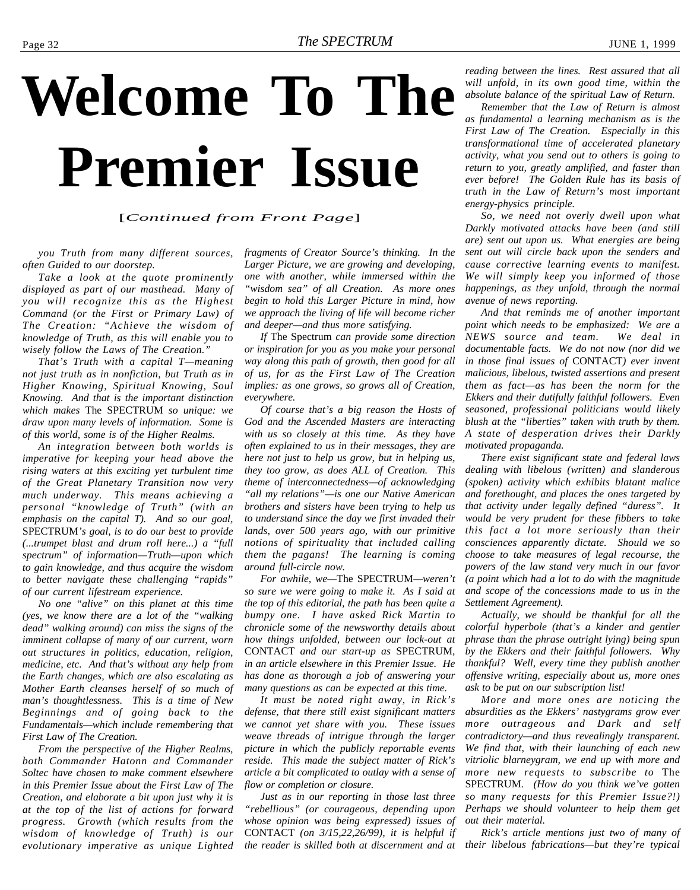## <span id="page-31-0"></span>**Welcome To The Premier Issue**

[*Continued from Front Page*]

*often Guided to our doorstep.*

*Take a look at the quote prominently displayed as part of our masthead. Many of you will recognize this as the Highest Command (or the First or Primary Law) of The Creation: "Achieve the wisdom of knowledge of Truth, as this will enable you to wisely follow the Laws of The Creation."*

*That's Truth with a capital T—meaning not just truth as in nonfiction, but Truth as in Higher Knowing, Spiritual Knowing, Soul Knowing. And that is the important distinction which makes* The SPECTRUM *so unique: we draw upon many levels of information. Some is of this world, some is of the Higher Realms.*

*An integration between both worlds is imperative for keeping your head above the rising waters at this exciting yet turbulent time of the Great Planetary Transition now very much underway. This means achieving a personal "knowledge of Truth" (with an emphasis on the capital T). And so our goal,* SPECTRUM*'s goal, is to do our best to provide (...trumpet blast and drum roll here...) a "full spectrum" of information—Truth—upon which to gain knowledge, and thus acquire the wisdom to better navigate these challenging "rapids" of our current lifestream experience.*

*No one "alive" on this planet at this time (yes, we know there are a lot of the "walking dead" walking around) can miss the signs of the imminent collapse of many of our current, worn out structures in politics, education, religion, medicine, etc. And that's without any help from the Earth changes, which are also escalating as Mother Earth cleanses herself of so much of man's thoughtlessness. This is a time of New Beginnings and of going back to the Fundamentals—which include remembering that First Law of The Creation.*

*From the perspective of the Higher Realms, both Commander Hatonn and Commander Soltec have chosen to make comment elsewhere in this Premier Issue about the First Law of The Creation, and elaborate a bit upon just why it is at the top of the list of actions for forward progress. Growth (which results from the wisdom of knowledge of Truth) is our evolutionary imperative as unique Lighted*

*you Truth from many different sources, fragments of Creator Source's thinking. In the Larger Picture, we are growing and developing, one with another, while immersed within the "wisdom sea" of all Creation. As more ones begin to hold this Larger Picture in mind, how we approach the living of life will become richer and deeper—and thus more satisfying.*

*If* The Spectrum *can provide some direction or inspiration for you as you make your personal way along this path of growth, then good for all of us, for as the First Law of The Creation implies: as one grows, so grows all of Creation, everywhere.*

*Of course that's a big reason the Hosts of God and the Ascended Masters are interacting with us so closely at this time. As they have often explained to us in their messages, they are here not just to help us grow, but in helping us, they too grow, as does ALL of Creation. This theme of interconnectedness—of acknowledging "all my relations"—is one our Native American brothers and sisters have been trying to help us to understand since the day we first invaded their lands, over 500 years ago, with our primitive notions of spirituality that included calling them the pagans! The learning is coming around full-circle now.*

*For awhile, we—*The SPECTRUM*—weren't so sure we were going to make it. As I said at the top of this editorial, the path has been quite a bumpy one. I have asked Rick Martin to chronicle some of the newsworthy details about how things unfolded, between our lock-out at* CONTACT *and our start-up as* SPECTRUM*, in an article elsewhere in this Premier Issue. He has done as thorough a job of answering your many questions as can be expected at this time.*

*It must be noted right away, in Rick's defense, that there still exist significant matters we cannot yet share with you. These issues weave threads of intrigue through the larger picture in which the publicly reportable events reside. This made the subject matter of Rick's article a bit complicated to outlay with a sense of flow or completion or closure.*

*Just as in our reporting in those last three "rebellious" (or courageous, depending upon whose opinion was being expressed) issues of* CONTACT *(on 3/15,22,26/99), it is helpful if*

*reading between the lines. Rest assured that all will unfold, in its own good time, within the absolute balance of the spiritual Law of Return.*

*Remember that the Law of Return is almost as fundamental a learning mechanism as is the First Law of The Creation. Especially in this transformational time of accelerated planetary activity, what you send out to others is going to return to you, greatly amplified, and faster than ever before! The Golden Rule has its basis of truth in the Law of Return's most important energy-physics principle.*

*So, we need not overly dwell upon what Darkly motivated attacks have been (and still are) sent out upon us. What energies are being sent out will circle back upon the senders and cause corrective learning events to manifest. We will simply keep you informed of those happenings, as they unfold, through the normal avenue of news reporting.*

*And that reminds me of another important point which needs to be emphasized: We are a NEWS source and team. We deal in documentable facts. We do not now (nor did we in those final issues of* CONTACT*) ever invent malicious, libelous, twisted assertions and present them as fact—as has been the norm for the Ekkers and their dutifully faithful followers. Even seasoned, professional politicians would likely blush at the "liberties" taken with truth by them. A state of desperation drives their Darkly motivated propaganda.*

*There exist significant state and federal laws dealing with libelous (written) and slanderous (spoken) activity which exhibits blatant malice and forethought, and places the ones targeted by that activity under legally defined "duress". It would be very prudent for these fibbers to take this fact a lot more seriously than their consciences apparently dictate. Should we so choose to take measures of legal recourse, the powers of the law stand very much in our favor (a point which had a lot to do with the magnitude and scope of the concessions made to us in the Settlement Agreement).*

*Actually, we should be thankful for all the colorful hyperbole (that's a kinder and gentler phrase than the phrase outright lying) being spun by the Ekkers and their faithful followers. Why thankful? Well, every time they publish another offensive writing, especially about us, more ones ask to be put on our subscription list!*

*More and more ones are noticing the absurdities as the Ekkers' nastygrams grow ever more outrageous and Dark and self contradictory—and thus revealingly transparent. We find that, with their launching of each new vitriolic blarneygram, we end up with more and more new requests to subscribe to* The SPECTRUM. *(How do you think we've gotten so many requests for this Premier Issue?!) Perhaps we should volunteer to help them get out their material.*

*the reader is skilled both at discernment and at their libelous fabrications—but they're typical Rick's article mentions just two of many of*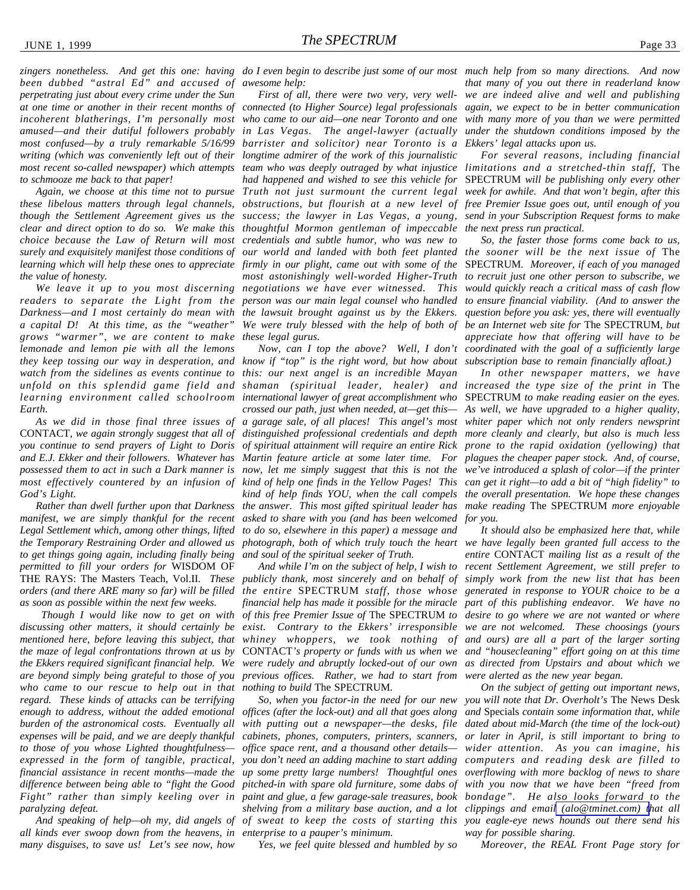*been dubbed "astral Ed" and accused of awesome help: perpetrating just about every crime under the Sun at one time or another in their recent months of connected (to Higher Source) legal professionals incoherent blatherings, I'm personally most who came to our aid—one near Toronto and one amused—and their dutiful followers probably in Las Vegas. The angel-lawyer (actually under the shutdown conditions imposed by the most confused—by a truly remarkable 5/16/99 barrister and solicitor) near Toronto is a Ekkers' legal attacks upon us. writing (which was conveniently left out of their longtime admirer of the work of this journalistic* most recent so-called newspaper) which attempts team who was deeply outraged by what injustice limitations and a stretched-thin staff, The *to schmooze me back to that paper!*

*these libelous matters through legal channels, obstructions, but flourish at a new level of free Premier Issue goes out, until enough of you though the Settlement Agreement gives us the success; the lawyer in Las Vegas, a young, send in your Subscription Request forms to make clear and direct option to do so. We make this thoughtful Mormon gentleman of impeccable the next press run practical. choice because the Law of Return will most credentials and subtle humor, who was new to* surely and exquisitely manifest those conditions of our world and landed with both feet planted the sooner will be the next issue of The *learning which will help these ones to appreciate firmly in our plight, came out with some of the* SPECTRUM*. Moreover, if each of you managed the value of honesty.*

*readers to separate the Light from the person was our main legal counsel who handled to ensure financial viability. (And to answer the Darkness—and I most certainly do mean with the lawsuit brought against us by the Ekkers. question before you ask: yes, there will eventually a capital D! At this time, as the "weather" grows "warmer", we are content to make lemonade and lemon pie with all the lemons they keep tossing our way in desperation, and know if "top" is the right word, but how about subscription base to remain financially afloat.) watch from the sidelines as events continue to this: our next angel is an incredible Mayan unfold on this splendid game field and learning environment called schoolroom international lawyer of great accomplishment who Earth.*

CONTACT*, we again strongly suggest that all of you continue to send prayers of Light to Doris most effectively countered by an infusion of God's Light.*

*Rather than dwell further upon that Darkness manifest, we are simply thankful for the recent Legal Settlement which, among other things, lifted the Temporary Restraining Order and allowed us to get things going again, including finally being permitted to fill your orders for* WISDOM OF *as soon as possible within the next few weeks.*

*the maze of legal confrontations thrown at us by* who came to our rescue to help out in that nothing to build The SPECTRUM. *regard. These kinds of attacks can be terrifying enough to address, without the added emotional burden of the astronomical costs. Eventually all expenses will be paid, and we are deeply thankful to those of you whose Lighted thoughtfulness expressed in the form of tangible, practical, financial assistance in recent months—made the up some pretty large numbers! Thoughtful ones overflowing with more backlog of news to share difference between being able to "fight the Good pitched-in with spare old furniture, some dabs of with you now that we have been "freed from* Fight" rather than simply keeling over in paintand glue, a few garage-sale treasures, book bondage". He also looks forward to the *paralyzing defeat.*

*all kinds ever swoop down from the heavens, in enterprise to a pauper's minimum. many disguises, to save us! Let's see now, how*

*zingers nonetheless. And get this one: having do I even begin to describe just some of our most much help from so many directions. And now*

*First of all, there were two very, very wellthese legal gurus.*

*As we did in those final three issues of a garage sale, of all places! This angel's most and E.J. Ekker and their followers. Whatever has Martin feature article at some later time. For plagues the cheaper paper stock. And, of course,* possessed them to act in such a Dark manner is now, let me simply suggest that this is not the we've introduced a splash of color—if the printer *shaman (spiritual leader, healer) and increased the type size of the print in* The *crossed our path, just when needed, at—get this distinguished professional credentials and depth of spiritual attainment will require an entire Rick kind of help one finds in the Yellow Pages! This can get it right—to add a bit of "high fidelity" to kind of help finds YOU, when the call compels the overall presentation. We hope these changes the answer. This most gifted spiritual leader has make reading* The SPECTRUM *more enjoyable asked to share with you (and has been welcomed to do so, elsewhere in this paper) a message and photograph, both of which truly touch the heart we have legally been granted full access to the and soul of the spiritual seeker of Truth.*

THE RAYS: The Masters Teach, Vol.II*. These publicly thank, most sincerely and on behalf of simply work from the new list that has been orders (and there ARE many so far) will be filled the entire SPECTRUM staff, those whose generated in response to YOUR choice to be a Though I would like now to get on with of this free Premier Issue of* The SPECTRUM *to desire to go where we are not wanted or where discussing other matters, it should certainly be exist. Contrary to the Ekkers' irresponsible we are not welcomed. These choosings (yours mentioned here, before leaving this subject, that whiney whoppers, we took nothing of and ours) are all a part of the larger sorting the Ekkers required significant financial help. We were rudely and abruptly locked-out of our own as directed from Upstairs and about which we are beyond simply being grateful to those of you previous offices. Rather, we had to start from were alerted as the new year began. financial help has made it possible for the miracle part of this publishing endeavor. We have no* CONTACT*'s property or funds with us when we and "housecleaning" effort going on at this time*

*office space rent, and a thousand other details—*

*Yes, we feel quite blessed and humbled by so*

*that many of you out there in readerland know we are indeed alive and well and publishing again, we expect to be in better communication with many more of you than we were permitted*

*Again, we choose at this time not to pursue Truth not just surmount the current legal week for awhile. And that won't begin, after this had happened and wished to see this vehicle for* SPECTRUM *will be publishing only every other For several reasons, including financial*

We leave it up to you most discerning negotiations we have ever witnessed. This would quickly reach a critical mass of cash flow *most astonishingly well-worded Higher-Truth to recruit just one other person to subscribe, we We were truly blessed with the help of both of be an Internet web site for* The SPECTRUM*, but Now, can I top the above? Well, I don't coordinated with the goal of a sufficiently large So, the faster those forms come back to us, appreciate how that offering will have to be*

> *In other newspaper matters, we have* SPECTRUM *to make reading easier on the eyes. As well, we have upgraded to a higher quality, whiter paper which not only renders newsprint more cleanly and clearly, but also is much less prone to the rapid oxidation (yellowing) that for you.*

*And while I'm on the subject of help, I wish to recent Settlement Agreement, we still prefer to It should also be emphasized here that, while entire* CONTACT *mailing list as a result of the*

*And speaking of help—oh my, did angels of of sweat to keep the costs of starting this you eagle-eye news hounds out there send his So, when you factor-in the need for our new you will note that Dr. Overholt's* The News Desk *offices (after the lock-out) and all that goes along and* Specials *contain some information that, while with putting out a newspaper—the desks, file dated about mid-March (the time of the lock-out) cabinets, phones, computers, printers, scanners, or later in April, is still important to bring to you don't need an adding machine to start adding computers and reading desk are filled to shelving from a military base auction, and a lot clippings and emai[l \(alo@tminet.com\) th](mailto:alo@tminet.com)at all On the subject of getting out important news, wider attention. As you can imagine, his way for possible sharing.*

*Moreover, the REAL Front Page story for*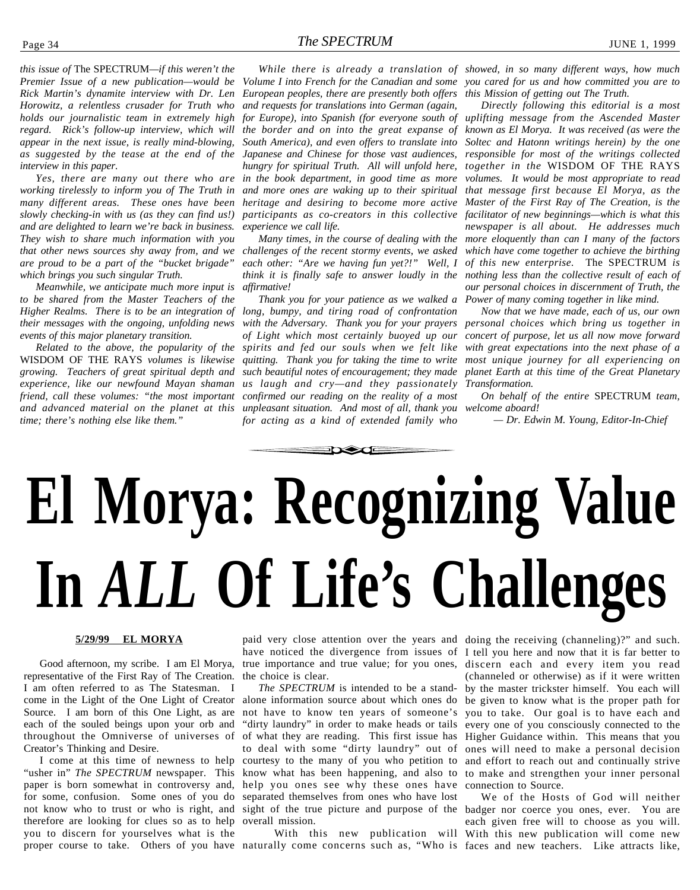#### <span id="page-33-0"></span>Page 34 *The SPECTRUM* JUNE 1, 1999

*this issue of* The SPECTRUM*—if this weren't the Premier Issue of a new publication—would be Volume I into French for the Canadian and some you cared for us and how committed you are to Rick Martin's dynamite interview with Dr. Len European peoples, there are presently both offers this Mission of getting out The Truth. Horowitz, a relentless crusader for Truth who holds our journalistic team in extremely high regard. Rick's follow-up interview, which will appear in the next issue, is really mind-blowing, as suggested by the tease at the end of the interview in this paper.*

*Yes, there are many out there who are working tirelessly to inform you of The Truth in many different areas. These ones have been slowly checking-in with us (as they can find us!) and are delighted to learn we're back in business. experience we call life. They wish to share much information with you are proud to be a part of the "bucket brigade" which brings you such singular Truth.*

*Meanwhile, we anticipate much more input is to be shared from the Master Teachers of the Higher Realms. There is to be an integration of long, bumpy, and tiring road of confrontation events of this major planetary transition.*

*experience, like our newfound Mayan shaman us laugh and cry—and they passionately friend, call these volumes: "the most important confirmed our reading on the reality of a most time; there's nothing else like them."*

*and requests for translations into German (again, the border and on into the great expanse of South America), and even offers to translate into Japanese and Chinese for those vast audiences, hungry for spiritual Truth. All will unfold here, in the book department, in good time as more and more ones are waking up to their spiritual*

*that other news sources shy away from, and we challenges of the recent stormy events, we asked which have come together to achieve the birthing each other: "Are we having fun yet?!" Well, I of this new enterprise.* The SPECTRUM *is think it is finally safe to answer loudly in the nothing less than the collective result of each of affirmative!*

their messages with the ongoing, unfolding news with the Adversary. Thank you for your prayers personal choices which bring us together in *Related to the above, the popularity of the spirits and fed our souls when we felt like* WISDOM OF THE RAYS *volumes is likewise quitting. Thank you for taking the time to write most unique journey for all experiencing on growing. Teachers of great spiritual depth and such beautiful notes of encouragement; they made planet Earth at this time of the Great Planetary and advanced material on the planet at this unpleasant situation. And most of all, thank you welcome aboard! Thank you for your patience as we walked a of Light which most certainly buoyed up our for acting as a kind of extended family who*

⋑⋙

*While there is already a translation of showed, in so many different ways, how much*

for Europe), into Spanish (for everyone south of uplifting message from the Ascended Master *heritage and desiring to become more active Master of the First Ray of The Creation, is the participants as co-creators in this collective facilitator of new beginnings—which is what this Many times, in the course of dealing with the more eloquently than can I many of the factors Directly following this editorial is a most known as El Morya. It was received (as were the Soltec and Hatonn writings herein) by the one responsible for most of the writings collected together in the* WISDOM OF THE RAYS *volumes. It would be most appropriate to read that message first because El Morya, as the newspaper is all about. He addresses much our personal choices in discernment of Truth, the Power of many coming together in like mind.*

> *Now that we have made, each of us, our own concert of purpose, let us all now move forward with great expectations into the next phase of a Transformation.*

> *On behalf of the entire* SPECTRUM *team,*

 *— Dr. Edwin M. Young, Editor-In-Chief*

# **El Morya: Recognizing Value In** *ALL* **Of Life's Challenges**

#### **5/29/99 EL MORYA**

Good afternoon, my scribe. I am El Morya, representative of the First Ray of The Creation. I am often referred to as The Statesman. I come in the Light of the One Light of Creator Source. I am born of this One Light, as are each of the souled beings upon your orb and throughout the Omniverse of universes of Creator's Thinking and Desire.

therefore are looking for clues so as to help overall mission. you to discern for yourselves what is the

paid very close attention over the years and doing the receiving (channeling)?" and such. the choice is clear.

I come at this time of newness to help courtesy to the many of you who petition to and effort to reach out and continually strive "usher in" *The SPECTRUM* newspaper. This know what has been happening, and also to to make and strengthen your inner personal paper is born somewhat in controversy and, help you ones see why these ones have connection to Source. for some, confusion. Some ones of you do separated themselves from ones who have lost not know who to trust or who is right, and sight of the true picture and purpose of the badger nor coerce you ones, ever. You are *The SPECTRUM* is intended to be a standalone information source about which ones do be given to know what is the proper path for not have to know ten years of someone's "dirty laundry" in order to make heads or tails every one of you consciously connected to the of what they are reading. This first issue has Higher Guidance within. This means that you to deal with some "dirty laundry" out of ones will need to make a personal decision

proper course to take. Others of you have naturally come concerns such as, "Who is faces and new teachers. Like attracts like,

have noticed the divergence from issues of I tell you here and now that it is far better to true importance and true value; for you ones, discern each and every item you read (channeled or otherwise) as if it were written by the master trickster himself. You each will you to take. Our goal is to have each and

With this new publication will With this new publication will come new We of the Hosts of God will neither each given free will to choose as you will.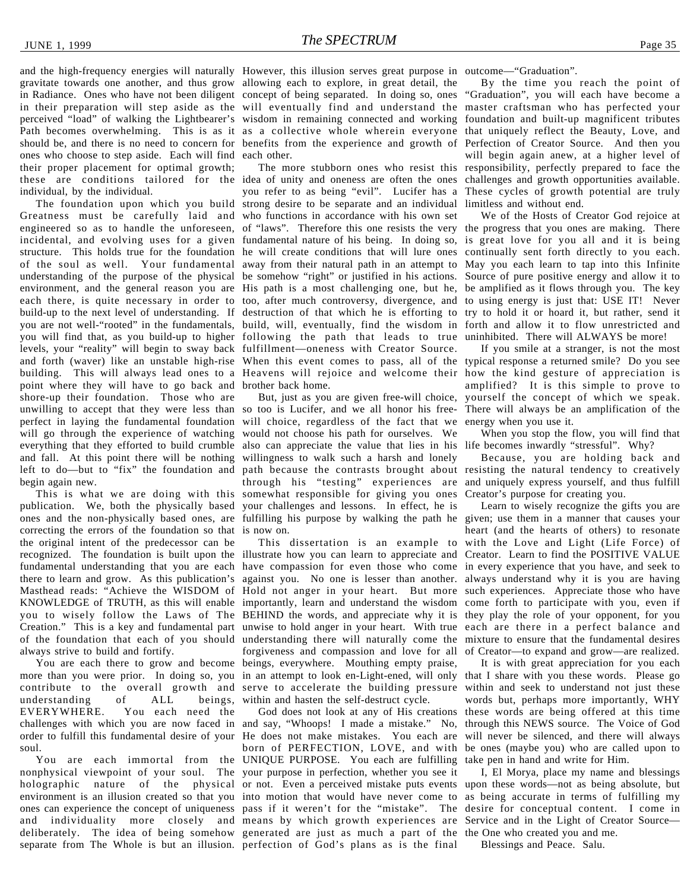and the high-frequency energies will naturally However, this illusion serves great purpose in outcome—"Graduation". gravitate towards one another, and thus grow allowing each to explore, in great detail, the in Radiance. Ones who have not been diligent concept of being separated. In doing so, ones "Graduation", you will each have become a in their preparation will step aside as the will eventually find and understand the master craftsman who has perfected your perceived "load" of walking the Lightbearer's wisdom in remaining connected and working foundation and built-up magnificent tributes Path becomes overwhelming. This is as it as a collective whole wherein everyone that uniquely reflect the Beauty, Love, and should be, and there is no need to concern for benefits from the experience and growth of Perfection of Creator Source. And then you ones who choose to step aside. Each will find each other. their proper placement for optimal growth; these are conditions tailored for the idea of unity and oneness are often the ones challenges and growth opportunities available. individual, by the individual.

Greatness must be carefully laid and who functions in accordance with his own set engineered so as to handle the unforeseen, of "laws". Therefore this one resists the very the progress that you ones are making. There incidental, and evolving uses for a given fundamental nature of his being. In doing so, is great love for you all and it is being structure. This holds true for the foundation he will create conditions that will lure ones continually sent forth directly to you each. of the soul as well. Your fundamental away from their natural path in an attempt to May you each learn to tap into this Infinite understanding of the purpose of the physical be somehow "right" or justified in his actions. Source of pure positive energy and allow it to environment, and the general reason you are His path is a most challenging one, but he, be amplified as it flows through you. The key each there, is quite necessary in order to too, after much controversy, divergence, and to using energy is just that: USE IT! Never build-up to the next level of understanding. If destruction of that which he is efforting to try to hold it or hoard it, but rather, send it you are not well-"rooted" in the fundamentals, build, will, eventually, find the wisdom in forth and allow it to flow unrestricted and you will find that, as you build-up to higher following the path that leads to true uninhibited. There will ALWAYS be more! levels, your "reality" will begin to sway back fulfillment—oneness with Creator Source. and forth (waver) like an unstable high-rise When this event comes to pass, all of the typical response a returned smile? Do you see building. This will always lead ones to a Heavens will rejoice and welcome their how the kind gesture of appreciation is point where they will have to go back and brother back home. shore-up their foundation. Those who are unwilling to accept that they were less than so too is Lucifer, and we all honor his free-There will always be an amplification of the perfect in laying the fundamental foundation will go through the experience of watching everything that they efforted to build crumble and fall. At this point there will be nothing left to do—but to "fix" the foundation and begin again new.

publication. We, both the physically based your challenges and lessons. In effect, he is ones and the non-physically based ones, are fulfilling his purpose by walking the path he given; use them in a manner that causes your correcting the errors of the foundation so that is now on. the original intent of the predecessor can be recognized. The foundation is built upon the illustrate how you can learn to appreciate and Creator. Learn to find the POSITIVE VALUE fundamental understanding that you are each have compassion for even those who come in every experience that you have, and seek to there to learn and grow. As this publication's against you. No one is lesser than another. always understand why it is you are having Masthead reads: "Achieve the WISDOM of Hold not anger in your heart. But more such experiences. Appreciate those who have KNOWLEDGE of TRUTH, as this will enable importantly, learn and understand the wisdom come forth to participate with you, even if you to wisely follow the Laws of The BEHIND the words, and appreciate why it is they play the role of your opponent, for you Creation." This is a key and fundamental part unwise to hold anger in your heart. With true each are there in a perfect balance and of the foundation that each of you should understanding there will naturally come the mixture to ensure that the fundamental desires always strive to build and fortify.

more than you were prior. In doing so, you in an attempt to look en-Light-ened, will only that I share with you these words. Please go contribute to the overall growth and serve to accelerate the building pressure understanding of ALL EVERYWHERE. You each need the challenges with which you are now faced in and say, "Whoops! I made a mistake." No, order to fulfill this fundamental desire of your He does not make mistakes. You each are soul.

nonphysical viewpoint of your soul. The your purpose in perfection, whether you see it holographic nature of the physical or not. Even a perceived mistake puts events upon these words—not as being absolute, but environment is an illusion created so that you into motion that would have never come to as being accurate in terms of fulfilling my ones can experience the concept of uniqueness pass if it weren't for the "mistake". The desire for conceptual content. I come in and individuality more closely and means by which growth experiences are Service and in the Light of Creator Source deliberately. The idea of being somehow generated are just as much a part of the the One who created you and me.

The foundation upon which you build strong desire to be separate and an individual limitless and without end. you refer to as being "evil". Lucifer has a These cycles of growth potential are truly

This is what we are doing with this somewhat responsible for giving you ones Creator's purpose for creating you. But, just as you are given free-will choice, will choice, regardless of the fact that we energy when you use it. would not choose his path for ourselves. We also can appreciate the value that lies in his life becomes inwardly "stressful". Why? willingness to walk such a harsh and lonely path because the contrasts brought about resisting the natural tendency to creatively through his "testing" experiences are and uniquely express yourself, and thus fulfill

You are each there to grow and become beings, everywhere. Mouthing empty praise, forgiveness and compassion and love for all of Creator—to expand and grow—are realized. beings, within and hasten the self-destruct cycle.

You are each immortal from the UNIQUE PURPOSE. You each are fulfilling take pen in hand and write for Him. separate from The Whole is but an illusion. perfection of God's plans as is the final God does not look at any of His creations born of PERFECTION, LOVE, and with be ones (maybe you) who are called upon to

The more stubborn ones who resist this responsibility, perfectly prepared to face the By the time you reach the point of will begin again anew, at a higher level of

We of the Hosts of Creator God rejoice at

If you smile at a stranger, is not the most amplified? It is this simple to prove to yourself the concept of which we speak.

When you stop the flow, you will find that

Because, you are holding back and

This dissertation is an example to with the Love and Light (Life Force) of Learn to wisely recognize the gifts you are heart (and the hearts of others) to resonate

> It is with great appreciation for you each within and seek to understand not just these words but, perhaps more importantly, WHY these words are being offered at this time through this NEWS source. The Voice of God will never be silenced, and there will always

> I, El Morya, place my name and blessings

Blessings and Peace. Salu.